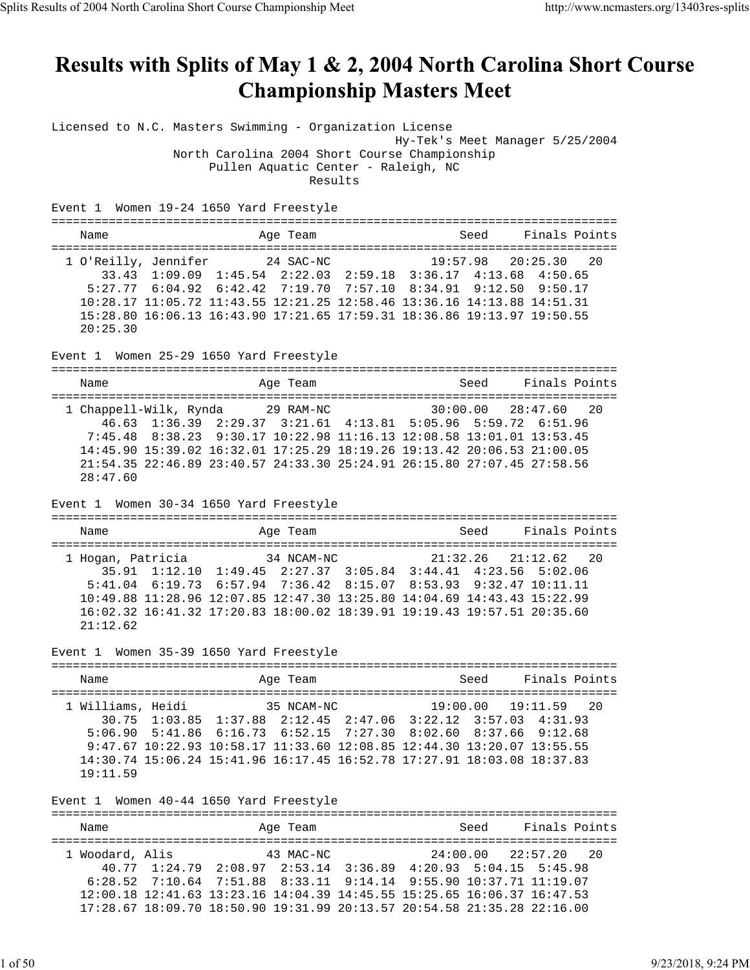# Results with Splits of May 1 & 2, 2004 North Carolina Short Course **Championship Masters Meet**

Licensed to N.C. Masters Swimming - Organization License

Hy-Tek's Meet Manager 5/25/2004

 North Carolina 2004 Short Course Championship Pullen Aquatic Center - Raleigh, NC

Results

Event 1 Women 19-24 1650 Yard Freestyle

===============================================================================

| Name                           |                                                                                         | Age Team |  | Seed                 | Finals Points |  |
|--------------------------------|-----------------------------------------------------------------------------------------|----------|--|----------------------|---------------|--|
| 1 O'Reilly, Jennifer 24 SAC-NC |                                                                                         |          |  | 19:57.98 20:25.30 20 |               |  |
|                                | 33.43 1:09.09 1:45.54 2:22.03 2:59.18 3:36.17 4:13.68 4:50.65                           |          |  |                      |               |  |
|                                | 5:27.77 6:04.92 6:42.42 7:19.70 7:57.10 8:34.91 9:12.50 9:50.17                         |          |  |                      |               |  |
|                                | $10:28.17$ $11:05.72$ $11:43.55$ $12:21.25$ $12:58.46$ $13:36.16$ $14:13.88$ $14:51.31$ |          |  |                      |               |  |
|                                | 15:28.80 16:06.13 16:43.90 17:21.65 17:59.31 18:36.86 19:13.97 19:50.55                 |          |  |                      |               |  |
| 20:25.30                       |                                                                                         |          |  |                      |               |  |

Event 1 Women 25-29 1650 Yard Freestyle

=============================================================================== Name **Age Team** Age Team Seed Finals Points =============================================================================== 1 Chappell-Wilk, Rynda 29 RAM-NC 30:00.00 28:47.60 20 46.63 1:36.39 2:29.37 3:21.61 4:13.81 5:05.96 5:59.72 6:51.96 7:45.48 8:38.23 9:30.17 10:22.98 11:16.13 12:08.58 13:01.01 13:53.45 14:45.90 15:39.02 16:32.01 17:25.29 18:19.26 19:13.42 20:06.53 21:00.05 21:54.35 22:46.89 23:40.57 24:33.30 25:24.91 26:15.80 27:07.45 27:58.56 28:47.60

Event 1 Women 30-34 1650 Yard Freestyle

=============================================================================== Name **Age Team** Seed Finals Points Age Team Seed Finals Points =============================================================================== 1 Hogan, Patricia 34 NCAM-NC 21:32.26 21:12.62 20 35.91 1:12.10 1:49.45 2:27.37 3:05.84 3:44.41 4:23.56 5:02.06 5:41.04 6:19.73 6:57.94 7:36.42 8:15.07 8:53.93 9:32.47 10:11.11 10:49.88 11:28.96 12:07.85 12:47.30 13:25.80 14:04.69 14:43.43 15:22.99 16:02.32 16:41.32 17:20.83 18:00.02 18:39.91 19:19.43 19:57.51 20:35.60 21:12.62

Event 1 Women 35-39 1650 Yard Freestyle

=============================================================================== Name Manne Age Team Seed Finals Points =============================================================================== 1 Williams, Heidi 35 NCAM-NC 19:00.00 19:11.59 20 30.75 1:03.85 1:37.88 2:12.45 2:47.06 3:22.12 3:57.03 4:31.93 5:06.90 5:41.86 6:16.73 6:52.15 7:27.30 8:02.60 8:37.66 9:12.68 9:47.67 10:22.93 10:58.17 11:33.60 12:08.85 12:44.30 13:20.07 13:55.55 14:30.74 15:06.24 15:41.96 16:17.45 16:52.78 17:27.91 18:03.08 18:37.83 19:11.59

Event 1 Women 40-44 1650 Yard Freestyle

| Name            |                                                                                   | Age Team  |  | Seed                 | Finals Points |  |
|-----------------|-----------------------------------------------------------------------------------|-----------|--|----------------------|---------------|--|
|                 |                                                                                   |           |  |                      |               |  |
| 1 Woodard, Alis |                                                                                   | 43 MAC-NC |  | 24:00.00 22:57.20 20 |               |  |
|                 | 40.77 1:24.79 2:08.97 2:53.14 3:36.89 4:20.93 5:04.15 5:45.98                     |           |  |                      |               |  |
|                 | $6:28.52$ $7:10.64$ $7:51.88$ $8:33.11$ $9:14.14$ $9:55.90$ $10:37.71$ $11:19.07$ |           |  |                      |               |  |
|                 | 12:00.18 12:41.63 13:23.16 14:04.39 14:45.55 15:25.65 16:06.37 16:47.53           |           |  |                      |               |  |
|                 | 17:28.67 18:09.70 18:50.90 19:31.99 20:13.57 20:54.58 21:35.28 22:16.00           |           |  |                      |               |  |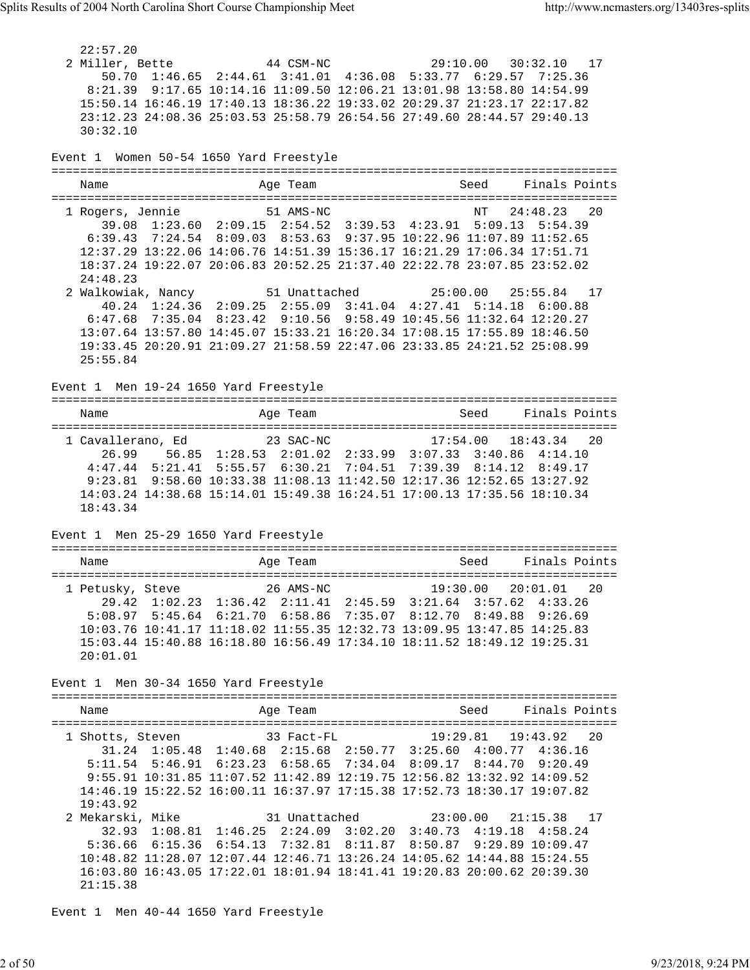22:57.20 2 Miller, Bette 44 CSM-NC 29:10.00 30:32.10 17 50.70 1:46.65 2:44.61 3:41.01 4:36.08 5:33.77 6:29.57 7:25.36 8:21.39 9:17.65 10:14.16 11:09.50 12:06.21 13:01.98 13:58.80 14:54.99 15:50.14 16:46.19 17:40.13 18:36.22 19:33.02 20:29.37 21:23.17 22:17.82 23:12.23 24:08.36 25:03.53 25:58.79 26:54.56 27:49.60 28:44.57 29:40.13 30:32.10 Event 1 Women 50-54 1650 Yard Freestyle =============================================================================== Name Age Team Seed Finals Points =============================================================================== 1 Rogers, Jennie 51 AMS-NC NT 24:48.23 20 39.08 1:23.60 2:09.15 2:54.52 3:39.53 4:23.91 5:09.13 5:54.39 6:39.43 7:24.54 8:09.03 8:53.63 9:37.95 10:22.96 11:07.89 11:52.65 12:37.29 13:22.06 14:06.76 14:51.39 15:36.17 16:21.29 17:06.34 17:51.71 18:37.24 19:22.07 20:06.83 20:52.25 21:37.40 22:22.78 23:07.85 23:52.02 24:48.23 2 Walkowiak, Nancy 51 Unattached 25:00.00 25:55.84 17 40.24 1:24.36 2:09.25 2:55.09 3:41.04 4:27.41 5:14.18 6:00.88 6:47.68 7:35.04 8:23.42 9:10.56 9:58.49 10:45.56 11:32.64 12:20.27 13:07.64 13:57.80 14:45.07 15:33.21 16:20.34 17:08.15 17:55.89 18:46.50 19:33.45 20:20.91 21:09.27 21:58.59 22:47.06 23:33.85 24:21.52 25:08.99 25:55.84 Event 1 Men 19-24 1650 Yard Freestyle =============================================================================== Name Age Team Seed Finals Points Age Team Seed Finals Points =============================================================================== 1 Cavallerano, Ed 23 SAC-NC 17:54.00 18:43.34 20 26.99 56.85 1:28.53 2:01.02 2:33.99 3:07.33 3:40.86 4:14.10 4:47.44 5:21.41 5:55.57 6:30.21 7:04.51 7:39.39 8:14.12 8:49.17 9:23.81 9:58.60 10:33.38 11:08.13 11:42.50 12:17.36 12:52.65 13:27.92 14:03.24 14:38.68 15:14.01 15:49.38 16:24.51 17:00.13 17:35.56 18:10.34 18:43.34 Event 1 Men 25-29 1650 Yard Freestyle =============================================================================== Name Team Age Team Seed Finals Points =============================================================================== 1 Petusky, Steve 26 AMS-NC 19:30.00 20:01.01 20 29.42 1:02.23 1:36.42 2:11.41 2:45.59 3:21.64 3:57.62 4:33.26 5:08.97 5:45.64 6:21.70 6:58.86 7:35.07 8:12.70 8:49.88 9:26.69 10:03.76 10:41.17 11:18.02 11:55.35 12:32.73 13:09.95 13:47.85 14:25.83 15:03.44 15:40.88 16:18.80 16:56.49 17:34.10 18:11.52 18:49.12 19:25.31 20:01.01 Event 1 Men 30-34 1650 Yard Freestyle =============================================================================== Name **Age Team** Age Team Seed Finals Points =============================================================================== 1 Shotts, Steven 33 Fact-FL 19:29.81 19:43.92 20 31.24 1:05.48 1:40.68 2:15.68 2:50.77 3:25.60 4:00.77 4:36.16 5:11.54 5:46.91 6:23.23 6:58.65 7:34.04 8:09.17 8:44.70 9:20.49 9:55.91 10:31.85 11:07.52 11:42.89 12:19.75 12:56.82 13:32.92 14:09.52 14:46.19 15:22.52 16:00.11 16:37.97 17:15.38 17:52.73 18:30.17 19:07.82 19:43.92 2 Mekarski, Mike 31 Unattached 23:00.00 21:15.38 17 32.93 1:08.81 1:46.25 2:24.09 3:02.20 3:40.73 4:19.18 4:58.24 5:36.66 6:15.36 6:54.13 7:32.81 8:11.87 8:50.87 9:29.89 10:09.47 10:48.82 11:28.07 12:07.44 12:46.71 13:26.24 14:05.62 14:44.88 15:24.55 16:03.80 16:43.05 17:22.01 18:01.94 18:41.41 19:20.83 20:00.62 20:39.30 21:15.38

Event 1 Men 40-44 1650 Yard Freestyle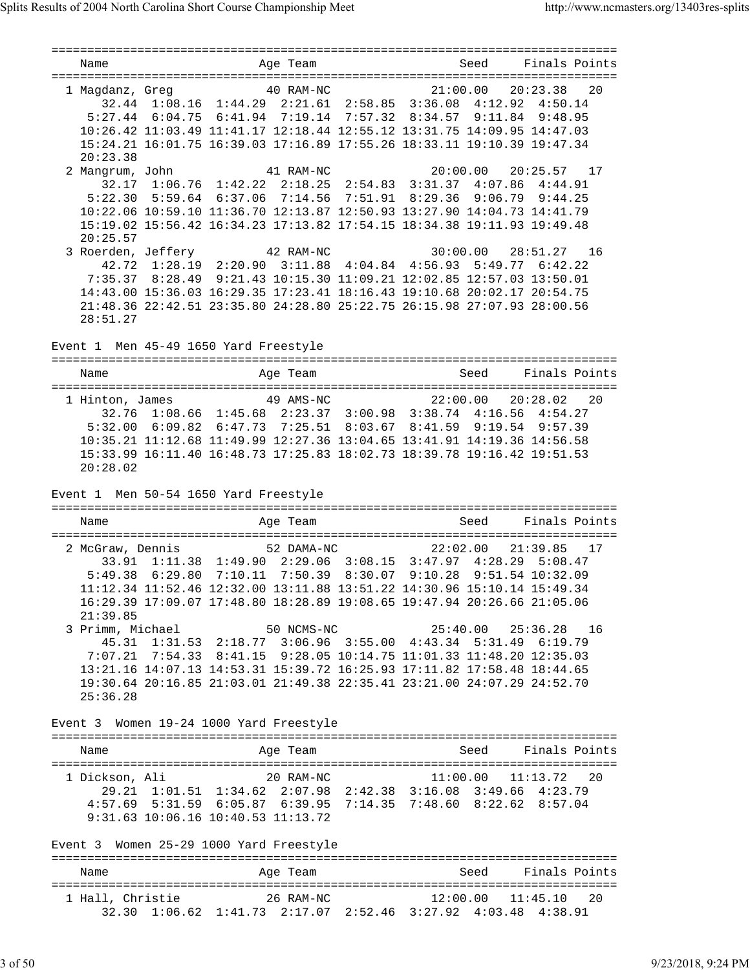=============================================================================== Name and Age Team Seed Finals Points =============================================================================== 1 Magdanz, Greg 40 RAM-NC 21:00.00 20:23.38 20 32.44 1:08.16 1:44.29 2:21.61 2:58.85 3:36.08 4:12.92 4:50.14 5:27.44 6:04.75 6:41.94 7:19.14 7:57.32 8:34.57 9:11.84 9:48.95 10:26.42 11:03.49 11:41.17 12:18.44 12:55.12 13:31.75 14:09.95 14:47.03 15:24.21 16:01.75 16:39.03 17:16.89 17:55.26 18:33.11 19:10.39 19:47.34 20:23.38 2 Mangrum, John 41 RAM-NC 20:00.00 20:25.57 17 32.17 1:06.76 1:42.22 2:18.25 2:54.83 3:31.37 4:07.86 4:44.91 5:22.30 5:59.64 6:37.06 7:14.56 7:51.91 8:29.36 9:06.79 9:44.25 10:22.06 10:59.10 11:36.70 12:13.87 12:50.93 13:27.90 14:04.73 14:41.79 15:19.02 15:56.42 16:34.23 17:13.82 17:54.15 18:34.38 19:11.93 19:49.48 20:25.57 3 Roerden, Jeffery 42 RAM-NC 30:00.00 28:51.27 16 42.72 1:28.19 2:20.90 3:11.88 4:04.84 4:56.93 5:49.77 6:42.22 7:35.37 8:28.49 9:21.43 10:15.30 11:09.21 12:02.85 12:57.03 13:50.01 14:43.00 15:36.03 16:29.35 17:23.41 18:16.43 19:10.68 20:02.17 20:54.75 21:48.36 22:42.51 23:35.80 24:28.80 25:22.75 26:15.98 27:07.93 28:00.56 28:51.27 Event 1 Men 45-49 1650 Yard Freestyle =============================================================================== Name Age Team Age Team =============================================================================== 1 Hinton, James 49 AMS-NC 22:00.00 20:28.02 20 32.76 1:08.66 1:45.68 2:23.37 3:00.98 3:38.74 4:16.56 4:54.27 5:32.00 6:09.82 6:47.73 7:25.51 8:03.67 8:41.59 9:19.54 9:57.39 10:35.21 11:12.68 11:49.99 12:27.36 13:04.65 13:41.91 14:19.36 14:56.58 15:33.99 16:11.40 16:48.73 17:25.83 18:02.73 18:39.78 19:16.42 19:51.53 20:28.02 Event 1 Men 50-54 1650 Yard Freestyle =============================================================================== Name and Age Team Seed Finals Points =============================================================================== 2 McGraw, Dennis 52 DAMA-NC 22:02.00 21:39.85 17 33.91 1:11.38 1:49.90 2:29.06 3:08.15 3:47.97 4:28.29 5:08.47 5:49.38 6:29.80 7:10.11 7:50.39 8:30.07 9:10.28 9:51.54 10:32.09 11:12.34 11:52.46 12:32.00 13:11.88 13:51.22 14:30.96 15:10.14 15:49.34 16:29.39 17:09.07 17:48.80 18:28.89 19:08.65 19:47.94 20:26.66 21:05.06 21:39.85 3 Primm, Michael 50 NCMS-NC 25:40.00 25:36.28 16 45.31 1:31.53 2:18.77 3:06.96 3:55.00 4:43.34 5:31.49 6:19.79 7:07.21 7:54.33 8:41.15 9:28.05 10:14.75 11:01.33 11:48.20 12:35.03 13:21.16 14:07.13 14:53.31 15:39.72 16:25.93 17:11.82 17:58.48 18:44.65 19:30.64 20:16.85 21:03.01 21:49.38 22:35.41 23:21.00 24:07.29 24:52.70 25:36.28 Event 3 Women 19-24 1000 Yard Freestyle =============================================================================== Name **Age Team** Age Team Seed Finals Points =============================================================================== 1 Dickson, Ali 20 RAM-NC 11:00.00 11:13.72 20 29.21 1:01.51 1:34.62 2:07.98 2:42.38 3:16.08 3:49.66 4:23.79 4:57.69 5:31.59 6:05.87 6:39.95 7:14.35 7:48.60 8:22.62 8:57.04 9:31.63 10:06.16 10:40.53 11:13.72 Event 3 Women 25-29 1000 Yard Freestyle =============================================================================== Name **Age Team** Age Team Seed Finals Points =============================================================================== 1 Hall, Christie 26 RAM-NC 12:00.00 11:45.10 20 32.30 1:06.62 1:41.73 2:17.07 2:52.46 3:27.92 4:03.48 4:38.91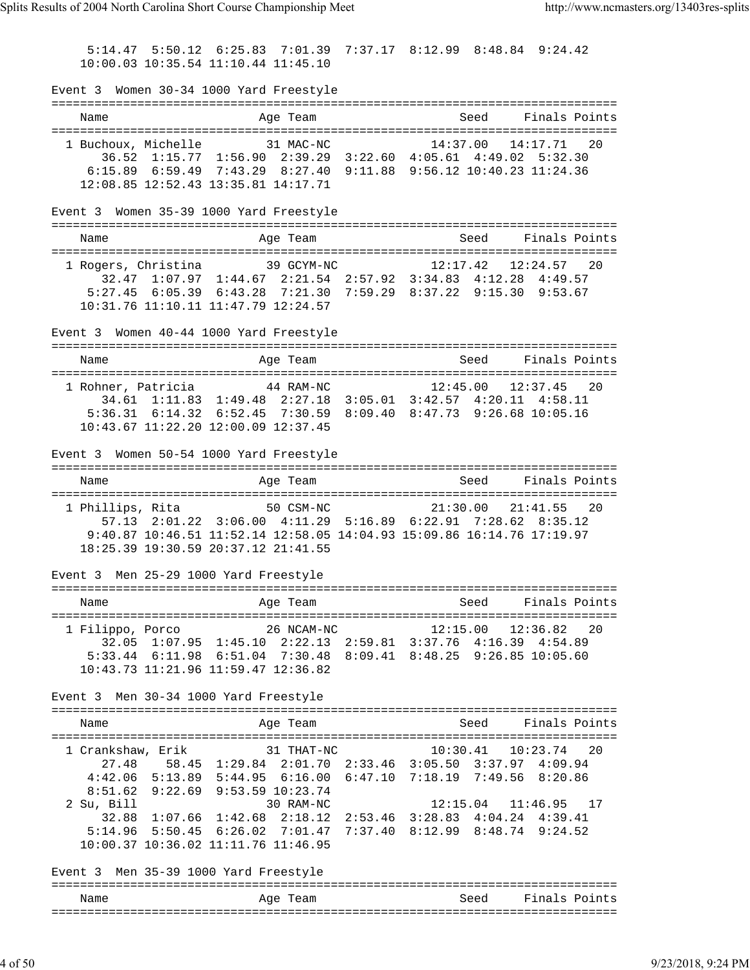5:14.47 5:50.12 6:25.83 7:01.39 7:37.17 8:12.99 8:48.84 9:24.42 10:00.03 10:35.54 11:10.44 11:45.10 Event 3 Women 30-34 1000 Yard Freestyle =============================================================================== Name Age Team Seed Finals Points =============================================================================== 1 Buchoux, Michelle 31 MAC-NC 14:37.00 14:17.71 20 36.52 1:15.77 1:56.90 2:39.29 3:22.60 4:05.61 4:49.02 5:32.30 6:15.89 6:59.49 7:43.29 8:27.40 9:11.88 9:56.12 10:40.23 11:24.36 12:08.85 12:52.43 13:35.81 14:17.71 Event 3 Women 35-39 1000 Yard Freestyle =============================================================================== Name Age Team Seed Finals Points =============================================================================== 1 Rogers, Christina 39 GCYM-NC 12:17.42 12:24.57 20 32.47 1:07.97 1:44.67 2:21.54 2:57.92 3:34.83 4:12.28 4:49.57 5:27.45 6:05.39 6:43.28 7:21.30 7:59.29 8:37.22 9:15.30 9:53.67 10:31.76 11:10.11 11:47.79 12:24.57 Event 3 Women 40-44 1000 Yard Freestyle =============================================================================== Name **Age Team** Age Team Seed Finals Points =============================================================================== 1 Rohner, Patricia 44 RAM-NC 12:45.00 12:37.45 20 34.61 1:11.83 1:49.48 2:27.18 3:05.01 3:42.57 4:20.11 4:58.11 5:36.31 6:14.32 6:52.45 7:30.59 8:09.40 8:47.73 9:26.68 10:05.16 10:43.67 11:22.20 12:00.09 12:37.45 Event 3 Women 50-54 1000 Yard Freestyle =============================================================================== Name and Age Team and Seed Finals Points =============================================================================== 1 Phillips, Rita 50 CSM-NC 21:30.00 21:41.55 20 57.13 2:01.22 3:06.00 4:11.29 5:16.89 6:22.91 7:28.62 8:35.12 9:40.87 10:46.51 11:52.14 12:58.05 14:04.93 15:09.86 16:14.76 17:19.97 18:25.39 19:30.59 20:37.12 21:41.55 Event 3 Men 25-29 1000 Yard Freestyle =============================================================================== Name Mage Team Age Team Seed Finals Points =============================================================================== 1 Filippo, Porco 26 NCAM-NC 12:15.00 12:36.82 20 32.05 1:07.95 1:45.10 2:22.13 2:59.81 3:37.76 4:16.39 4:54.89 5:33.44 6:11.98 6:51.04 7:30.48 8:09.41 8:48.25 9:26.85 10:05.60 10:43.73 11:21.96 11:59.47 12:36.82 Event 3 Men 30-34 1000 Yard Freestyle =============================================================================== Name **Age Team** Age Team Seed Finals Points =============================================================================== 1 Crankshaw, Erik 31 THAT-NC 10:30.41 10:23.74 20 27.48 58.45 1:29.84 2:01.70 2:33.46 3:05.50 3:37.97 4:09.94 4:42.06 5:13.89 5:44.95 6:16.00 6:47.10 7:18.19 7:49.56 8:20.86 8:51.62 9:22.69 9:53.59 10:23.74 2 Su, Bill 30 RAM-NC 12:15.04 11:46.95 17 32.88 1:07.66 1:42.68 2:18.12 2:53.46 3:28.83 4:04.24 4:39.41 5:14.96 5:50.45 6:26.02 7:01.47 7:37.40 8:12.99 8:48.74 9:24.52 10:00.37 10:36.02 11:11.76 11:46.95 Event 3 Men 35-39 1000 Yard Freestyle =============================================================================== Name and Age Team Seed Finals Points ===============================================================================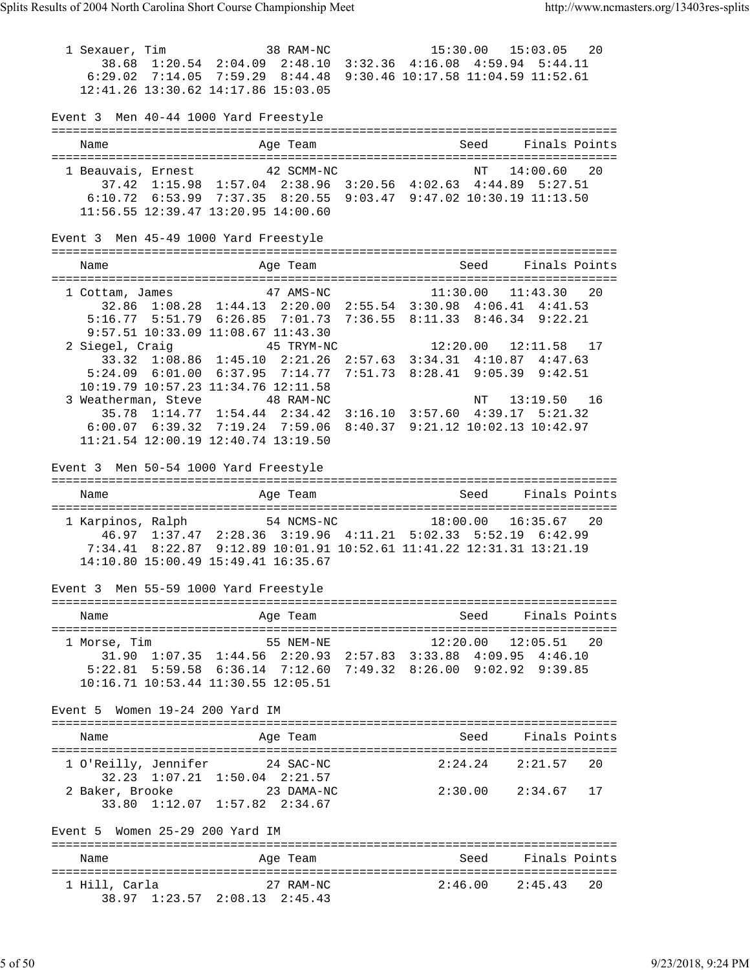1 Sexauer, Tim 38 RAM-NC 15:30.00 15:03.05 20 38.68 1:20.54 2:04.09 2:48.10 3:32.36 4:16.08 4:59.94 5:44.11 6:29.02 7:14.05 7:59.29 8:44.48 9:30.46 10:17.58 11:04.59 11:52.61 12:41.26 13:30.62 14:17.86 15:03.05 Event 3 Men 40-44 1000 Yard Freestyle =============================================================================== Name and Age Team Seed Finals Points =============================================================================== 1 Beauvais, Ernest 42 SCMM-NC 14:00.60 20 37.42 1:15.98 1:57.04 2:38.96 3:20.56 4:02.63 4:44.89 5:27.51 6:10.72 6:53.99 7:37.35 8:20.55 9:03.47 9:47.02 10:30.19 11:13.50 11:56.55 12:39.47 13:20.95 14:00.60 Event 3 Men 45-49 1000 Yard Freestyle =============================================================================== Name Team Age Team Seed Finals Points =============================================================================== 1 Cottam, James 47 AMS-NC 11:30.00 11:43.30 20 32.86 1:08.28 1:44.13 2:20.00 2:55.54 3:30.98 4:06.41 4:41.53 5:16.77 5:51.79 6:26.85 7:01.73 7:36.55 8:11.33 8:46.34 9:22.21 9:57.51 10:33.09 11:08.67 11:43.30 2 Siegel, Craig 45 TRYM-NC 12:20.00 12:11.58 17 33.32 1:08.86 1:45.10 2:21.26 2:57.63 3:34.31 4:10.87 4:47.63 5:24.09 6:01.00 6:37.95 7:14.77 7:51.73 8:28.41 9:05.39 9:42.51 10:19.79 10:57.23 11:34.76 12:11.58 3 Weatherman, Steve 48 RAM-NC 13:19.50 16 35.78 1:14.77 1:54.44 2:34.42 3:16.10 3:57.60 4:39.17 5:21.32 6:00.07 6:39.32 7:19.24 7:59.06 8:40.37 9:21.12 10:02.13 10:42.97 11:21.54 12:00.19 12:40.74 13:19.50 Event 3 Men 50-54 1000 Yard Freestyle =============================================================================== Name and Age Team Seed Finals Points =============================================================================== 1 Karpinos, Ralph 54 NCMS-NC 18:00.00 16:35.67 20 46.97 1:37.47 2:28.36 3:19.96 4:11.21 5:02.33 5:52.19 6:42.99 7:34.41 8:22.87 9:12.89 10:01.91 10:52.61 11:41.22 12:31.31 13:21.19 14:10.80 15:00.49 15:49.41 16:35.67 Event 3 Men 55-59 1000 Yard Freestyle =============================================================================== Name Age Team Seed Finals Points =============================================================================== 1 Morse, Tim 55 NEM-NE 12:20.00 12:05.51 20 31.90 1:07.35 1:44.56 2:20.93 2:57.83 3:33.88 4:09.95 4:46.10 5:22.81 5:59.58 6:36.14 7:12.60 7:49.32 8:26.00 9:02.92 9:39.85 10:16.71 10:53.44 11:30.55 12:05.51 Event 5 Women 19-24 200 Yard IM =============================================================================== Name Age Team Seed Finals Points =============================================================================== 1 O'Reilly, Jennifer 24 SAC-NC 2:24.24 2:21.57 20 32.23 1:07.21 1:50.04 2:21.57 2 Baker, Brooke 23 DAMA-NC 2:30.00 2:34.67 17 33.80 1:12.07 1:57.82 2:34.67 Event 5 Women 25-29 200 Yard IM =============================================================================== Name and Age Team Seed Finals Points =============================================================================== 1 Hill, Carla 27 RAM-NC 2:46.00 2:45.43 20 38.97 1:23.57 2:08.13 2:45.43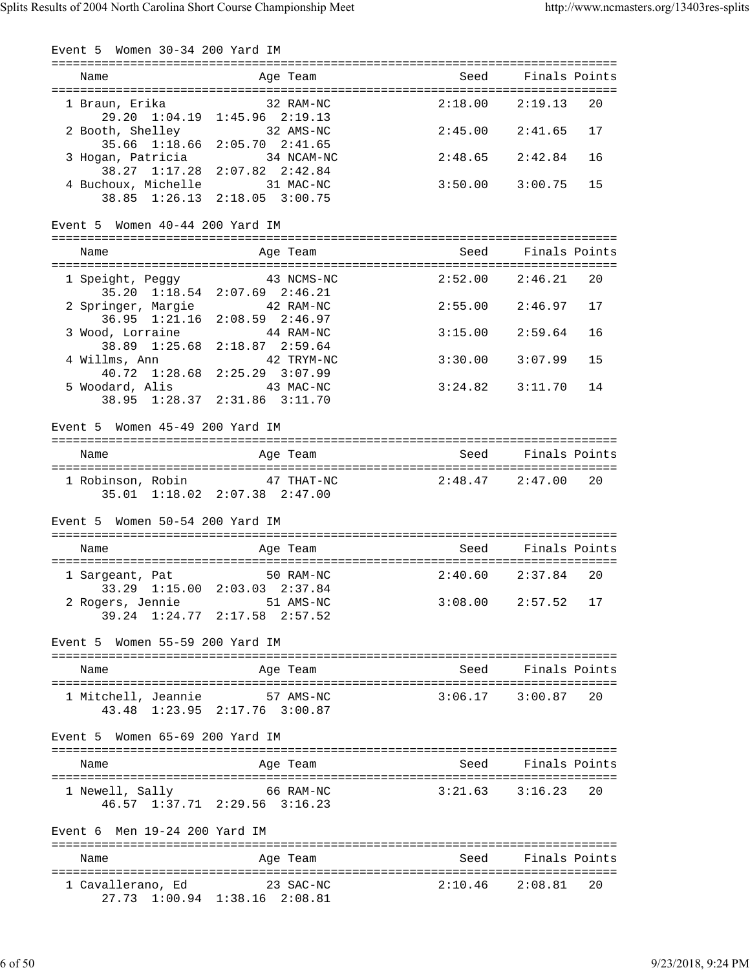Event 5 Women 30-34 200 Yard IM =============================================================================== Name and Age Team and Seed Finals Points =============================================================================== 1 Braun, Erika 32 RAM-NC 2:18.00 2:19.13 20 29.20 1:04.19 1:45.96 2:19.13 2 Booth, Shelley 32 AMS-NC 2:45.00 2:41.65 17 35.66 1:18.66 2:05.70 2:41.65 3 Hogan, Patricia 34 NCAM-NC 2:48.65 2:42.84 16 38.27 1:17.28 2:07.82 2:42.84 4 Buchoux, Michelle 31 MAC-NC 3:50.00 3:00.75 15 38.85 1:26.13 2:18.05 3:00.75 Event 5 Women 40-44 200 Yard IM =============================================================================== Name Age Team Seed Finals Points =============================================================================== 1 Speight, Peggy 43 NCMS-NC 2:52.00 2:46.21 20 35.20 1:18.54 2:07.69 2:46.21 2 Springer, Margie 42 RAM-NC 2:55.00 2:46.97 17 36.95 1:21.16 2:08.59 2:46.97 3 Wood, Lorraine 44 RAM-NC 3:15.00 2:59.64 16 38.89 1:25.68 2:18.87 2:59.64 4 Willms, Ann 42 TRYM-NC 3:30.00 3:07.99 15 40.72 1:28.68 2:25.29 3:07.99 43 MAC-NC 3:24.82 3:11.70 14 38.95 1:28.37 2:31.86 3:11.70 Event 5 Women 45-49 200 Yard IM =============================================================================== Name and Age Team Seed Finals Points =============================================================================== 1 Robinson, Robin 47 THAT-NC 2:48.47 2:47.00 20 35.01 1:18.02 2:07.38 2:47.00 Event 5 Women 50-54 200 Yard IM =============================================================================== Name and Age Team Seed Finals Points =============================================================================== 1 Sargeant, Pat 50 RAM-NC 2:40.60 2:37.84 20 33.29 1:15.00 2:03.03 2:37.84 2 Rogers, Jennie 51 AMS-NC 3:08.00 2:57.52 17 39.24 1:24.77 2:17.58 2:57.52 Event 5 Women 55-59 200 Yard IM =============================================================================== Name **Age Team** Age Team Seed Finals Points =============================================================================== 1 Mitchell, Jeannie 57 AMS-NC 43.48 1:23.95 2:17.76 3:00.87 Event 5 Women 65-69 200 Yard IM =============================================================================== Name Age Team Seed Finals Points =============================================================================== 1 Newell, Sally 66 RAM-NC 3:21.63 3:16.23 20 46.57 1:37.71 2:29.56 3:16.23 Event 6 Men 19-24 200 Yard IM =============================================================================== Name Age Team =============================================================================== 1 Cavallerano, Ed 23 SAC-NC 2:10.46 2:08.81 20 27.73 1:00.94 1:38.16 2:08.81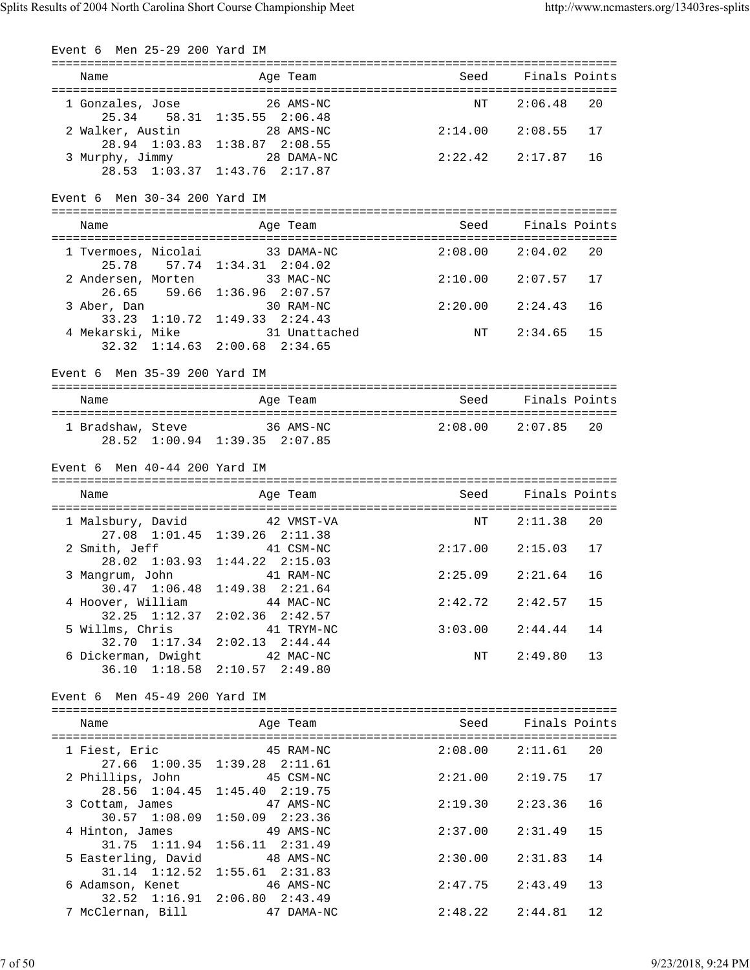| Event 6 Men 25-29 200 Yard IM              |                                                                              |                     |               |    |
|--------------------------------------------|------------------------------------------------------------------------------|---------------------|---------------|----|
| Name                                       | Age Team                                                                     | Seed                | Finals Points |    |
| 1 Gonzales, Jose                           | 26 AMS-NC<br>25.34 58.31 1:35.55 2:06.48                                     | ΝT                  | 2:06.48       | 20 |
| 2 Walker, Austin                           | 28 AMS-NC<br>28.94 1:03.83 1:38.87 2:08.55                                   | 2:14.00             | 2:08.55       | 17 |
| 3 Murphy, Jimmy 28 DAMA-NC                 | 28.53 1:03.37 1:43.76 2:17.87                                                | 2:22.42             | 2:17.87       | 16 |
| Event 6 Men 30-34 200 Yard IM              |                                                                              |                     |               |    |
| Name                                       | Age Team                                                                     | Seed Seed           | Finals Points |    |
| 1 Tvermoes, Nicolai 33 DAMA-NC             |                                                                              | 2:08.00             | 2:04.02       | 20 |
| 25.78<br>2 Andersen, Morten                | 57.74 1:34.31 2:04.02<br>33 MAC-NC<br>26.65 59.66 1:36.96 2:07.57            | $2:10.00$ $2:07.57$ |               | 17 |
| 3 Aber, Dan<br>33.23 1:10.72               | 30 RAM-NC<br>$1:49.33$ $2:24.43$                                             | $2:20.00$ $2:24.43$ |               | 16 |
| 4 Mekarski, Mike<br>$32.32 \quad 1:14.63$  | 31 Unattached<br>$2:00.68$ $2:34.65$                                         | NT                  | 2:34.65       | 15 |
| Event 6 Men 35-39 200 Yard IM              |                                                                              |                     |               |    |
| Name                                       | Age Team                                                                     | Seed                | Finals Points |    |
| 1 Bradshaw, Steve 36 AMS-NC                | 28.52 1:00.94 1:39.35 2:07.85                                                | $2:08.00$ $2:07.85$ |               | 20 |
| Event $6$ Men $40-44$ 200 Yard IM          |                                                                              |                     |               |    |
|                                            |                                                                              |                     |               |    |
| Name                                       | Age Team                                                                     | Seed                | Finals Points |    |
| 1 Malsbury, David                          | 42 VMST-VA                                                                   | ΝT                  | 2:11.38       | 20 |
| 2 Smith, Jeff                              | 27.08 1:01.45 1:39.26 2:11.38<br>41 CSM-NC                                   | 2:17.00             | 2:15.03       | 17 |
| 3 Mangrum, John 41 RAM-NC                  | 28.02 1:03.93 1:44.22 2:15.03                                                | $2:25.09$ $2:21.64$ |               | 16 |
| $30.47 \quad 1:06.48$<br>4 Hoover, William | $1:49.38$ $2:21.64$<br>44 MAC-NC                                             | 2:42.72             | 2:42.57       | 15 |
| 5 Willms, Chris                            | 32.25 1:12.37 2:02.36 2:42.57<br>41 TRYM-NC<br>32.70 1:17.34 2:02.13 2:44.44 | 3:03.00             | 2:44.44       | 14 |
| 6 Dickerman, Dwight 42 MAC-NC              | 36.10 1:18.58 2:10.57 2:49.80                                                | NT                  | 2:49.80       | 13 |
| Event 6 Men 45-49 200 Yard IM              |                                                                              |                     |               |    |
| Name                                       | Age Team                                                                     | Seed                | Finals Points |    |
| 1 Fiest, Eric                              | 45 RAM-NC                                                                    | $2:08.00$ $2:11.61$ |               | 20 |
| 2 Phillips, John                           | 27.66 1:00.35 1:39.28 2:11.61<br>45 CSM-NC                                   | 2:21.00             | 2:19.75       | 17 |
| 28.56 1:04.45<br>3 Cottam, James           | $1:45.40$ $2:19.75$<br>47 AMS-NC                                             | 2:19.30             | 2:23.36       | 16 |
| 30.57 1:08.09<br>4 Hinton, James           | $1:50.09$ $2:23.36$<br>49 AMS-NC                                             | 2:37.00             | 2:31.49       | 15 |
| 31.75 1:11.94<br>5 Easterling, David       | $1:56.11$ $2:31.49$<br>48 AMS-NC                                             | 2:30.00             | 2:31.83       | 14 |
| $31.14$ $1:12.52$<br>6 Adamson, Kenet      | $1:55.61$ $2:31.83$<br>46 AMS-NC<br>32.52 1:16.91 2:06.80 2:43.49            | 2:47.75             | 2:43.49       | 13 |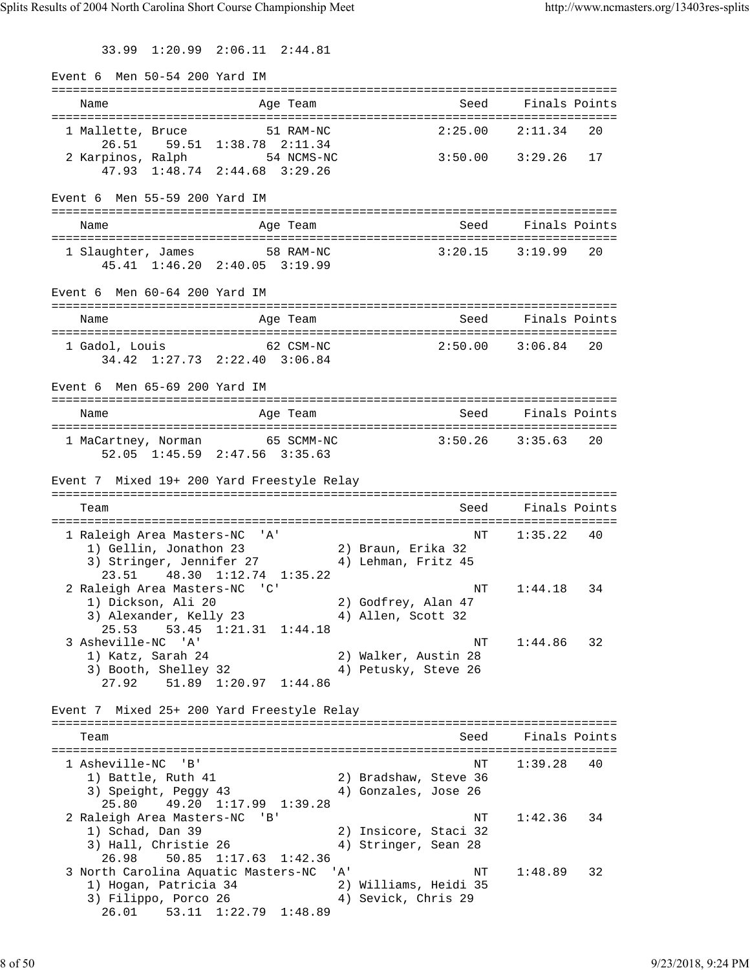33.99 1:20.99 2:06.11 2:44.81

Event 6 Men 50-54 200 Yard IM =============================================================================== Age Team Seed Finals Points =============================================================================== 1 Mallette, Bruce 51 RAM-NC 2:25.00 2:11.34 20 26.51 59.51 1:38.78 2:11.34 2 Karpinos, Ralph 54 NCMS-NC 3:50.00 3:29.26 17 47.93 1:48.74 2:44.68 3:29.26 Event 6 Men 55-59 200 Yard IM =============================================================================== Name and Age Team Seed Finals Points =============================================================================== 1 Slaughter, James 58 RAM-NC 3:20.15 3:19.99 20 45.41 1:46.20 2:40.05 3:19.99 Event 6 Men 60-64 200 Yard IM =============================================================================== Name and Age Team Seed Finals Points =============================================================================== 1 Gadol, Louis 62 CSM-NC 34.42 1:27.73 2:22.40 3:06.84 Event 6 Men 65-69 200 Yard IM =============================================================================== Name Age Team Seed Finals Points =============================================================================== 1 MaCartney, Norman 65 SCMM-NC 3:50.26 3:35.63 20 52.05 1:45.59 2:47.56 3:35.63 Event 7 Mixed 19+ 200 Yard Freestyle Relay =============================================================================== Team Seed Finals Points =============================================================================== 1 Raleigh Area Masters-NC 'A' NT 1:35.22 40 1) Gellin, Jonathon 23 2) Braun, Erika 32 3) Stringer, Jennifer 27 4) Lehman, Fritz 45 23.51 48.30 1:12.74 1:35.22 2 Raleigh Area Masters-NC 'C' NT 1:44.18 34 1) Dickson, Ali 20 2) Godfrey, Alan 47 3) Alexander, Kelly 23 (4) Allen, Scott 32 25.53 53.45 1:21.31 1:44.18 3 Asheville-NC 'A' NT 1:44.86 32 1) Katz, Sarah 24 2) Walker, Austin 28 3) Booth, Shelley 32 (4) Petusky, Steve 26 27.92 51.89 1:20.97 1:44.86 Event 7 Mixed 25+ 200 Yard Freestyle Relay =============================================================================== Team Seed Finals Points =============================================================================== 1 Asheville-NC 'B' NT 1:39.28 40 1) Battle, Ruth 41 2) Bradshaw, Steve 36 3) Speight, Peggy 43 4) Gonzales, Jose 26 25.80 49.20 1:17.99 1:39.28 2 Raleigh Area Masters-NC 'B' National Research MT 1:42.36 34 1) Schad, Dan 39 2) Insicore, Staci 32 3) Hall, Christie 26 (4) Stringer, Sean 28 26.98 50.85 1:17.63 1:42.36 3 North Carolina Aquatic Masters-NC 'A' NT 1:48.89 32 1) Hogan, Patricia 34 2) Williams, Heidi 35 3) Filippo, Porco 26 4) Sevick, Chris 29 26.01 53.11 1:22.79 1:48.89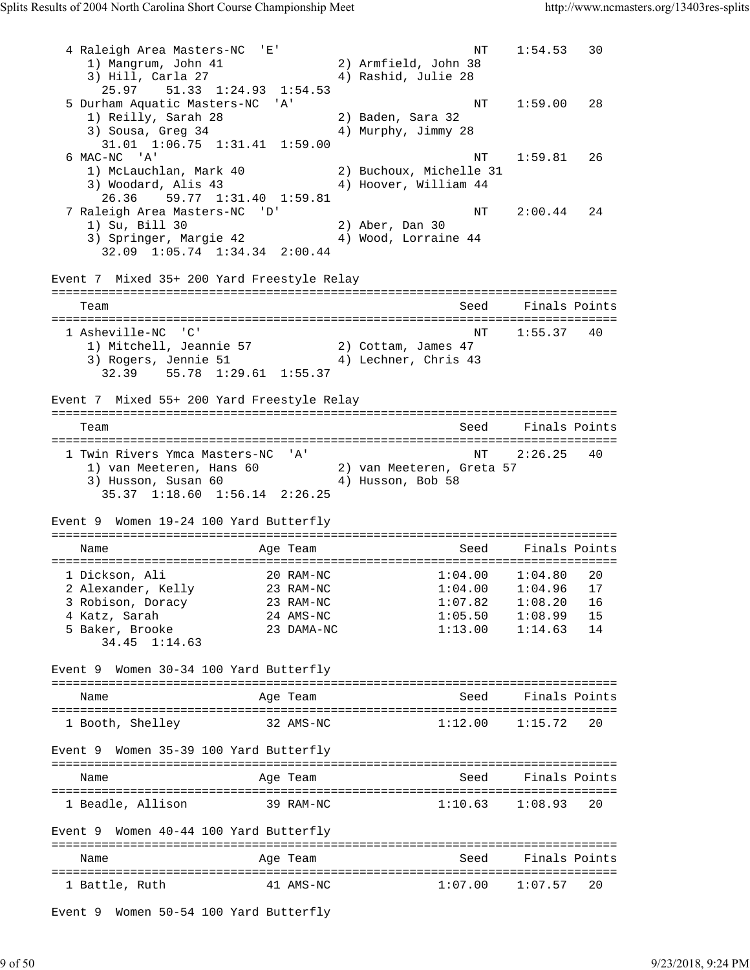4 Raleigh Area Masters-NC 'E' 1:54.53 30<br>1) Mangrum, John 41 2) Armfield, John 38 1) Mangrum, John 41 3) Hill, Carla 27 (4) Rashid, Julie 28 25.97 51.33 1:24.93 1:54.53 5 Durham Aquatic Masters-NC 'A' NT 1:59.00 28 1) Reilly, Sarah 28 2) Baden, Sara 32 3) Sousa, Greg 34 4) Murphy, Jimmy 28 31.01 1:06.75 1:31.41 1:59.00 6 MAC-NC 'A' NT 1:59.81 26 1) McLauchlan, Mark 40 2) Buchoux, Michelle 31 3) Woodard, Alis 43 4) Hoover, William 44 26.36 59.77 1:31.40 1:59.81 7 Raleigh Area Masters-NC 'D' 11 MT 2:00.44 24<br>
1) Su, Bill 30 2) Aber, Dan 30<br>
3) Springer Marcio 42 1) Su, Bill 30 2) Aber, Dan 30 3) Springer, Margie 42 4) Wood, Lorraine 44 32.09 1:05.74 1:34.34 2:00.44 Event 7 Mixed 35+ 200 Yard Freestyle Relay =============================================================================== Team Seed Finals Points =============================================================================== 1 Asheville-NC 'C' NT 1:55.37 40 1) Mitchell, Jeannie 57 2) Cottam, James 47 3) Rogers, Jennie 51 (4) Lechner, Chris 43 32.39 55.78 1:29.61 1:55.37 Event 7 Mixed 55+ 200 Yard Freestyle Relay =============================================================================== Team Seed Finals Points =============================================================================== 1 Twin Rivers Ymca Masters-NC 'A' 1) van Meeteren, Hans 60 2) van Meeteren, Greta 57 3) Husson, Susan 60 4) Husson, Bob 58 35.37 1:18.60 1:56.14 2:26.25 Event 9 Women 19-24 100 Yard Butterfly =============================================================================== Name and Age Team Seed Finals Points =============================================================================== 1 Dickson, Ali 20 RAM-NC 1:04.00 1:04.80 20 2 Alexander, Kelly 23 RAM-NC 1:04.00 1:04.96 17 3 Robison, Doracy 23 RAM-NC 1:07.82 1:08.20 16 4 Katz, Sarah 24 AMS-NC 1:05.50 1:08.99 15 5 Baker, Brooke 23 DAMA-NC 1:13.00 1:14.63 14 34.45 1:14.63 Event 9 Women 30-34 100 Yard Butterfly =============================================================================== Name and Age Team Seed Finals Points =============================================================================== 1 Booth, Shelley 32 AMS-NC 1:12.00 1:15.72 20 Event 9 Women 35-39 100 Yard Butterfly =============================================================================== Name **Age Team** Age Team Seed Finals Points =============================================================================== 1 Beadle, Allison 39 RAM-NC 1:10.63 1:08.93 20 Event 9 Women 40-44 100 Yard Butterfly =============================================================================== Name and Age Team Seed Finals Points =============================================================================== 1 Battle, Ruth 41 AMS-NC 1:07.00 1:07.57 20 Event 9 Women 50-54 100 Yard Butterfly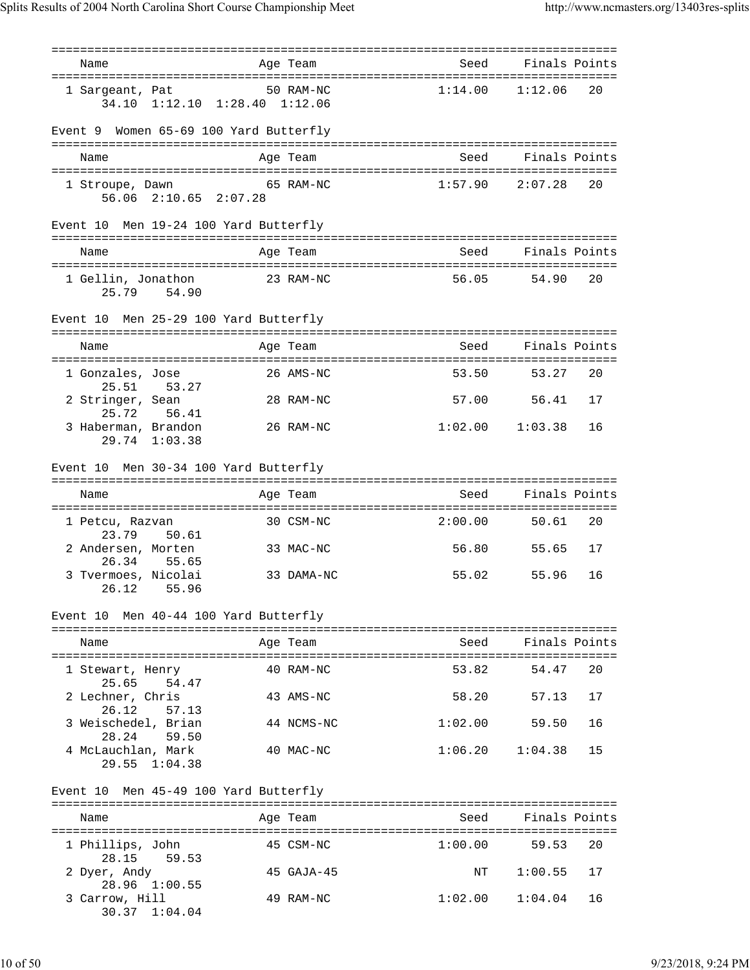| Name                                                | Age Team        | seed Seed Seed Seed Seed Seed Sections and Section Section Section Section Section Section Section Section Se | Finals Points             |
|-----------------------------------------------------|-----------------|---------------------------------------------------------------------------------------------------------------|---------------------------|
|                                                     | 50 RAM-NC       | 1:14.00                                                                                                       | 1:12.06<br>20             |
| 1 Sargeant, Pat<br>34.10 1:12.10 1:28.40 1:12.06    |                 |                                                                                                               |                           |
| Event 9 Women 65-69 100 Yard Butterfly              |                 |                                                                                                               |                           |
| Name                                                | Age Team        | Seed                                                                                                          | Finals Points             |
| 1 Stroupe, Dawn 65 RAM-NC<br>56.06 2:10.65 2:07.28  |                 |                                                                                                               | $1:57.90$ $2:07.28$<br>20 |
| Event 10 Men 19-24 100 Yard Butterfly               |                 |                                                                                                               |                           |
| Name                                                | Age Team        | Seed                                                                                                          | Finals Points             |
| 1 Gellin, Jonathon<br>25.79 54.90                   | 23 RAM-NC       | 56.05                                                                                                         | 54.90<br>20               |
| Event 10 Men 25-29 100 Yard Butterfly               |                 |                                                                                                               |                           |
| Name                                                | Age Team        |                                                                                                               | Seed Finals Points        |
| 1 Gonzales, Jose<br>25.51 53.27                     | 26 AMS-NC       | 53.50                                                                                                         | 20<br>53.27               |
| 2 Stringer, Sean                                    | 28 RAM-NC       | 57.00                                                                                                         | 56.41<br>17               |
| 25.72 56.41<br>3 Haberman, Brandon<br>29.74 1:03.38 | 26 RAM-NC       |                                                                                                               | $1:02.00$ $1:03.38$<br>16 |
| Event 10 Men 30-34 100 Yard Butterfly               |                 |                                                                                                               |                           |
| Name                                                | Age Team        | Seed                                                                                                          | Finals Points             |
| 1 Petcu, Razvan                                     | 30 CSM-NC       | 2:00.00                                                                                                       | 50.61<br>20               |
| 23.79 50.61<br>2 Andersen, Morten                   | 33 MAC-NC       | 56.80                                                                                                         | 55.65<br>17               |
| 26.34 55.65                                         |                 |                                                                                                               | 16                        |
| 3 Tvermoes, Nicolai<br>26.12<br>55.96               | 33 DAMA-NC      | 55.02                                                                                                         | 55.96                     |
| Event 10 Men 40-44 100 Yard Butterfly               |                 |                                                                                                               |                           |
| Name                                                | Age Team        | Seed                                                                                                          | Finals Points             |
| 1 Stewart, Henry                                    | 40 RAM-NC       | 53.82                                                                                                         | 54.47<br>20               |
| 25.65<br>54.47<br>2 Lechner, Chris                  | 43 AMS-NC       | 58.20                                                                                                         | 57.13<br>17               |
| 26.12<br>57.13<br>3 Weischedel, Brian               | 44 NCMS-NC      | 1:02.00                                                                                                       | 59.50<br>16               |
| 28.24<br>59.50<br>4 McLauchlan, Mark                | 40 MAC-NC       | 1:06.20                                                                                                       | 1:04.38<br>15             |
| $29.55 \quad 1:04.38$                               |                 |                                                                                                               |                           |
| Event 10 Men 45-49 100 Yard Butterfly               |                 |                                                                                                               |                           |
| Name                                                | Age Team        | Seed                                                                                                          | Finals Points             |
| 1 Phillips, John<br>28.15<br>59.53                  | 45 CSM-NC       | 1:00.00                                                                                                       | 59.53<br>20               |
| 2 Dyer, Andy                                        | $45$ GAJA- $45$ | NΤ                                                                                                            | 1:00.55<br>17             |
| 28.96 1:00.55                                       |                 |                                                                                                               |                           |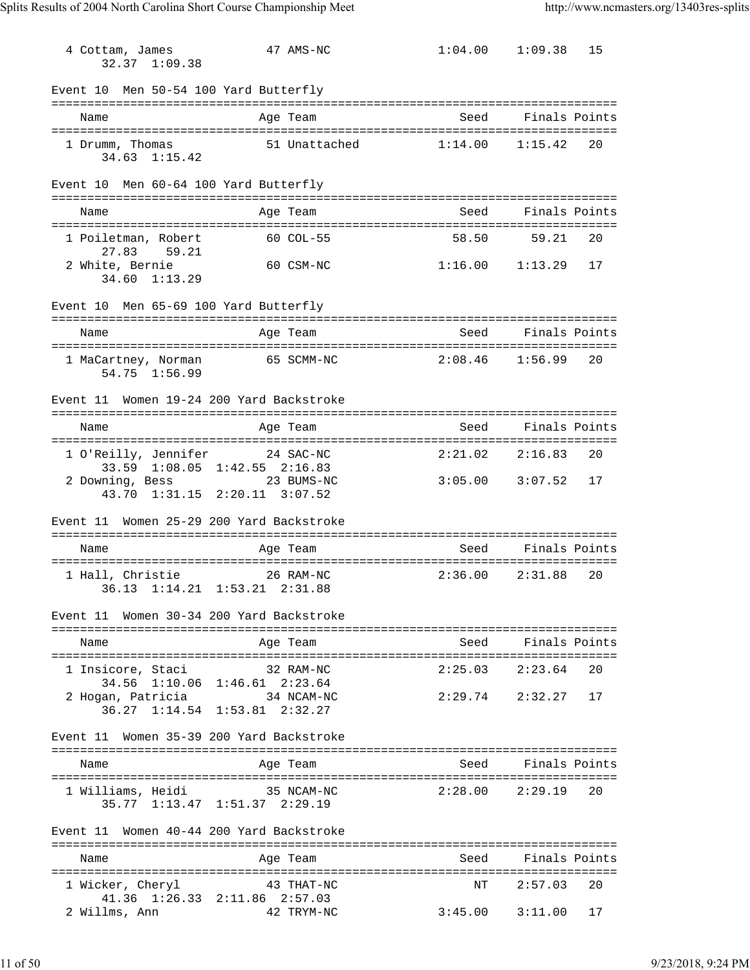| 4 Cottam, James<br>32.37 1:09.38                                                             |               | 47 AMS-NC  |                        | $1:04.00$ $1:09.38$    | 15 |
|----------------------------------------------------------------------------------------------|---------------|------------|------------------------|------------------------|----|
| Event 10 Men 50-54 100 Yard Butterfly                                                        |               |            |                        |                        |    |
| Name                                                                                         |               | Age Team   |                        | Seed Finals Points     |    |
| 1 Drumm, Thomas<br>$34.63 \quad 1:15.42$                                                     | 51 Unattached |            | 1:14.00                | 1:15.42                | 20 |
| Event 10 Men 60-64 100 Yard Butterfly                                                        |               |            |                        |                        |    |
| Name                                                                                         |               | Age Team   | Seed                   | Finals Points          |    |
| 1 Poiletman, Robert<br>27.83 59.21                                                           |               | 60 COL-55  | 58.50                  | 59.21                  | 20 |
| 2 White, Bernie<br>34.60 1:13.29                                                             |               | 60 CSM-NC  | $1:16.00$ $1:13.29$ 17 |                        |    |
| Event 10 Men 65-69 100 Yard Butterfly                                                        |               |            |                        |                        |    |
| Name                                                                                         |               | Age Team   | Seed                   | Finals Points          |    |
| 1 MaCartney, Norman<br>54.75 1:56.99                                                         |               | 65 SCMM-NC |                        | $2:08.46$ $1:56.99$ 20 |    |
| Event 11 Women 19-24 200 Yard Backstroke                                                     |               |            |                        |                        |    |
| Name                                                                                         |               | Age Team   |                        | Seed Finals Points     |    |
| 1 O'Reilly, Jennifer 24 SAC-NC                                                               |               |            | $2:21.02$ $2:16.83$    |                        | 20 |
| 33.59 1:08.05 1:42.55 2:16.83<br>2 Downing, Bess 23 BUMS-NC<br>43.70 1:31.15 2:20.11 3:07.52 |               |            | $3:05.00$ $3:07.52$ 17 |                        |    |
| Women 25-29 200 Yard Backstroke<br>Event 11                                                  |               |            |                        |                        |    |
| Name                                                                                         |               | Age Team   | Seed                   | Finals Points          |    |
| 1 Hall, Christie<br>36.13 1:14.21 1:53.21 2:31.88                                            | 26 RAM-NC     |            |                        | $2:36.00$ $2:31.88$    | 20 |
| Women 30-34 200 Yard Backstroke<br>Event 11                                                  |               |            |                        |                        |    |
| Name                                                                                         |               | Age Team   |                        | Seed Finals Points     |    |
| 1 Insicore, Staci<br>34.56 1:10.06 1:46.61 2:23.64                                           |               | 32 RAM-NC  | 2:25.03                | 2:23.64                | 20 |
| 2 Hogan, Patricia 34 NCAM-NC<br>36.27 1:14.54 1:53.81 2:32.27                                |               |            |                        | 2:29.74 2:32.27        | 17 |
| Women 35-39 200 Yard Backstroke<br>Event 11                                                  |               |            |                        |                        |    |
| Name                                                                                         |               | Age Team   | Seed                   | Finals Points          |    |
| 1 Williams, Heidi<br>35.77 1:13.47 1:51.37 2:29.19                                           | 35 NCAM-NC    |            | 2:28.00                | 2:29.19                | 20 |
| Event 11 Women 40-44 200 Yard Backstroke                                                     |               |            |                        |                        |    |
| Name                                                                                         |               | Age Team   | Seed                   | Finals Points          |    |
| 1 Wicker, Cheryl<br>41.36 1:26.33 2:11.86 2:57.03                                            |               | 43 THAT-NC | NΤ                     | 2:57.03                | 20 |
| 2 Willms, Ann                                                                                | 42 TRYM-NC    |            | $3:45.00$ $3:11.00$ 17 |                        |    |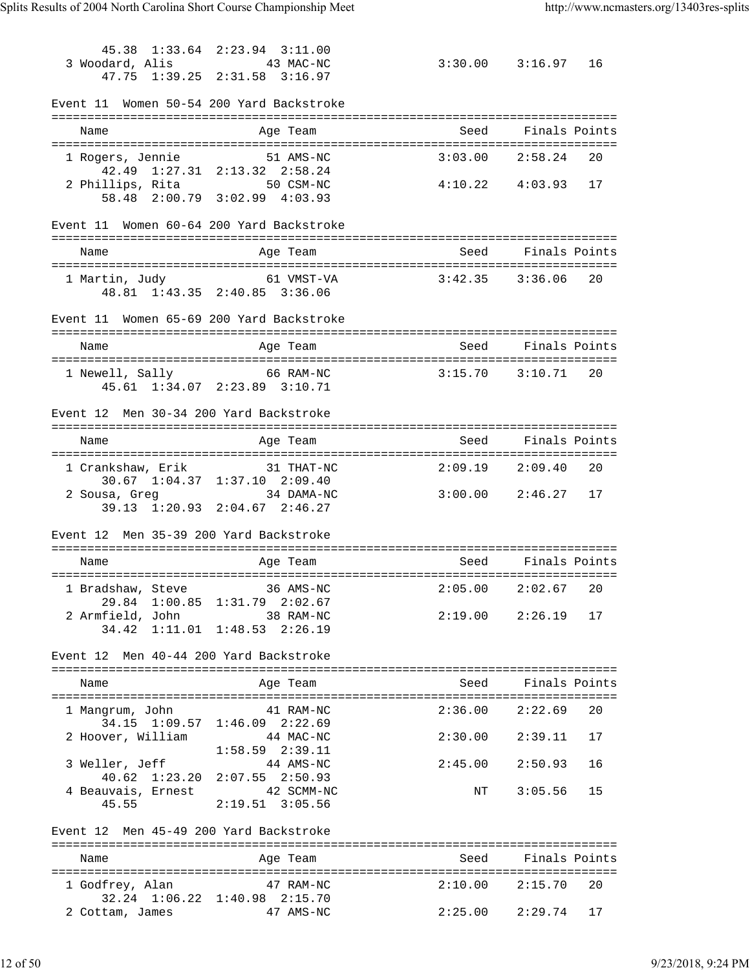45.38 1:33.64 2:23.94 3:11.00 3 Woodard, Alis 43 MAC-NC 3:30.00 3:16.97 16 47.75 1:39.25 2:31.58 3:16.97 Event 11 Women 50-54 200 Yard Backstroke =============================================================================== Name Age Team Seed Finals Points =============================================================================== 1 Rogers, Jennie 51 AMS-NC 3:03.00 2:58.24 20 42.49 1:27.31 2:13.32 2:58.24 2 Phillips, Rita 50 CSM-NC 4:10.22 4:03.93 17 58.48 2:00.79 3:02.99 4:03.93 Event 11 Women 60-64 200 Yard Backstroke =============================================================================== Name **Age Team** Age Team Seed Finals Points =============================================================================== 1 Martin, Judy 61 VMST-VA 3:42.35 3:36.06 20 48.81 1:43.35 2:40.85 3:36.06 Event 11 Women 65-69 200 Yard Backstroke =============================================================================== Name and Age Team Seed Finals Points =============================================================================== 1 Newell, Sally 66 RAM-NC 3:15.70 3:10.71 20 45.61 1:34.07 2:23.89 3:10.71 Event 12 Men 30-34 200 Yard Backstroke =============================================================================== Name Age Team Seed Finals Points =============================================================================== 1 Crankshaw, Erik 31 THAT-NC 2:09.19 2:09.40 20 30.67 1:04.37 1:37.10 2:09.40 2 Sousa, Greg 34 DAMA-NC 3:00.00 2:46.27 17 39.13 1:20.93 2:04.67 2:46.27 Event 12 Men 35-39 200 Yard Backstroke =============================================================================== Name Age Team Seed Finals Points =============================================================================== 1 Bradshaw, Steve 36 AMS-NC 2:05.00 2:02.67 20 29.84 1:00.85 1:31.79 2:02.67 2 Armfield, John 38 RAM-NC 2:19.00 2:26.19 17 34.42 1:11.01 1:48.53 2:26.19 Event 12 Men 40-44 200 Yard Backstroke =============================================================================== Name Age Team Seed Finals Points =============================================================================== 1 Mangrum, John 41 RAM-NC 2:36.00 2:22.69 20<br>34.15 1:09.57 1:46.09 2:22.69 34.15 1:09.57 1:46.09 2:22.69 2 Hoover, William 44 MAC-NC 2:30.00 2:39.11 17  $1:58.59$   $2:39.11$  3 Weller, Jeff 44 AMS-NC 2:45.00 2:50.93 16 40.62 1:23.20 2:07.55 2:50.93 4 Beauvais, Ernest 42 SCMM-NC NT 3:05.56 15 45.55 2:19.51 3:05.56 Event 12 Men 45-49 200 Yard Backstroke =============================================================================== Name and Age Team Seed Finals Points =============================================================================== 1 Godfrey, Alan 47 RAM-NC 2:10.00 2:15.70 20 32.24 1:06.22 1:40.98 2:15.70 2 Cottam, James 47 AMS-NC 2:25.00 2:29.74 17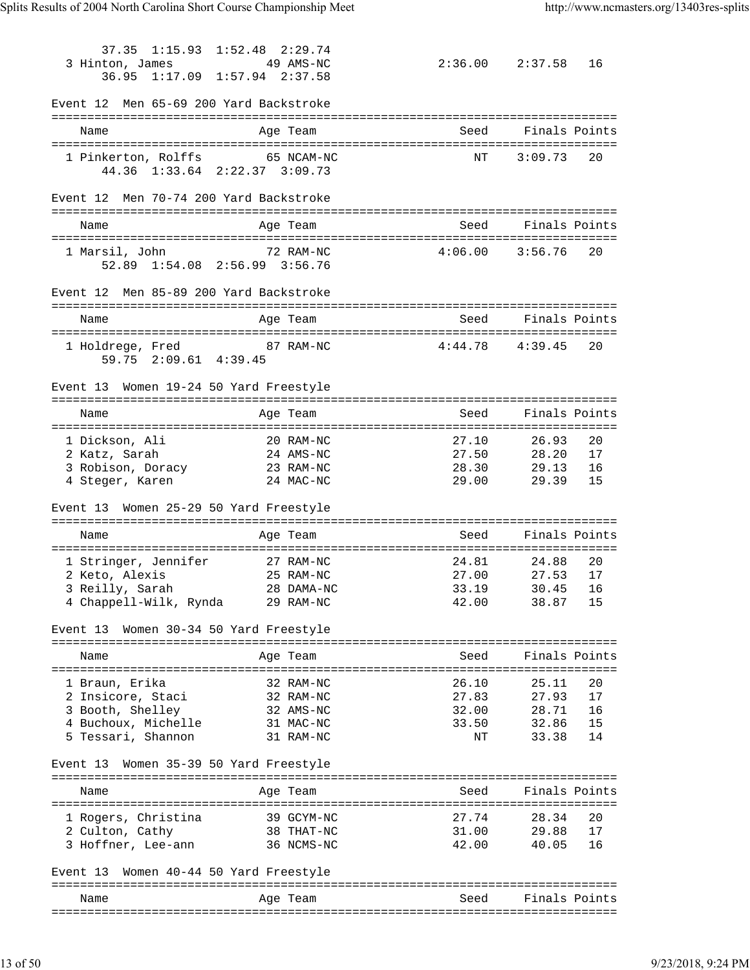37.35 1:15.93 1:52.48 2:29.74 3 Hinton, James 49 AMS-NC 2:36.00 2:37.58 16 36.95 1:17.09 1:57.94 2:37.58 Event 12 Men 65-69 200 Yard Backstroke =============================================================================== Name Age Team Seed Finals Points =============================================================================== 1 Pinkerton, Rolffs 65 NCAM-NC 1 NT 3:09.73 20 44.36 1:33.64 2:22.37 3:09.73 Event 12 Men 70-74 200 Yard Backstroke =============================================================================== Name and Age Team Seed Finals Points =============================================================================== 1 Marsil, John 72 RAM-NC 4:06.00 3:56.76 20 52.89 1:54.08 2:56.99 3:56.76 Event 12 Men 85-89 200 Yard Backstroke =============================================================================== Name and Age Team Seed Finals Points =============================================================================== 1 Holdrege, Fred 87 RAM-NC 4:44.78 4:39.45 20 59.75 2:09.61 4:39.45 Event 13 Women 19-24 50 Yard Freestyle =============================================================================== Name and Age Team Seed Finals Points =============================================================================== 1 Dickson, Ali 20 RAM-NC 27.10 26.93 20 2 Katz, Sarah 24 AMS-NC 27.50 28.20 17 3 Robison, Doracy 23 RAM-NC 28.30 29.13 16 4 Steger, Karen 24 MAC-NC 29.00 29.39 15 Event 13 Women 25-29 50 Yard Freestyle =============================================================================== Name and Age Team Seed Finals Points =============================================================================== 1 Stringer, Jennifer 27 RAM-NC 24.81 24.88 20 2 Keto, Alexis 25 RAM-NC 27.00 27.53 17 3 Reilly, Sarah 28 DAMA-NC 33.19 30.45 16 4 Chappell-Wilk, Rynda 29 RAM-NC 42.00 38.87 15 Event 13 Women 30-34 50 Yard Freestyle =============================================================================== Name Age Team Seed Finals Points =============================================================================== 1 Braun, Erika 32 RAM-NC 26.10 25.11 20 2 Insicore, Staci 32 RAM-NC 27.83 27.93 17 3 Booth, Shelley 32 AMS-NC 32.00 28.71 16 4 Buchoux, Michelle 31 MAC-NC 33.50 32.86 15 5 Tessari, Shannon 31 RAM-NC NT 33.38 14 Event 13 Women 35-39 50 Yard Freestyle =============================================================================== Name and Age Team and Seed Finals Points =============================================================================== 1 Rogers, Christina 39 GCYM-NC 27.74 28.34 20 2 Culton, Cathy 38 THAT-NC 31.00 29.88 17 3 Hoffner, Lee-ann 36 NCMS-NC 42.00 40.05 16 Event 13 Women 40-44 50 Yard Freestyle =============================================================================== Name **Age Team** Age Team Seed Finals Points ===============================================================================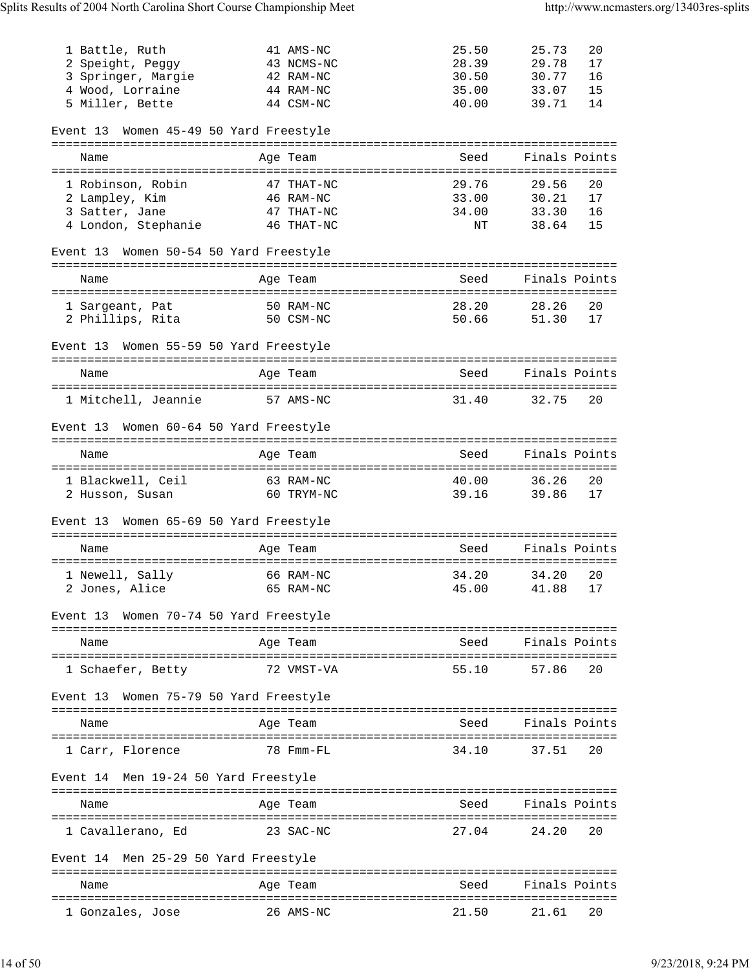| 1 Battle, Ruth<br>2 Speight, Peggy<br>3 Springer, Margie<br>4 Wood, Lorraine<br>5 Miller, Bette | 41 AMS-NC<br>43 NCMS-NC<br>42 RAM-NC<br>44 RAM-NC<br>44 CSM-NC | 25.50<br>28.39<br>30.50<br>35.00<br>40.00 | 25.73<br>29.78<br>30.77<br>33.07<br>39.71 | 20<br>17<br>16<br>15<br>14 |
|-------------------------------------------------------------------------------------------------|----------------------------------------------------------------|-------------------------------------------|-------------------------------------------|----------------------------|
| Women 45-49 50 Yard Freestyle<br>Event 13                                                       |                                                                |                                           |                                           |                            |
| Name                                                                                            | Age Team                                                       | Seed                                      | Finals Points                             |                            |
|                                                                                                 |                                                                |                                           |                                           |                            |
| 1 Robinson, Robin<br>2 Lampley, Kim                                                             | 47 THAT-NC<br>46 RAM-NC                                        | 29.76<br>33.00                            | 29.56<br>30.21                            | 20<br>17                   |
| 3 Satter, Jane                                                                                  | 47 THAT-NC                                                     | 34.00                                     | 33.30                                     | 16                         |
| 4 London, Stephanie                                                                             | 46 THAT-NC                                                     | NT                                        | 38.64                                     | 15                         |
| Event 13 Women 50-54 50 Yard Freestyle                                                          |                                                                |                                           |                                           |                            |
| Name                                                                                            | Age Team                                                       | Seed                                      | Finals Points                             |                            |
|                                                                                                 |                                                                |                                           |                                           |                            |
| 1 Sargeant, Pat                                                                                 | 50 RAM-NC                                                      | 28.20                                     | 28.26                                     | 20                         |
| 2 Phillips, Rita                                                                                | 50 CSM-NC                                                      | 50.66                                     | 51.30                                     | 17                         |
| Event 13 Women 55-59 50 Yard Freestyle                                                          |                                                                |                                           |                                           |                            |
| Name                                                                                            | Age Team                                                       | Seed                                      | Finals Points                             |                            |
| 1 Mitchell, Jeannie                                                                             | 57 AMS-NC                                                      | 31.40                                     | 32.75                                     | 20                         |
|                                                                                                 |                                                                |                                           |                                           |                            |
| Event 13 Women 60-64 50 Yard Freestyle                                                          |                                                                |                                           |                                           |                            |
| Name                                                                                            | Age Team                                                       | Seed                                      | Finals Points                             |                            |
| 1 Blackwell, Ceil                                                                               | 63 RAM-NC                                                      | 40.00                                     | 36.26                                     | 20                         |
| 2 Husson, Susan                                                                                 | 60 TRYM-NC                                                     | 39.16                                     | 39.86                                     | 17                         |
| Women 65-69 50 Yard Freestyle<br>Event 13                                                       |                                                                |                                           |                                           |                            |
| Name                                                                                            | Age Team                                                       | Seed                                      | Finals Points                             |                            |
| 1 Newell, Sally                                                                                 | 66 RAM-NC                                                      | 34.20                                     | 34.20                                     | 20                         |
| 2 Jones, Alice 65 RAM-NC 45.00 41.88 17                                                         |                                                                |                                           |                                           |                            |
| Event 13 Women 70-74 50 Yard Freestyle                                                          |                                                                |                                           |                                           |                            |
|                                                                                                 |                                                                |                                           |                                           |                            |
| Name                                                                                            | Age Team                                                       | Seed Finals Points                        |                                           |                            |
| 1 Schaefer, Betty                                                                               | 72 VMST-VA                                                     | 55.10                                     | 57.86                                     | 20                         |
| Event 13 Women 75-79 50 Yard Freestyle                                                          |                                                                |                                           |                                           |                            |
| Name                                                                                            | Age Team                                                       | Seed                                      | Finals Points                             |                            |
|                                                                                                 |                                                                |                                           |                                           |                            |
| 1 Carr, Florence                                                                                | 78 Fmm-FL                                                      | 34.10                                     | 37.51                                     | 20                         |
| Event 14 Men 19-24 50 Yard Freestyle                                                            |                                                                |                                           |                                           |                            |
| Name                                                                                            | Age Team                                                       | Seed Finals Points                        |                                           |                            |
| 1 Cavallerano, Ed                                                                               | 23 SAC-NC                                                      | 27.04 24.20                               |                                           | 20                         |
| Event 14 Men 25-29 50 Yard Freestyle                                                            |                                                                |                                           |                                           |                            |
| Name                                                                                            | Age Team                                                       | Seed                                      | Finals Points                             |                            |
| 1 Gonzales, Jose                                                                                | 26 AMS-NC                                                      | 21.50                                     | 21.61                                     | 20                         |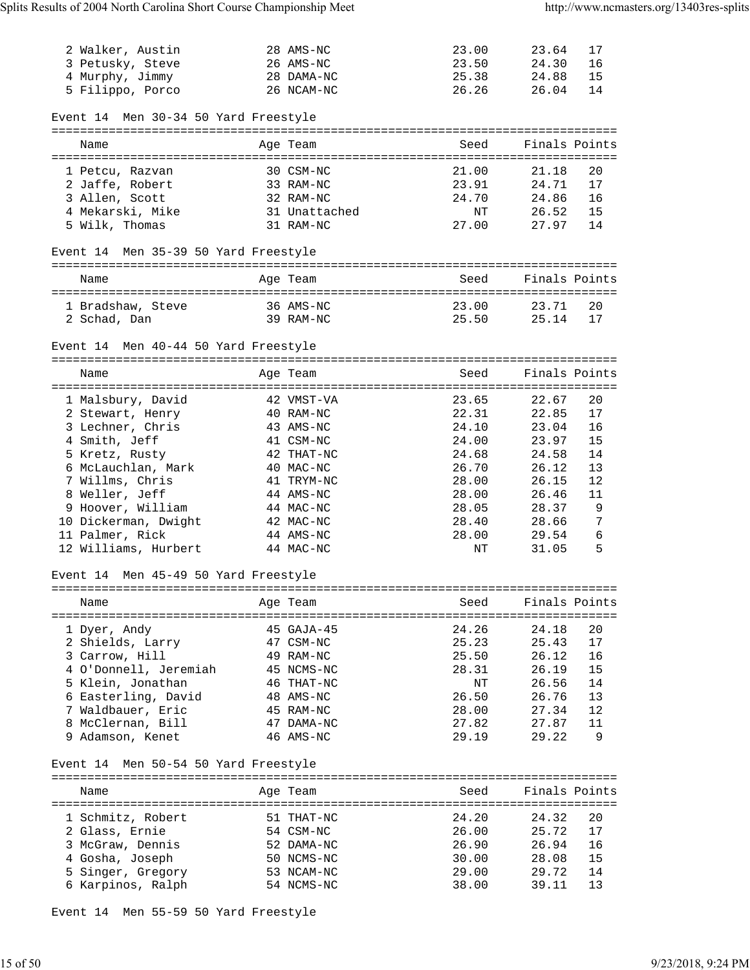| 2 Walker, Austin<br>3 Petusky, Steve<br>4 Murphy, Jimmy<br>5 Filippo, Porco | 28 AMS-NC<br>26 AMS-NC<br>28 DAMA-NC<br>26 NCAM-NC | 23.00<br>23.50<br>25.38<br>26.26 | 23.64<br>24.30<br>24.88<br>26.04 | 17<br>16<br>15<br>14 |
|-----------------------------------------------------------------------------|----------------------------------------------------|----------------------------------|----------------------------------|----------------------|
| Event 14 Men 30-34 50 Yard Freestyle                                        |                                                    |                                  |                                  |                      |
| Name                                                                        | Age Team                                           | Seed                             |                                  | Finals Points        |
| 1 Petcu, Razvan                                                             | 30 CSM-NC                                          | 21.00                            | 21.18                            | 20                   |
| 2 Jaffe, Robert                                                             | 33 RAM-NC                                          | 23.91                            | 24.71                            | 17                   |
| 3 Allen, Scott                                                              | 32 RAM-NC                                          | 24.70                            | 24.86                            | 16                   |
| 4 Mekarski, Mike                                                            | 31 Unattached                                      | NT                               | 26.52                            | 15                   |
| 5 Wilk, Thomas                                                              | 31 RAM-NC                                          | 27.00                            | 27.97                            | 14                   |
| Event 14 Men 35-39 50 Yard Freestyle                                        |                                                    |                                  |                                  |                      |
| Name                                                                        | Age Team                                           | Seed                             |                                  | Finals Points        |
| 1 Bradshaw, Steve                                                           | 36 AMS-NC                                          | 23.00                            | 23.71                            | 20                   |
| 2 Schad, Dan                                                                | 39 RAM-NC                                          | 25.50                            | 25.14                            | 17                   |
|                                                                             |                                                    |                                  |                                  |                      |
| Event 14 Men 40-44 50 Yard Freestyle                                        |                                                    |                                  |                                  |                      |
| Name                                                                        | Age Team                                           | Seed                             |                                  | Finals Points        |
|                                                                             |                                                    |                                  |                                  |                      |
| 1 Malsbury, David<br>2 Stewart, Henry                                       | 42 VMST-VA<br>40 RAM-NC                            | 23.65<br>22.31                   | 22.67<br>22.85                   | 20<br>17             |
| 3 Lechner, Chris                                                            | 43 AMS-NC                                          | 24.10                            | 23.04                            | 16                   |
| 4 Smith, Jeff                                                               | 41 CSM-NC                                          | 24.00                            | 23.97                            | 15                   |
| 5 Kretz, Rusty                                                              | 42 THAT-NC                                         | 24.68                            | 24.58                            | 14                   |
| 6 McLauchlan, Mark                                                          | 40 MAC-NC                                          | 26.70                            | 26.12                            | 13                   |
| 7 Willms, Chris                                                             | 41 TRYM-NC                                         | 28.00                            | 26.15                            | 12                   |
| 8 Weller, Jeff                                                              | 44 AMS-NC                                          | 28.00                            | 26.46                            | 11                   |
| 9 Hoover, William<br>10 Dickerman, Dwight                                   | 44 MAC-NC<br>42 MAC-NC                             | 28.05<br>28.40                   | 28.37<br>28.66                   | 9<br>7               |
| 11 Palmer, Rick                                                             | 44 AMS-NC                                          | 28.00                            | 29.54                            | 6                    |
| 12 Williams, Hurbert                                                        | 44 MAC-NC                                          | ΝT                               | 31.05                            | 5                    |
| Event 14 Men 45-49 50 Yard Freestyle                                        |                                                    |                                  |                                  |                      |
|                                                                             |                                                    |                                  |                                  |                      |
| Name                                                                        | Age Team                                           | Seed                             |                                  | Finals Points        |
| 1 Dyer, Andy                                                                | 45 GAJA-45                                         | 24.26                            | 24.18                            | 20                   |
| 2 Shields, Larry                                                            | 47 CSM-NC                                          | 25.23                            | 25.43                            | 17                   |
| 3 Carrow, Hill                                                              | 49 RAM-NC                                          | 25.50                            | 26.12                            | 16                   |
| 4 O'Donnell, Jeremiah                                                       | 45 NCMS-NC                                         | 28.31                            | 26.19                            | 15                   |
| 5 Klein, Jonathan<br>6 Easterling, David                                    | 46 THAT-NC<br>48 AMS-NC                            | ΝT<br>26.50                      | 26.56<br>26.76                   | 14<br>13             |
| 7 Waldbauer, Eric                                                           | 45 RAM-NC                                          | 28.00                            | 27.34                            | 12                   |
| 8 McClernan, Bill                                                           | 47 DAMA-NC                                         | 27.82                            | 27.87                            | 11                   |
| 9 Adamson, Kenet                                                            | 46 AMS-NC                                          | 29.19                            | 29.22                            | 9                    |
| Event 14 Men 50-54 50 Yard Freestyle                                        |                                                    |                                  |                                  |                      |
|                                                                             |                                                    |                                  |                                  |                      |
| Name                                                                        | Age Team                                           | Seed                             |                                  | Finals Points        |
| 1 Schmitz, Robert                                                           | 51 THAT-NC                                         | 24.20                            | 24.32                            | 20                   |
| 2 Glass, Ernie                                                              | 54 CSM-NC                                          | 26.00                            | 25.72                            | 17                   |
| 3 McGraw, Dennis                                                            | 52 DAMA-NC                                         | 26.90                            | 26.94                            | 16                   |
| 4 Gosha, Joseph                                                             | 50 NCMS-NC                                         | 30.00                            | 28.08                            | 15                   |
| 5 Singer, Gregory                                                           | 53 NCAM-NC                                         | 29.00                            | 29.72                            | 14                   |
| 6 Karpinos, Ralph                                                           | 54 NCMS-NC                                         | 38.00                            | 39.11                            | 13                   |

Event 14 Men 55-59 50 Yard Freestyle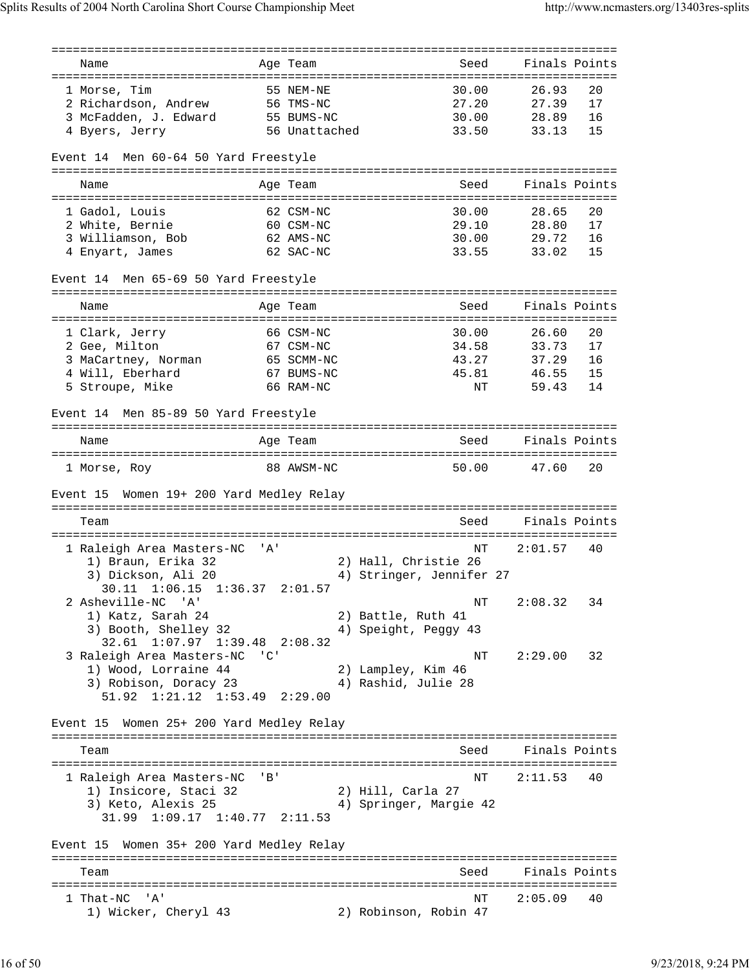=============================================================================== Name and Age Team Seed Finals Points =============================================================================== 1 Morse, Tim 55 NEM-NE 30.00 26.93 20 2 Richardson, Andrew 56 TMS-NC 27.20 27.39 17 3 McFadden, J. Edward 55 BUMS-NC 30.00 28.89 16 4 Byers, Jerry 56 Unattached 33.50 33.13 15 Event 14 Men 60-64 50 Yard Freestyle =============================================================================== Name and Age Team Seed Finals Points =============================================================================== 1 Gadol, Louis 62 CSM-NC 30.00 28.65 20 2 White, Bernie 60 CSM-NC 29.10 28.80 17 3 Williamson, Bob 62 AMS-NC 30.00 29.72 16 4 Enyart, James 62 SAC-NC 33.55 33.02 15 Event 14 Men 65-69 50 Yard Freestyle =============================================================================== Name **Age Team** Age Team Seed Finals Points =============================================================================== 1 Clark, Jerry 66 CSM-NC 30.00 26.60 20 2 Gee, Milton 67 CSM-NC 34.58 33.73 17 3 MaCartney, Norman 65 SCMM-NC 43.27 37.29 16 4 Will, Eberhard 67 BUMS-NC 45.81 46.55 15 5 Stroupe, Mike 66 RAM-NC NT 59.43 14 Event 14 Men 85-89 50 Yard Freestyle =============================================================================== Name Age Team Seed Finals Points =============================================================================== 1 Morse, Roy 88 AWSM-NC 50.00 47.60 20 Event 15 Women 19+ 200 Yard Medley Relay =============================================================================== Seed Finals Points =============================================================================== 1 Raleigh Area Masters-NC 'A' 1) Braun, Erika 32 2) Hall, Christie 26 3) Dickson, Ali 20 4) Stringer, Jennifer 27 30.11 1:06.15 1:36.37 2:01.57 2 Asheville-NC 'A' NT 2:08.32 34 1) Katz, Sarah 24 2) Battle, Ruth 41 3) Booth, Shelley 32 4) Speight, Peggy 43 32.61 1:07.97 1:39.48 2:08.32 3 Raleigh Area Masters-NC 'C' NT 2:29.00 32 1) Wood, Lorraine 44 2) Lampley, Kim 46 3) Robison, Doracy 23 (4) Rashid, Julie 28 51.92 1:21.12 1:53.49 2:29.00 Event 15 Women 25+ 200 Yard Medley Relay =============================================================================== Team Seed Finals Points =============================================================================== 1 Raleigh Area Masters-NC 'B' NT 2:11.53 40 1) Insicore, Staci 32 2) Hill, Carla 27 3) Keto, Alexis 25 4) Springer, Margie 42 31.99 1:09.17 1:40.77 2:11.53 Event 15 Women 35+ 200 Yard Medley Relay =============================================================================== Team Seed Finals Points =============================================================================== 1 That-NC 'A' NT 2:05.09 40 1) Wicker, Cheryl 43 2) Robinson, Robin 47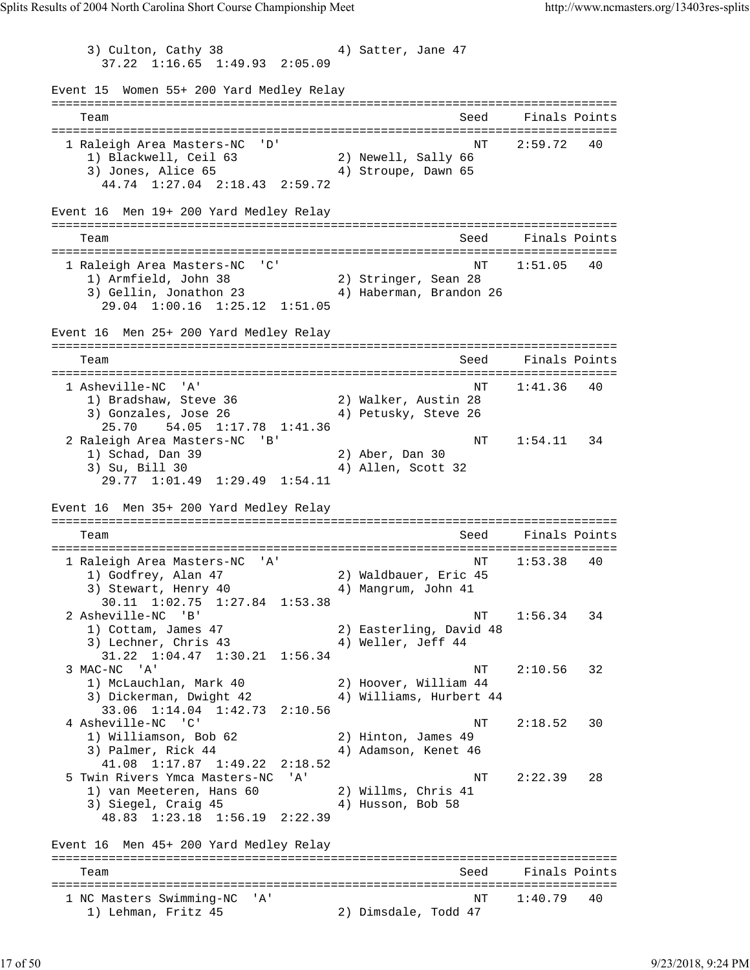3) Culton, Cathy 38 4) Satter, Jane 47 37.22 1:16.65 1:49.93 2:05.09 Event 15 Women 55+ 200 Yard Medley Relay =============================================================================== Team Seed Finals Points =============================================================================== 1 Raleigh Area Masters-NC 'D' 1) Blackwell, Ceil 63 2) Newell, Sally 66 3) Jones, Alice 65 4) Stroupe, Dawn 65 44.74 1:27.04 2:18.43 2:59.72 Event 16 Men 19+ 200 Yard Medley Relay =============================================================================== Team Seed Finals Points =============================================================================== 1 Raleigh Area Masters-NC 'C' NT 1:51.05 40 1) Armfield, John 38 2) Stringer, Sean 28 3) Gellin, Jonathon 23 4) Haberman, Brandon 26 29.04 1:00.16 1:25.12 1:51.05 Event 16 Men 25+ 200 Yard Medley Relay =============================================================================== Team Seed Finals Points =============================================================================== 1 Asheville-NC 'A' 1) Bradshaw, Steve 36 2) Walker, Austin 28 3) Gonzales, Jose 26 (4) Petusky, Steve 26 25.70 54.05 1:17.78 1:41.36 2 Raleigh Area Masters-NC 'B' National Research Research Research Research Research Research Research Research 1) Schad, Dan 39 2) Aber, Dan 30 4) Allen, Scott 32 29.77 1:01.49 1:29.49 1:54.11 Event 16 Men 35+ 200 Yard Medley Relay =============================================================================== Team Seed Finals Points =============================================================================== 1 Raleigh Area Masters-NC 'A' 1) Godfrey, Alan 47 2) Waldbauer, Eric 45 3) Stewart, Henry 40 (4) Mangrum, John 41 30.11 1:02.75 1:27.84 1:53.38 2 Asheville-NC 'B' NT 1:56.34 34 1) Cottam, James 47 2) Easterling, David 48 3) Lechner, Chris 43 4) Weller, Jeff 44 31.22 1:04.47 1:30.21 1:56.34 3 MAC-NC 'A' NT 2:10.56 32 1) McLauchlan, Mark 40 2) Hoover, William 44 3) Dickerman, Dwight 42 4) Williams, Hurbert 44 33.06 1:14.04 1:42.73 2:10.56 4 Asheville-NC 'C'  $N$ T 2:18.52 30<br>1) Williamson, Bob 62 2) Hinton, James 49 1) Williamson, Bob 62 2) Hinton, James 49 3) Palmer, Rick 44 4) Adamson, Kenet 46 41.08 1:17.87 1:49.22 2:18.52 5 Twin Rivers Ymca Masters-NC 'A' NT 2:22.39 28 1) van Meeteren, Hans 60 2) Willms, Chris 41 3) Siegel, Craig 45 4) Husson, Bob 58 48.83 1:23.18 1:56.19 2:22.39 Event 16 Men 45+ 200 Yard Medley Relay =============================================================================== Team Seed Finals Points =============================================================================== 1 NC Masters Swimming-NC 'A' (2008) 79 1:40.79 40 1) Lehman, Fritz 45 2) Dimsdale, Todd 47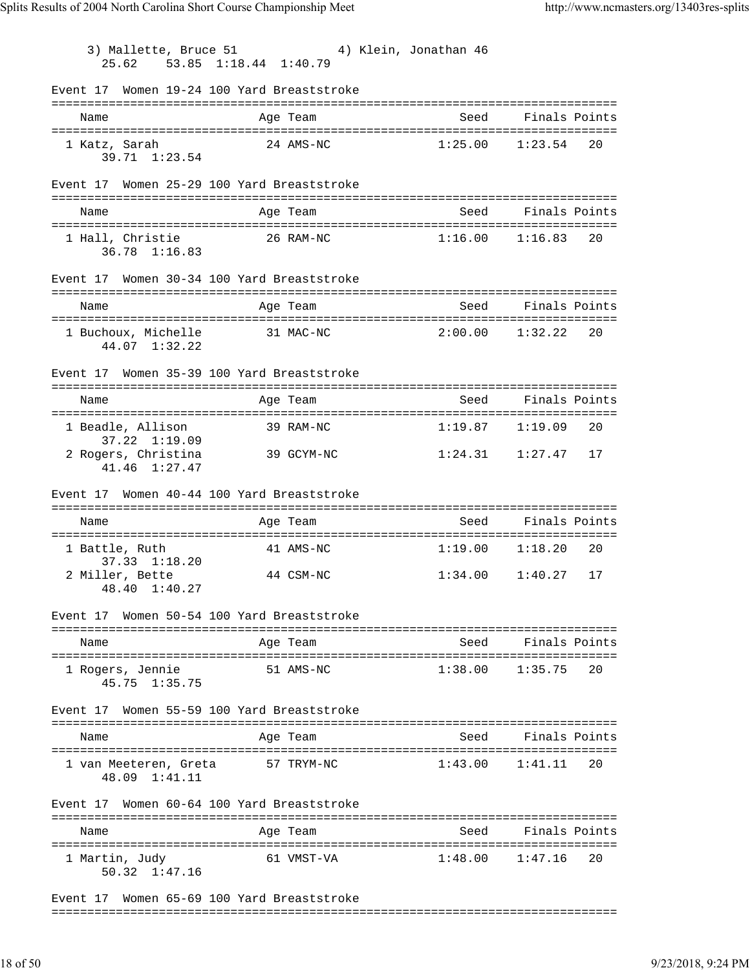3) Mallette, Bruce 51 4) Klein, Jonathan 46 25.62 53.85 1:18.44 1:40.79 Event 17 Women 19-24 100 Yard Breaststroke =============================================================================== Name Age Team Seed Finals Points =============================================================================== 1 Katz, Sarah 24 AMS-NC 1:25.00 1:23.54 20 39.71 1:23.54 Event 17 Women 25-29 100 Yard Breaststroke =============================================================================== Name and Age Team Seed Finals Points =============================================================================== 1 Hall, Christie 26 RAM-NC 1:16.00 1:16.83 20 36.78 1:16.83 Event 17 Women 30-34 100 Yard Breaststroke =============================================================================== Name Age Team Seed Finals Points =============================================================================== 1 Buchoux, Michelle 31 MAC-NC 2:00.00 1:32.22 20 44.07 1:32.22 Event 17 Women 35-39 100 Yard Breaststroke =============================================================================== Name and Age Team Seed Finals Points =============================================================================== 1 Beadle, Allison 39 RAM-NC 1:19.87 1:19.09 37.22 1:19.09 2 Rogers, Christina 39 GCYM-NC 1:24.31 1:27.47 17 41.46 1:27.47 Event 17 Women 40-44 100 Yard Breaststroke =============================================================================== Name and Age Team Seed Finals Points =============================================================================== 1 Battle, Ruth 41 AMS-NC 1:19.00 1:18.20 20 37.33 1:18.20 2 Miller, Bette 44 CSM-NC 1:34.00 1:40.27 17 48.40 1:40.27 Event 17 Women 50-54 100 Yard Breaststroke =============================================================================== Name and Age Team Seed Finals Points =============================================================================== 1 Rogers, Jennie 51 AMS-NC 1:38.00 1:35.75 20 45.75 1:35.75 Event 17 Women 55-59 100 Yard Breaststroke =============================================================================== Name Age Team Seed Finals Points Age Team Seed Finals Points =============================================================================== 1 van Meeteren, Greta 57 TRYM-NC 1:43.00 1:41.11 20 48.09 1:41.11 Event 17 Women 60-64 100 Yard Breaststroke =============================================================================== Name and Age Team Seed Finals Points =============================================================================== 1 Martin, Judy 61 VMST-VA 1:48.00 1:47.16 20 50.32 1:47.16

Event 17 Women 65-69 100 Yard Breaststroke ===============================================================================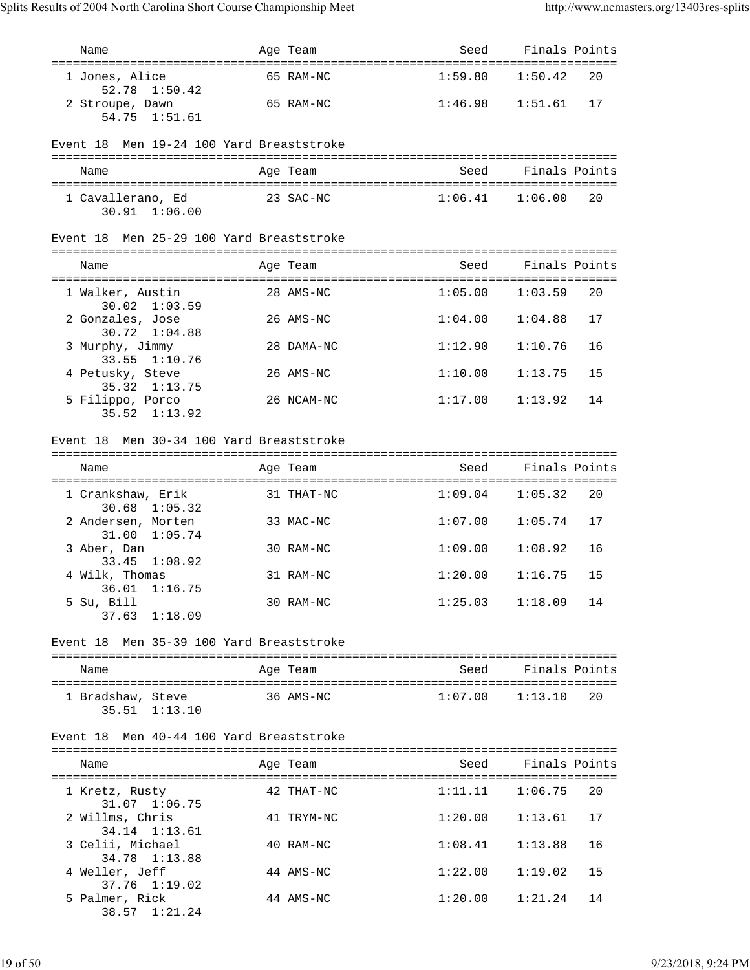| Name                                                   | Age Team   | Seed                   | Finals Points      |    |
|--------------------------------------------------------|------------|------------------------|--------------------|----|
| 1 Jones, Alice<br>52.78 1:50.42                        | 65 RAM-NC  | 1:59.80                | 1:50.42            | 20 |
| 2 Stroupe, Dawn<br>1:51.61<br>54.75                    | 65 RAM-NC  | 1:46.98                | 1:51.61            | 17 |
| Event 18 Men 19-24 100 Yard Breaststroke               |            |                        |                    |    |
| Name                                                   | Age Team   | Seed                   | Finals Points      |    |
| 1 Cavallerano, Ed<br>30.91 1:06.00                     | 23 SAC-NC  | $1:06.41$ $1:06.00$    |                    | 20 |
| Event 18 Men 25-29 100 Yard Breaststroke               |            |                        |                    |    |
| Name                                                   | Age Team   | Seed                   | Finals Points      |    |
| 1 Walker, Austin<br>$30.02 \quad 1:03.59$              | 28 AMS-NC  | 1:05.00                | 1:03.59            | 20 |
| 2 Gonzales, Jose<br>30.72 1:04.88                      | 26 AMS-NC  | 1:04.00                | 1:04.88            | 17 |
| 3 Murphy, Jimmy<br>33.55 1:10.76                       | 28 DAMA-NC | 1:12.90                | 1:10.76            | 16 |
| 4 Petusky, Steve<br>35.32 1:13.75                      | 26 AMS-NC  | 1:10.00                | 1:13.75            | 15 |
| 5 Filippo, Porco<br>$35.52 \quad 1:13.92$              | 26 NCAM-NC | 1:17.00                | 1:13.92            | 14 |
| Event 18 Men 30-34 100 Yard Breaststroke               |            |                        |                    |    |
| Name                                                   | Age Team   | Seed                   | Finals Points      |    |
| 1 Crankshaw, Erik                                      | 31 THAT-NC | 1:09.04                | 1:05.32            | 20 |
| $30.68$ 1:05.32<br>2 Andersen, Morten<br>31.00 1:05.74 | 33 MAC-NC  | 1:07.00                | 1:05.74            | 17 |
| 3 Aber, Dan<br>33.45<br>1:08.92                        | 30 RAM-NC  | 1:09.00                | 1:08.92            | 16 |
| 4 Wilk, Thomas                                         | 31 RAM-NC  | 1:20.00                | 1:16.75            | 15 |
| 36.01<br>1:16.75<br>5 Su, Bill<br>$37.63$ $1:18.09$    | 30 RAM-NC  | $1:25.03$ $1:18.09$ 14 |                    |    |
| Event 18 Men 35-39 100 Yard Breaststroke               |            |                        |                    |    |
| Name                                                   | Age Team   | Seed                   | Finals Points      |    |
| 1 Bradshaw, Steve<br>$35.51$ $1:13.10$                 | 36 AMS-NC  | $1:07.00$ $1:13.10$    |                    | 20 |
| Men 40-44 100 Yard Breaststroke<br>Event 18            |            |                        |                    |    |
| Name                                                   | Age Team   |                        | Seed Finals Points |    |
| 1 Kretz, Rusty                                         | 42 THAT-NC | $1:11.11$ $1:06.75$    |                    | 20 |
| 31.07 1:06.75<br>2 Willms, Chris                       | 41 TRYM-NC | 1:20.00                | 1:13.61            | 17 |
| 34.14 1:13.61<br>3 Celii, Michael                      | 40 RAM-NC  | 1:08.41                | 1:13.88            | 16 |
| 34.78 1:13.88<br>4 Weller, Jeff                        | 44 AMS-NC  | 1:22.00                | 1:19.02            | 15 |
| 37.76 1:19.02<br>5 Palmer, Rick                        | 44 AMS-NC  | 1:20.00                | 1:21.24            | 14 |
| 38.57 1:21.24                                          |            |                        |                    |    |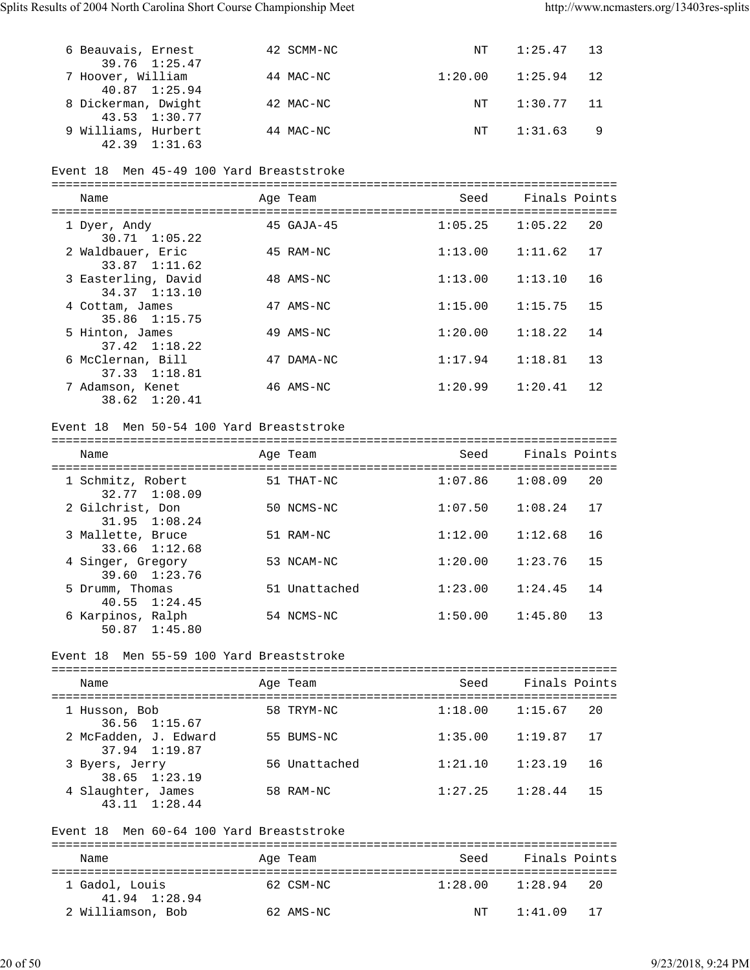| 6 Beauvais, Ernest<br>39.76 1:25.47      | 42 SCMM-NC | NT      | $1:25.47$ 13 |   |
|------------------------------------------|------------|---------|--------------|---|
| 7 Hoover, William<br>40.87 1:25.94       | 44 MAC-NC  | 1:20.00 | $1:25.94$ 12 |   |
| 8 Dickerman, Dwight<br>43.53 1:30.77     | 42 MAC-NC  | NT      | $1:30.77$ 11 |   |
| 9 Williams, Hurbert<br>$42.39$ $1:31.63$ | 44 MAC-NC  | NT      | 1:31.63      | 9 |

### Event 18 Men 45-49 100 Yard Breaststroke

| Name                                     |    | Age Team        | Seed    | Finals Points |    |
|------------------------------------------|----|-----------------|---------|---------------|----|
| 1 Dyer, Andy<br>$30.71 \quad 1:05.22$    |    | $45$ GAJA- $45$ | 1:05.25 | 1:05.22       | 20 |
| 2 Waldbauer, Eric<br>33.87 1:11.62       |    | 45 RAM-NC       | 1:13.00 | 1:11.62       | 17 |
| 3 Easterling, David<br>34.37 1:13.10     |    | 48 AMS-NC       | 1:13.00 | 1:13.10       | 16 |
| 4 Cottam, James<br>35.86 1:15.75         |    | 47 AMS-NC       | 1:15.00 | 1:15.75       | 15 |
| 5 Hinton, James<br>$37.42 \quad 1:18.22$ |    | 49 AMS-NC       | 1:20.00 | 1:18.22       | 14 |
| 6 McClernan, Bill<br>37.33 1:18.81       | 47 | DAMA-NC         | 1:17.94 | 1:18.81       | 13 |
| 7 Adamson, Kenet<br>38.62 1:20.41        |    | 46 AMS-NC       | 1:20.99 | 1:20.41       | 12 |

### Event 18 Men 50-54 100 Yard Breaststroke

| Name                                                                | Age Team                         | Seed    | Finals Points |    |
|---------------------------------------------------------------------|----------------------------------|---------|---------------|----|
| =============================<br>1 Schmitz, Robert<br>32.77 1:08.09 | ==================<br>51 THAT-NC | 1:07.86 | 1:08.09       | 20 |
| 2 Gilchrist, Don<br>$31.95$ $1:08.24$                               | 50 NCMS-NC                       | 1:07.50 | 1:08.24       | 17 |
| 3 Mallette, Bruce<br>33.66 1:12.68                                  | 51 RAM-NC                        | 1:12.00 | 1:12.68       | 16 |
| 4 Singer, Gregory<br>39.60 1:23.76                                  | 53 NCAM-NC                       | 1:20.00 | 1:23.76       | 15 |
| 5 Drumm, Thomas<br>$40.55 \quad 1:24.45$                            | 51 Unattached                    | 1:23.00 | 1:24.45       | 14 |
| 6 Karpinos, Ralph<br>50.87 1:45.80                                  | 54 NCMS-NC                       | 1:50.00 | 1:45.80       | 13 |

#### Event 18 Men 55-59 100 Yard Breaststroke

| Name                                   |                   | Seed                                                               | Finals Points |         |
|----------------------------------------|-------------------|--------------------------------------------------------------------|---------------|---------|
| 1 Husson, Bob                          |                   | 1:18.00                                                            |               | 20      |
| 2 McFadden, J. Edward<br>37.94 1:19.87 |                   | 1:35.00                                                            | 1:19.87       | 17      |
| 3 Byers, Jerry<br>38.65 1:23.19        |                   | 1:21.10                                                            | 1:23.19       | 16      |
| 4 Slaughter, James<br>43.11 1:28.44    |                   | 1:27.25                                                            | 1:28.44       | 15      |
|                                        | $36.56$ $1:15.67$ | Age Team<br>58 TRYM-NC<br>55 BUMS-NC<br>56 Unattached<br>58 RAM-NC |               | 1:15.67 |

## Event 18 Men 60-64 100 Yard Breaststroke

| Name                            | Age Team  | Seed    | Finals Points |      |
|---------------------------------|-----------|---------|---------------|------|
| 1 Gadol, Louis<br>41.94 1:28.94 | 62 CSM-NC | 1:28.00 | 1:28.94       | - 20 |
| 2 Williamson, Bob               | 62 AMS-NC | NΤ      | 1:41.09       | -17  |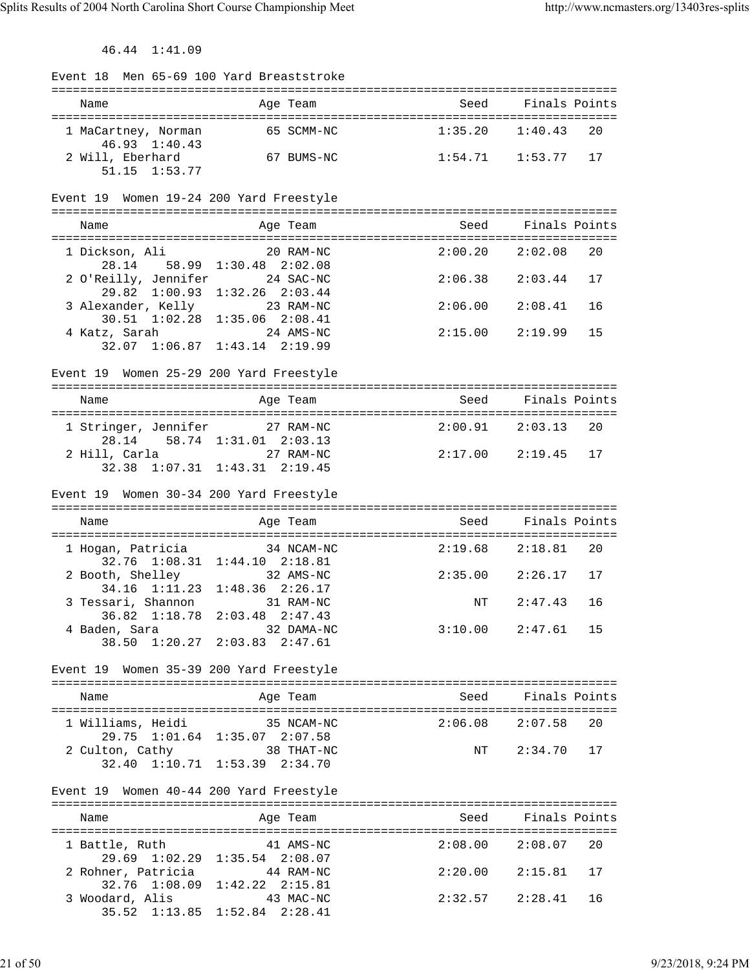46.44 1:41.09

| Event 18 Men 65-69 100 Yard Breaststroke                      |                                                                    |                        |                        |    |
|---------------------------------------------------------------|--------------------------------------------------------------------|------------------------|------------------------|----|
|                                                               |                                                                    |                        |                        |    |
| Name                                                          | Age Team                                                           | Seed Finals Points     |                        |    |
| 1 MaCartney, Norman                                           | 65 SCMM-NC                                                         | 1:35.20                | 1:40.43                | 20 |
| 46.93 1:40.43                                                 |                                                                    |                        |                        |    |
| 2 Will, Eberhard                                              | 67 BUMS-NC                                                         | $1:54.71$ $1:53.77$ 17 |                        |    |
| 51.15 1:53.77                                                 |                                                                    |                        |                        |    |
|                                                               | Event 19 Women 19-24 200 Yard Freestyle                            |                        |                        |    |
|                                                               |                                                                    |                        |                        |    |
| Name                                                          | Age Team                                                           |                        | Seed Finals Points     |    |
| 1 Dickson, Ali                                                | 20 RAM-NC                                                          |                        | $2:00.20$ $2:02.08$    | 20 |
|                                                               | 28.14 58.99 1:30.48 2:02.08                                        |                        |                        |    |
| 2 O'Reilly, Jennifer 24 SAC-NC                                |                                                                    | 2:06.38                | 2:03.44                | 17 |
|                                                               | 29.82 1:00.93 1:32.26 2:03.44                                      |                        |                        |    |
| 3 Alexander, Kelly 23 RAM-NC<br>30.51 1:02.28 1:35.06 2:08.41 |                                                                    | 2:06.00                | 2:08.41                | 16 |
|                                                               |                                                                    | 2:15.00                | 2:19.99                | 15 |
| 4 Katz, Sarah 24 AMS-NC<br>32.07 1:06.87 1:43.14 2:19.99      |                                                                    |                        |                        |    |
|                                                               |                                                                    |                        |                        |    |
|                                                               | Event 19 Women 25-29 200 Yard Freestyle                            |                        |                        |    |
| Name                                                          | Age Team                                                           |                        | Seed Finals Points     |    |
|                                                               |                                                                    |                        |                        |    |
| 1 Stringer, Jennifer 27 RAM-NC                                |                                                                    |                        | $2:00.91$ $2:03.13$ 20 |    |
|                                                               | 28.14 58.74 1:31.01 2:03.13                                        |                        |                        |    |
| 2 Hill, Carla 27 RAM-NC                                       | 32.38 1:07.31 1:43.31 2:19.45                                      | $2:17.00$ $2:19.45$ 17 |                        |    |
|                                                               |                                                                    |                        |                        |    |
|                                                               | Event 19 Women 30-34 200 Yard Freestyle                            |                        |                        |    |
|                                                               |                                                                    |                        |                        |    |
|                                                               |                                                                    |                        |                        |    |
| Name                                                          | Age Team                                                           | Seed                   | Finals Points          |    |
|                                                               |                                                                    |                        |                        |    |
| 1 Hogan, Patricia                                             | 34 NCAM-NC                                                         | $2:19.68$ $2:18.81$    |                        | 20 |
|                                                               | 32.76 1:08.31 1:44.10 2:18.81<br>$32$ AMS-NC                       | $2:35.00$ $2:26.17$ 17 |                        |    |
| 2 Booth, Shelley                                              | 34.16 1:11.23 1:48.36 2:26.17                                      |                        |                        |    |
| 3 Tessari, Shannon 31 RAM-NC                                  |                                                                    | NT                     | 2:47.43                | 16 |
|                                                               |                                                                    |                        |                        |    |
| 4 Baden, Sara                                                 | 36.82 1:18.78 2:03.48 2:47.43<br>len, Sara 32 DAMA-N<br>32 DAMA-NC |                        | $3:10.00$ $2:47.61$ 15 |    |
|                                                               | 38.50 1:20.27 2:03.83 2:47.61                                      |                        |                        |    |
|                                                               | Event 19 Women 35-39 200 Yard Freestyle                            |                        |                        |    |
|                                                               |                                                                    |                        |                        |    |
| Name                                                          | Age Team                                                           | Seed                   | Finals Points          |    |
|                                                               |                                                                    |                        |                        |    |
| 1 Williams, Heidi                                             | 35 NCAM-NC<br>29.75 1:01.64 1:35.07 2:07.58                        |                        | $2:06.08$ $2:07.58$    | 20 |
| 2 Culton, Cathy                                               | 38 THAT-NC                                                         | NT                     | $2:34.70$ 17           |    |
|                                                               | 32.40 1:10.71 1:53.39 2:34.70                                      |                        |                        |    |
|                                                               |                                                                    |                        |                        |    |
|                                                               | Event 19 Women 40-44 200 Yard Freestyle                            |                        |                        |    |
| Name                                                          | Age Team                                                           |                        | Seed Finals Points     |    |
|                                                               |                                                                    |                        |                        |    |
| 1 Battle, Ruth                                                | 41 AMS-NC                                                          |                        | $2:08.00$ $2:08.07$    | 20 |
|                                                               | 29.69 1:02.29 1:35.54 2:08.07                                      |                        |                        |    |
| 2 Rohner, Patricia 44 RAM-NC                                  |                                                                    |                        | $2:20.00$ $2:15.81$ 17 |    |
| 3 Woodard, Alis 43 MAC-NC                                     | 32.76 1:08.09 1:42.22 2:15.81<br>35.52 1:13.85 1:52.84 2:28.41     |                        | $2:32.57$ $2:28.41$    | 16 |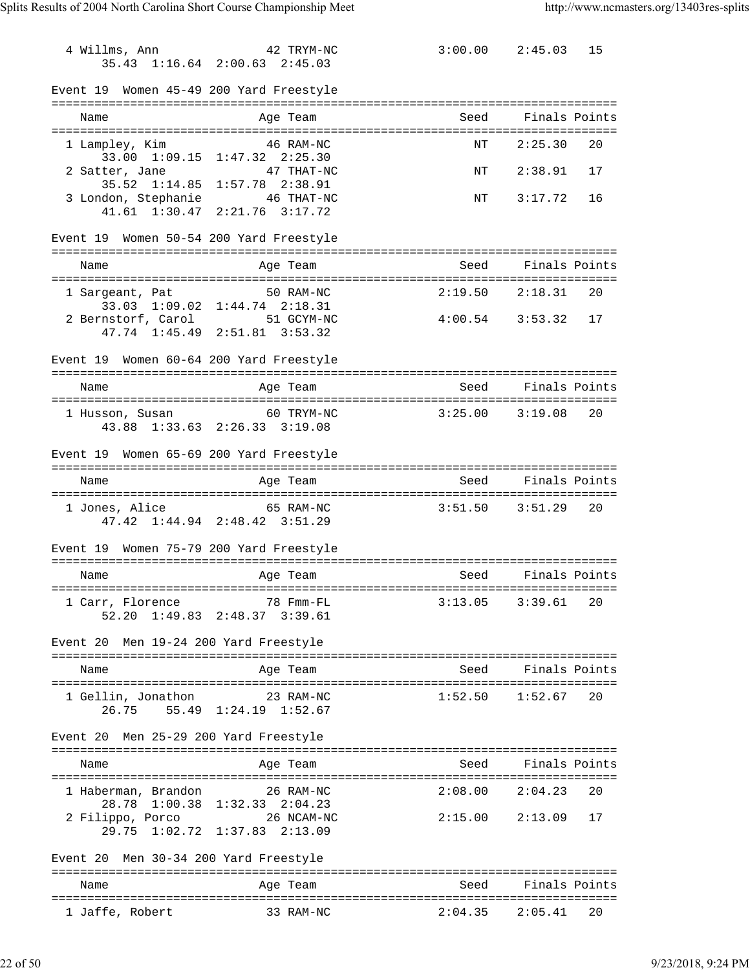4 Willms, Ann 42 TRYM-NC 3:00.00 2:45.03 15 35.43 1:16.64 2:00.63 2:45.03 Event 19 Women 45-49 200 Yard Freestyle =============================================================================== Age Team Seed Finals Points =============================================================================== 1 Lampley, Kim  $46$  RAM-NC 33.00 1:09.15 1:47.32 2:25.30 2 Satter, Jane 47 THAT-NC NT 2:38.91 17 35.52 1:14.85 1:57.78 2:38.91 3 London, Stephanie 46 THAT-NC 15 NT 3:17.72 16 41.61 1:30.47 2:21.76 3:17.72 Event 19 Women 50-54 200 Yard Freestyle =============================================================================== Name Age Team Seed Finals Points =============================================================================== 1 Sargeant, Pat 50 RAM-NC 2:19.50 2:18.31 20 33.03 1:09.02 1:44.74 2:18.31 2 Bernstorf, Carol 51 GCYM-NC 4:00.54 3:53.32 17 47.74 1:45.49 2:51.81 3:53.32 Event 19 Women 60-64 200 Yard Freestyle =============================================================================== Name **Age Team** Age Team Seed Finals Points =============================================================================== 1 Husson, Susan 60 TRYM-NC 3:25.00 3:19.08 20 43.88 1:33.63 2:26.33 3:19.08 Event 19 Women 65-69 200 Yard Freestyle =============================================================================== Name and Age Team Seed Finals Points =============================================================================== 1 Jones, Alice 65 RAM-NC 3:51.50 3:51.29 20 47.42 1:44.94 2:48.42 3:51.29 Event 19 Women 75-79 200 Yard Freestyle =============================================================================== Name Age Team Seed Finals Points =============================================================================== 1 Carr, Florence 78 Fmm-FL 3:13.05 3:39.61 20 52.20 1:49.83 2:48.37 3:39.61 Event 20 Men 19-24 200 Yard Freestyle =============================================================================== Name **Age Team** Age Team Seed Finals Points =============================================================================== 1 Gellin, Jonathon 23 RAM-NC 1:52.50 1:52.67 20 26.75 55.49 1:24.19 1:52.67 Event 20 Men 25-29 200 Yard Freestyle =============================================================================== Name Age Team Seed Finals Points =============================================================================== 1 Haberman, Brandon 26 RAM-NC 28.78 1:00.38 1:32.33 2:04.23 2 Filippo, Porco 26 NCAM-NC 2:15.00 2:13.09 17 29.75 1:02.72 1:37.83 2:13.09 Event 20 Men 30-34 200 Yard Freestyle =============================================================================== Name **Age Team** Age Team Seed Finals Points =============================================================================== 1 Jaffe, Robert 33 RAM-NC 2:04.35 2:05.41 20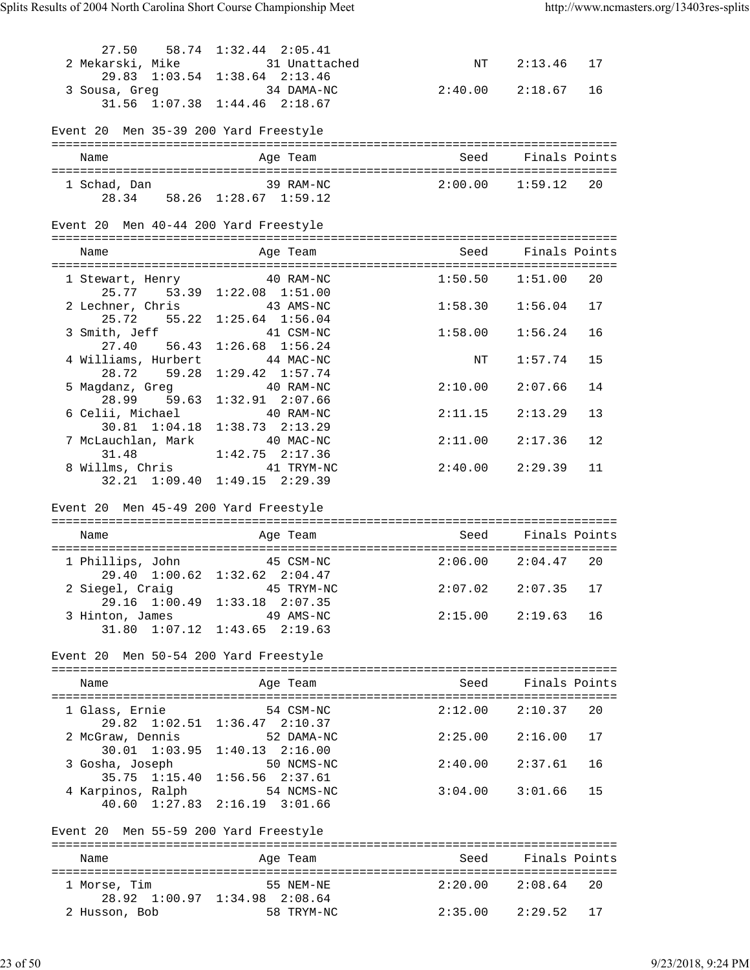| 3 Sousa, Greg 34 DAMA-NC                | 27.50 58.74 1:32.44 2:05.41<br>2 Mekarski, Mike 31 Unattached<br>29.83 1:03.54 1:38.64 2:13.46<br>31.56 1:07.38 1:44.46 2:18.67 | NT 2:13.46 17<br>$2:40.00$ $2:18.67$ 16 |                        |      |
|-----------------------------------------|---------------------------------------------------------------------------------------------------------------------------------|-----------------------------------------|------------------------|------|
| Event 20 Men 35-39 200 Yard Freestyle   |                                                                                                                                 |                                         |                        |      |
| Name                                    | Age Team                                                                                                                        | Seed Finals Points                      |                        |      |
|                                         |                                                                                                                                 |                                         |                        |      |
| Event 20 Men 40-44 200 Yard Freestyle   |                                                                                                                                 |                                         |                        |      |
| Name                                    | Aqe Team                                                                                                                        | Seed Finals Points                      |                        |      |
| 1 Stewart, Henry 40 RAM-NC              | 25.77 53.39 1:22.08 1:51.00                                                                                                     | $1:50.50$ $1:51.00$ 20                  |                        |      |
| 2 Lechner, Chris 43 AMS-NC              | 25.72 55.22 1:25.64 1:56.04                                                                                                     | $1:58.30$ $1:56.04$                     |                        | 17   |
| 3 Smith, Jeff 41 CSM-NC                 |                                                                                                                                 | 1:58.00                                 | 1:56.24                | 16   |
| 27.40 56.43<br>4 Williams, Hurbert      | $1:26.68$ $1:56.24$<br>44 MAC-NC                                                                                                | $\mathrm{NT}$                           | 1:57.74                | 15   |
| 28.72 59.28<br>5 Magdanz, Greg          | $1:29.42$ $1:57.74$<br>40 RAM-NC                                                                                                | $2:10.00$ $2:07.66$                     |                        | 14   |
| 28.99 59.63<br>6 Celii, Michael         | $1:32.91$ $2:07.66$<br>40 RAM-NC                                                                                                | $2:11.15$ $2:13.29$                     |                        | 13   |
| $30.81$ $1:04.18$<br>7 McLauchlan, Mark | $1:38.73$ $2:13.29$<br>40 MAC-NC                                                                                                | $2:11.00$ $2:17.36$                     |                        | 12   |
| 31.48<br>8 Willms, Chris 41 TRYM-NC     | $1:42.75$ $2:17.36$<br>32.21 1:09.40 1:49.15 2:29.39                                                                            | $2:40.00$ $2:29.39$                     |                        | 11   |
| Event 20 Men 45-49 200 Yard Freestyle   |                                                                                                                                 |                                         |                        |      |
| Name                                    | Age Team                                                                                                                        | Seed Finals Points                      |                        |      |
| 1 Phillips, John 45 CSM-NC              |                                                                                                                                 | $2:06.00$ $2:04.47$ 20                  |                        |      |
|                                         | 29.40 1:00.62 1:32.62 2:04.47<br>2 Siegel, Craig and 45 TRYM-NC                                                                 | $2:07.02$ $2:07.35$ 17                  |                        |      |
| 3 Hinton, James                         | 29.16 1:00.49 1:33.18 2:07.35<br>49 AMS-NC                                                                                      |                                         | $2:15.00$ $2:19.63$ 16 |      |
|                                         | 31.80 1:07.12 1:43.65 2:19.63                                                                                                   |                                         |                        |      |
| Event 20 Men 50-54 200 Yard Freestyle   |                                                                                                                                 |                                         |                        |      |
| Name                                    | Age Team                                                                                                                        |                                         | Seed Finals Points     |      |
| 1 Glass, Ernie                          | 54 CSM-NC                                                                                                                       |                                         | $2:12.00$ $2:10.37$    | 20   |
| 2 McGraw, Dennis                        | 29.82 1:02.51 1:36.47 2:10.37<br>52 DAMA-NC                                                                                     | $2:25.00$ $2:16.00$                     |                        | 17   |
| 3 Gosha, Joseph                         | 30.01 1:03.95 1:40.13 2:16.00<br>50 NCMS-NC                                                                                     | $2:40.00$ $2:37.61$                     |                        | 16   |
| 4 Karpinos, Ralph 54 NCMS-NC            | 35.75 1:15.40 1:56.56 2:37.61<br>40.60 1:27.83 2:16.19 3:01.66                                                                  | $3:04.00$ $3:01.66$                     |                        | 15   |
|                                         |                                                                                                                                 |                                         |                        |      |
| Event 20 Men 55-59 200 Yard Freestyle   |                                                                                                                                 |                                         |                        |      |
| Name                                    | Age Team                                                                                                                        | Seed                                    | Finals Points          |      |
| 1 Morse, Tim                            | 55 NEM-NE<br>28.92 1:00.97 1:34.98 2:08.64                                                                                      | $2:20.00$ $2:08.64$                     |                        | - 20 |
| 2 Husson, Bob                           | 58 TRYM-NC                                                                                                                      |                                         | $2:35.00$ $2:29.52$    | 17   |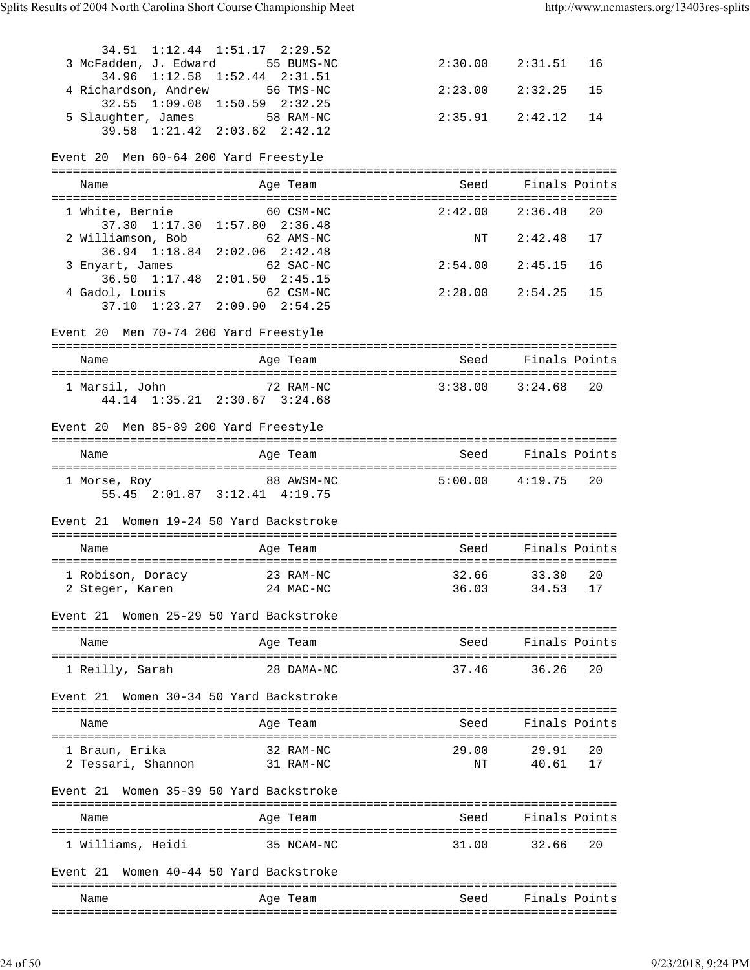|                                         | 34.51 1:12.44 1:51.17 2:29.52                                               |                     |                    |    |
|-----------------------------------------|-----------------------------------------------------------------------------|---------------------|--------------------|----|
| 3 McFadden, J. Edward 55 BUMS-NC        | 34.96 1:12.58 1:52.44 2:31.51                                               | $2:30.00$ $2:31.51$ |                    | 16 |
| 4 Richardson, Andrew 56 TMS-NC          | 32.55 1:09.08 1:50.59 2:32.25                                               | $2:23.00$ $2:32.25$ |                    | 15 |
| 5 Slaughter, James 58 RAM-NC            | 39.58 1:21.42 2:03.62 2:42.12                                               | $2:35.91$ $2:42.12$ |                    | 14 |
|                                         |                                                                             |                     |                    |    |
| Event 20 Men 60-64 200 Yard Freestyle   |                                                                             |                     |                    |    |
| Name                                    | Age Team                                                                    | Seed Finals Points  |                    |    |
| 1 White, Bernie                         | 60 CSM-NC                                                                   | $2:42.00$ $2:36.48$ |                    | 20 |
| 2 Williamson, Bob                       | 37.30 1:17.30 1:57.80 2:36.48<br>62 AMS-NC                                  |                     | NT 2:42.48         | 17 |
|                                         | 36.94 1:18.84 2:02.06 2:42.48<br>62 SAC-NC                                  | $2:54.00$ $2:45.15$ |                    | 16 |
| 3 Enyart, James                         | 36.50 1:17.48 2:01.50 2:45.15                                               |                     |                    |    |
| 4 Gadol, Louis                          | 62 CSM-NC<br>37.10 1:23.27 2:09.90 2:54.25                                  | $2:28.00$ $2:54.25$ |                    | 15 |
| Event 20 Men 70-74 200 Yard Freestyle   |                                                                             |                     |                    |    |
|                                         |                                                                             |                     |                    |    |
| Name                                    | Age Team                                                                    | Seed                | Finals Points      |    |
| 1 Marsil, John                          | 72 RAM-NC 3:38.00 3:24.68 20                                                |                     |                    |    |
|                                         | 44.14 1:35.21 2:30.67 3:24.68                                               |                     |                    |    |
| Event 20 Men 85-89 200 Yard Freestyle   |                                                                             |                     |                    |    |
| Name                                    | Age Team                                                                    | Seed Finals Points  |                    |    |
|                                         |                                                                             |                     |                    |    |
|                                         | 1 Morse, Roy 88 AWSM-NC 5:00.00 4:19.75 20<br>55.45 2:01.87 3:12.41 4:19.75 |                     |                    |    |
| Event 21 Women 19-24 50 Yard Backstroke |                                                                             |                     |                    |    |
| Name                                    | Age Team                                                                    | Seed                | Finals Points      |    |
|                                         |                                                                             |                     |                    |    |
| 1 Robison, Doracy 23 RAM-NC             | 2 Steger, Karen 24 MAC-NC 36.03 34.53 17                                    | 32.66               | 33.30              | 20 |
| Event 21                                | Women 25-29 50 Yard Backstroke                                              |                     |                    |    |
| Name                                    | Age Team                                                                    |                     | Seed Finals Points |    |
|                                         |                                                                             |                     |                    |    |
| 1 Reilly, Sarah                         | 28 DAMA-NC                                                                  |                     | 37.46 36.26        | 20 |
| Event 21                                | Women 30-34 50 Yard Backstroke                                              |                     |                    |    |
| Name                                    | Age Team                                                                    | Seed                | Finals Points      |    |
| 1 Braun, Erika                          | 32 RAM-NC                                                                   | 29.00               | 29.91              | 20 |
| 2 Tessari, Shannon                      | 31 RAM-NC                                                                   | ΝT                  | 40.61 17           |    |
| Event 21                                | Women 35-39 50 Yard Backstroke                                              |                     |                    |    |
| Name                                    | Age Team                                                                    |                     | Seed Finals Points |    |
| 1 Williams, Heidi                       | 35 NCAM-NC                                                                  |                     | 31.00 32.66        | 20 |
| Event 21                                | Women 40-44 50 Yard Backstroke                                              |                     |                    |    |
| Name                                    | Age Team                                                                    | Seed                | Finals Points      |    |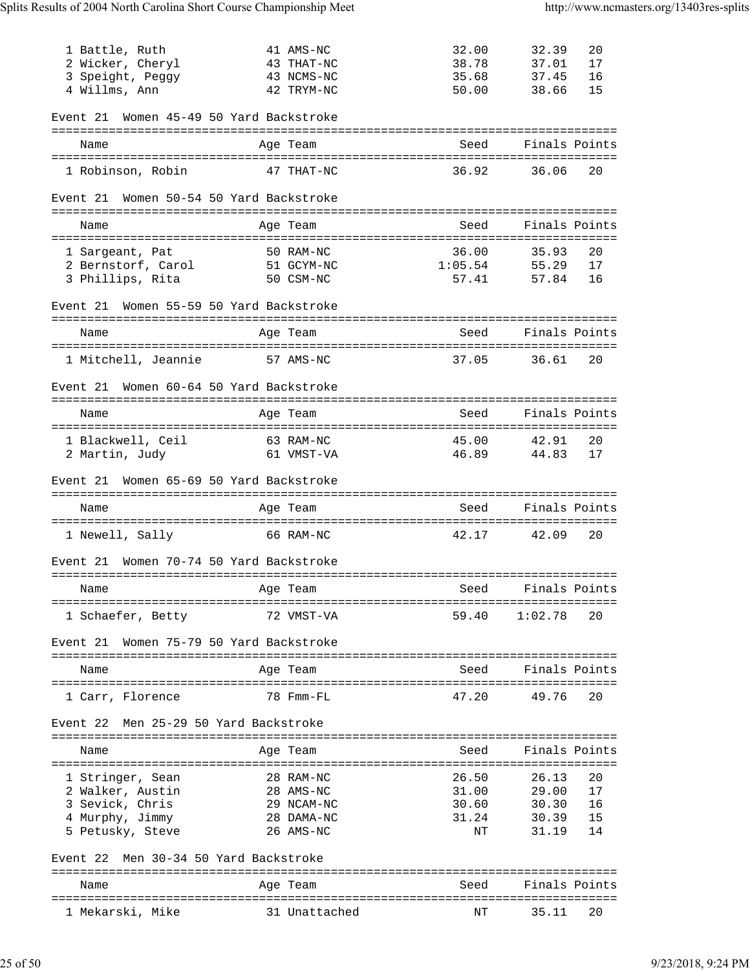| 1 Battle, Ruth                                  | 41 AMS-NC               | 32.00                                      | 32.39<br>20                |
|-------------------------------------------------|-------------------------|--------------------------------------------|----------------------------|
| 2 Wicker, Cheryl                                | 43 THAT-NC              | 38.78                                      | 37.01<br>17                |
| 3 Speight, Peggy                                | 43 NCMS-NC              | 35.68                                      | 16<br>37.45                |
| 4 Willms, Ann                                   | 42 TRYM-NC              | 50.00                                      | 15<br>38.66                |
| Women 45-49 50 Yard Backstroke<br>Event 21      |                         |                                            |                            |
| Name                                            | Age Team                | Seed                                       | Finals Points              |
| 1 Robinson, Robin                               | 47 THAT-NC              | 36.92                                      | 36.06<br>20                |
| Women 50-54 50 Yard Backstroke<br>Event 21      |                         |                                            |                            |
| Name                                            | Age Team                | Seed                                       | Finals Points              |
| 1 Sargeant, Pat                                 | 50 RAM-NC               | 36.00                                      | 20<br>35.93                |
| 2 Bernstorf, Carol                              | 51 GCYM-NC              | 1:05.54                                    | 55.29<br>17                |
| 3 Phillips, Rita                                | 50 CSM-NC               | 57.41                                      | 57.84<br>16                |
| Women 55-59 50 Yard Backstroke<br>Event 21      |                         |                                            |                            |
|                                                 |                         | Seed                                       | Finals Points              |
| Name                                            | Age Team                |                                            |                            |
| 1 Mitchell, Jeannie                             | 57 AMS-NC               | 37.05                                      | 36.61<br>20                |
| Event 21 Women 60-64 50 Yard Backstroke         |                         |                                            |                            |
| Name                                            | Age Team                | Seed                                       | Finals Points              |
| 1 Blackwell, Ceil                               | 63 RAM-NC               | 45.00                                      | 42.91<br>20                |
| 2 Martin, Judy                                  | 61 VMST-VA              | 46.89                                      | 44.83<br>17                |
| Women 65-69 50 Yard Backstroke<br>Event 21      |                         |                                            |                            |
| Name                                            | Age Team                | Seed                                       | Finals Points              |
|                                                 |                         |                                            |                            |
| 1 Newell, Sally                                 | 66 RAM-NC               | 42.17                                      | 42.09<br>20                |
| Women 70-74 50 Yard Backstroke<br>Event 21      |                         |                                            |                            |
| and the Magnetic Preasurer and the Team<br>Name |                         | in the state of the Seed Seed Section 2014 | Finals Points              |
| 1 Schaefer, Betty                               | 72 VMST-VA              | 59.40                                      | 1:02.78<br>20              |
| Women 75-79 50 Yard Backstroke<br>Event 21      |                         |                                            |                            |
| Name                                            | Age Team                | Seed                                       | Finals Points              |
| 1 Carr, Florence                                | 78 Fmm-FL               | 47.20                                      | 49.76<br>20                |
| Men 25-29 50 Yard Backstroke<br>Event 22        |                         |                                            |                            |
| Name                                            | Age Team                | Seed                                       | Finals Points              |
|                                                 |                         |                                            |                            |
| 1 Stringer, Sean                                | 28 RAM-NC               | 26.50                                      | 26.13<br>20                |
| 2 Walker, Austin<br>3 Sevick, Chris             | 28 AMS-NC<br>29 NCAM-NC | 31.00<br>30.60                             | 29.00<br>17<br>16<br>30.30 |
| 4 Murphy, Jimmy                                 | 28 DAMA-NC              | 31.24                                      | 15<br>30.39                |
| 5 Petusky, Steve                                | 26 AMS-NC               | ΝT                                         | 14<br>31.19                |
| Men 30-34 50 Yard Backstroke<br>Event 22        |                         |                                            |                            |
|                                                 |                         |                                            |                            |
| Name                                            | Age Team                | Seed                                       | Finals Points              |
| 1 Mekarski, Mike                                | 31 Unattached           | ΝT                                         | 35.11<br>20                |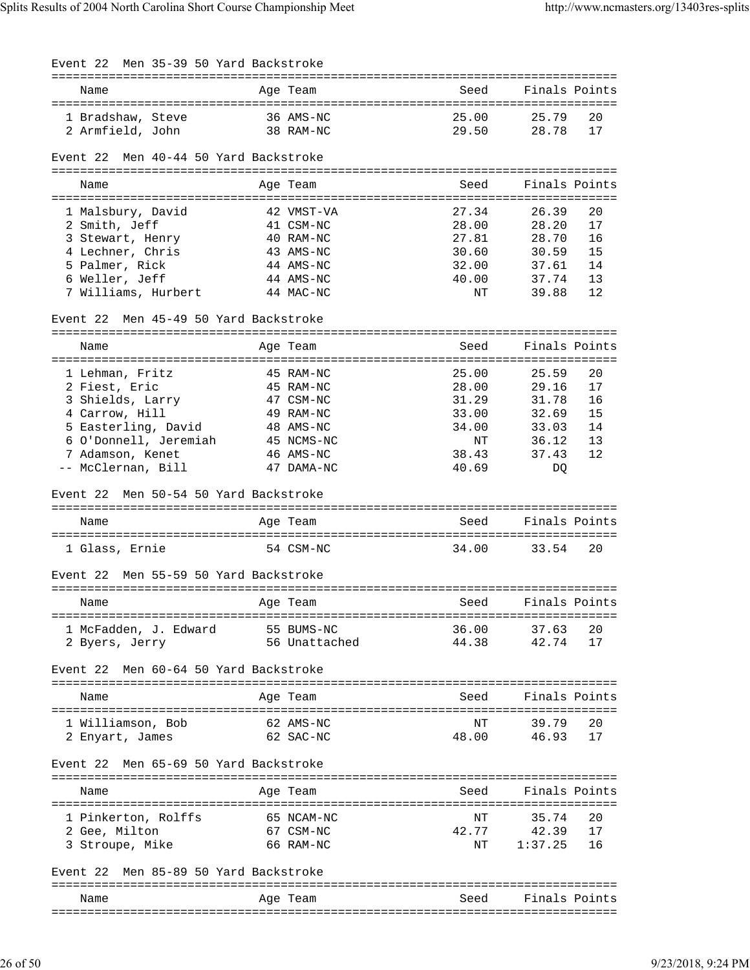| Event 22 Men 35-39 50 Yard Backstroke                                                                                                                            |                                                                                                        |                                                                   |                                                                                                             |
|------------------------------------------------------------------------------------------------------------------------------------------------------------------|--------------------------------------------------------------------------------------------------------|-------------------------------------------------------------------|-------------------------------------------------------------------------------------------------------------|
| Name                                                                                                                                                             | Age Team                                                                                               | Seed                                                              | Finals Points                                                                                               |
| 1 Bradshaw, Steve<br>2 Armfield, John                                                                                                                            | 36 AMS-NC<br>38 RAM-NC                                                                                 | 25.00<br>29.50                                                    | 25.79<br>20<br>28.78<br>17                                                                                  |
| Men 40-44 50 Yard Backstroke<br>Event 22                                                                                                                         |                                                                                                        |                                                                   |                                                                                                             |
| Name                                                                                                                                                             | Age Team                                                                                               | Seed                                                              | Finals Points                                                                                               |
| 1 Malsbury, David<br>2 Smith, Jeff<br>3 Stewart, Henry<br>4 Lechner, Chris<br>5 Palmer, Rick<br>6 Weller, Jeff<br>7 Williams, Hurbert                            | 42 VMST-VA<br>41 CSM-NC<br>40 RAM-NC<br>43 AMS-NC<br>44 AMS-NC<br>44 AMS-NC<br>44 MAC-NC               | 27.34<br>28.00<br>27.81<br>30.60<br>32.00<br>40.00<br>ΝT          | 26.39<br>20<br>17<br>28.20<br>16<br>28.70<br>15<br>30.59<br>14<br>37.61<br>13<br>37.74<br>12<br>39.88       |
| Men 45-49 50 Yard Backstroke<br>Event 22                                                                                                                         |                                                                                                        |                                                                   |                                                                                                             |
| Name                                                                                                                                                             | Age Team                                                                                               | Seed                                                              | Finals Points                                                                                               |
| 1 Lehman, Fritz<br>2 Fiest, Eric<br>3 Shields, Larry<br>4 Carrow, Hill<br>5 Easterling, David<br>6 O'Donnell, Jeremiah<br>7 Adamson, Kenet<br>-- McClernan, Bill | 45 RAM-NC<br>45 RAM-NC<br>47 CSM-NC<br>49 RAM-NC<br>48 AMS-NC<br>45 NCMS-NC<br>46 AMS-NC<br>47 DAMA-NC | 25.00<br>28.00<br>31.29<br>33.00<br>34.00<br>ΝT<br>38.43<br>40.69 | 20<br>25.59<br>29.16<br>17<br>16<br>31.78<br>15<br>32.69<br>14<br>33.03<br>13<br>36.12<br>12<br>37.43<br>DQ |
| Event 22 Men 50-54 50 Yard Backstroke                                                                                                                            |                                                                                                        |                                                                   |                                                                                                             |
| Name                                                                                                                                                             | Age Team                                                                                               | Seed                                                              | Finals Points                                                                                               |
| 1 Glass, Ernie                                                                                                                                                   | 54 CSM-NC                                                                                              | 34.00                                                             | 33.54<br>20                                                                                                 |
| Men 55-59 50 Yard Backstroke<br>Event 22                                                                                                                         |                                                                                                        |                                                                   |                                                                                                             |
| Name                                                                                                                                                             | Age Team                                                                                               | Seed                                                              | Finals Points                                                                                               |
| 1 McFadden, J. Edward<br>2 Byers, Jerry                                                                                                                          | 55 BUMS-NC<br>56 Unattached                                                                            | 36.00<br>44.38                                                    | 37.63<br>20<br>42.74<br>17                                                                                  |
| Men 60-64 50 Yard Backstroke<br>Event 22                                                                                                                         |                                                                                                        |                                                                   |                                                                                                             |
| Name                                                                                                                                                             | Age Team                                                                                               | Seed                                                              | Finals Points                                                                                               |
| 1 Williamson, Bob<br>2 Enyart, James                                                                                                                             | 62 AMS-NC<br>62 SAC-NC                                                                                 | ΝT<br>48.00                                                       | 39.79<br>20<br>46.93<br>17                                                                                  |
| Men 65-69 50 Yard Backstroke<br>Event 22                                                                                                                         |                                                                                                        |                                                                   |                                                                                                             |
| Name                                                                                                                                                             | Age Team                                                                                               | Seed                                                              | Finals Points                                                                                               |
| 1 Pinkerton, Rolffs<br>2 Gee, Milton<br>3 Stroupe, Mike                                                                                                          | 65 NCAM-NC<br>67 CSM-NC<br>66 RAM-NC                                                                   | ΝT<br>42.77<br>NΤ                                                 | 20<br>35.74<br>42.39<br>17<br>16<br>1:37.25                                                                 |
| Men 85-89 50 Yard Backstroke<br>Event 22                                                                                                                         |                                                                                                        |                                                                   |                                                                                                             |
| Name                                                                                                                                                             | Age Team                                                                                               | Seed                                                              | Finals Points                                                                                               |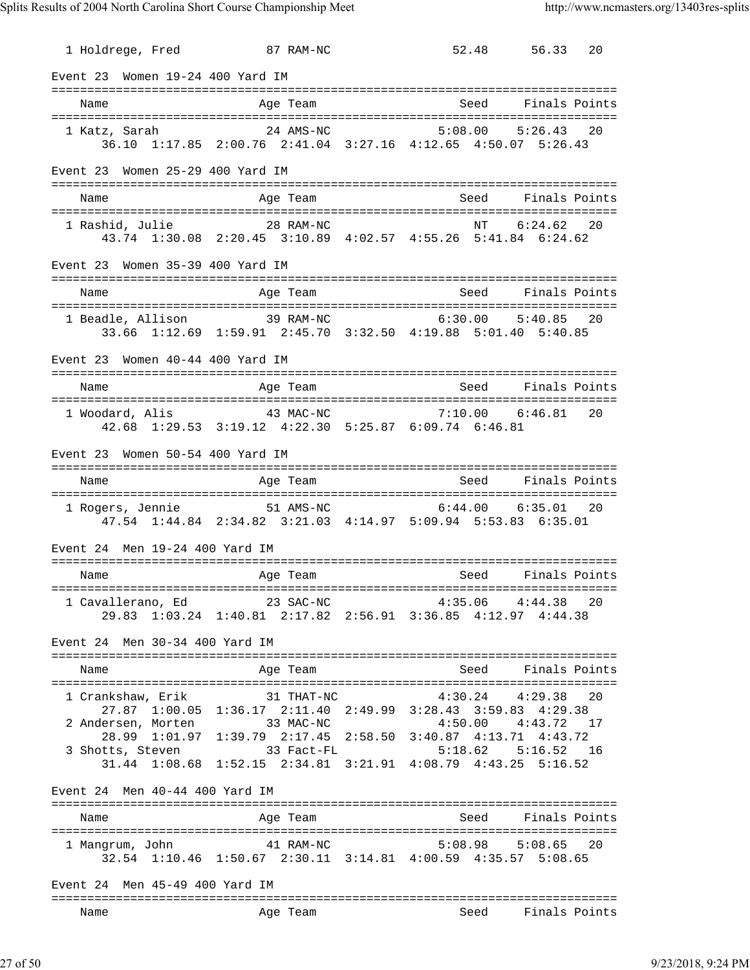1 Holdrege, Fred 87 RAM-NC 52.48 56.33 20 Event 23 Women 19-24 400 Yard IM =============================================================================== Seed Finals Points =============================================================================== 1 Katz, Sarah 24 AMS-NC 5:08.00 5:26.43 20 36.10 1:17.85 2:00.76 2:41.04 3:27.16 4:12.65 4:50.07 5:26.43 Event 23 Women 25-29 400 Yard IM =============================================================================== Name and Age Team Seed Finals Points =============================================================================== 1 Rashid, Julie 28 RAM-NC 43.74 1:30.08 2:20.45 3:10.89 4:02.57 4:55.26 5:41.84 6:24.62 Event 23 Women 35-39 400 Yard IM =============================================================================== Name and Age Team Seed Finals Points =============================================================================== 1 Beadle, Allison 39 RAM-NC 6:30.00 5:40.85 20 33.66 1:12.69 1:59.91 2:45.70 3:32.50 4:19.88 5:01.40 5:40.85 Event 23 Women 40-44 400 Yard IM =============================================================================== Name Age Team Seed Finals Points =============================================================================== 1 Woodard, Alis 43 MAC-NC 7:10.00 6:46.81 20 42.68 1:29.53 3:19.12 4:22.30 5:25.87 6:09.74 6:46.81 Event 23 Women 50-54 400 Yard IM =============================================================================== Name Age Team Seed Finals Points Age Team Seed Finals Points =============================================================================== 1 Rogers, Jennie 51 AMS-NC 6:44.00 6:35.01 20 47.54 1:44.84 2:34.82 3:21.03 4:14.97 5:09.94 5:53.83 6:35.01 Event 24 Men 19-24 400 Yard IM =============================================================================== Name **Age Team** Age Team Seed Finals Points =============================================================================== 1 Cavallerano, Ed 23 SAC-NC 4:35.06 4:44.38 20 29.83 1:03.24 1:40.81 2:17.82 2:56.91 3:36.85 4:12.97 4:44.38 Event 24 Men 30-34 400 Yard IM =============================================================================== Name and Age Team and Seed Finals Points =============================================================================== 1 Crankshaw, Erik 31 THAT-NC 4:30.24 4:29.38 20 27.87 1:00.05 1:36.17 2:11.40 2:49.99 3:28.43 3:59.83 4:29.38 2 Andersen, Morten 33 MAC-NC 4:50.00 4:43.72 17 28.99 1:01.97 1:39.79 2:17.45 2:58.50 3:40.87 4:13.71 4:43.72 3 Shotts, Steven 33 Fact-FL 5:18.62 5:16.52 16 31.44 1:08.68 1:52.15 2:34.81 3:21.91 4:08.79 4:43.25 5:16.52 Event 24 Men 40-44 400 Yard IM =============================================================================== Name and Age Team Seed Finals Points =============================================================================== 1 Mangrum, John 41 RAM-NC 5:08.98 5:08.65 20 32.54 1:10.46 1:50.67 2:30.11 3:14.81 4:00.59 4:35.57 5:08.65 Event 24 Men 45-49 400 Yard IM =============================================================================== Name Team Age Team Seed Finals Points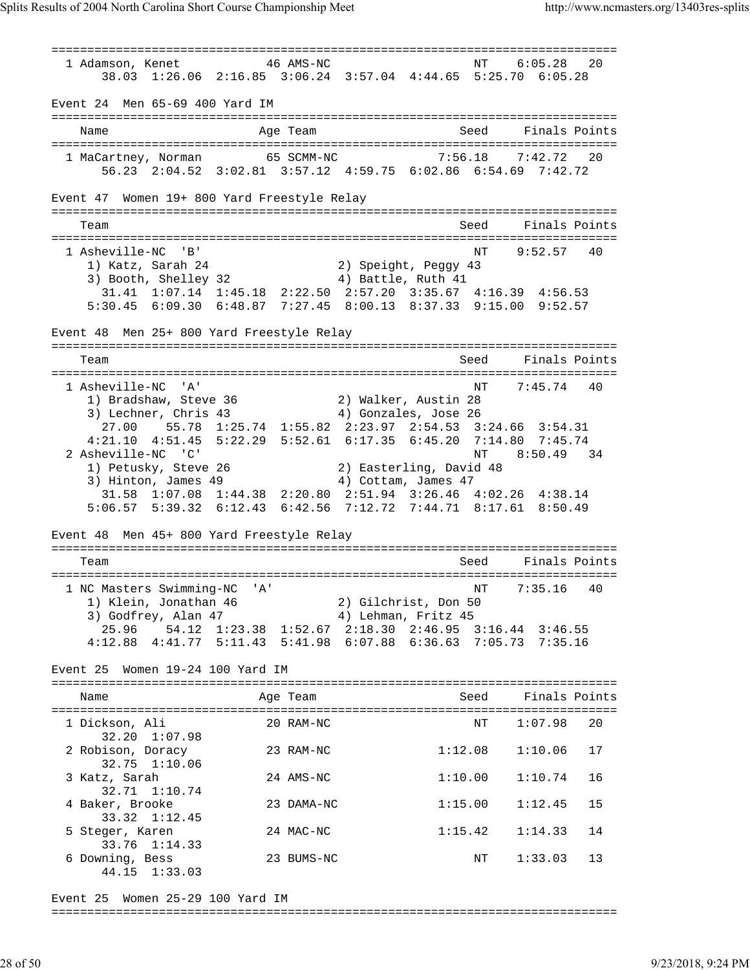=============================================================================== 1 Adamson, Kenet 46 AMS-NC NT 6:05.28 20 38.03 1:26.06 2:16.85 3:06.24 3:57.04 4:44.65 5:25.70 6:05.28 Event 24 Men 65-69 400 Yard IM =============================================================================== Name Age Team Seed Finals Points =============================================================================== 1 MaCartney, Norman 65 SCMM-NC 7:56.18 7:42.72 20 56.23 2:04.52 3:02.81 3:57.12 4:59.75 6:02.86 6:54.69 7:42.72 Event 47 Women 19+ 800 Yard Freestyle Relay =============================================================================== Team Seed Finals Points =============================================================================== 1 Asheville-NC 'B' 1 Asheville-NC 'B' 1 Asheville-NC 'B' 1 Asheville-NC 'B' 2) Speight, Peqqy 43 1) Katz, Sarah 24 2) Speight, Peggy 43 3) Booth, Shelley 32 4) Battle, Ruth 41 31.41 1:07.14 1:45.18 2:22.50 2:57.20 3:35.67 4:16.39 4:56.53 5:30.45 6:09.30 6:48.87 7:27.45 8:00.13 8:37.33 9:15.00 9:52.57 Event 48 Men 25+ 800 Yard Freestyle Relay =============================================================================== Team Seed Finals Points =============================================================================== 1 Asheville-NC 'A' 1) Bradshaw, Steve 36 2) Walker, Austin 28 3) Lechner, Chris 43 4) Gonzales, Jose 26 27.00 55.78 1:25.74 1:55.82 2:23.97 2:54.53 3:24.66 3:54.31 4:21.10 4:51.45 5:22.29 5:52.61 6:17.35 6:45.20 7:14.80 7:45.74 2 Asheville-NC 'C' NT 8:50.49 34 1) Petusky, Steve 26 2) Easterling, David 48 3) Hinton, James 49 (4) Cottam, James 47 31.58 1:07.08 1:44.38 2:20.80 2:51.94 3:26.46 4:02.26 4:38.14 5:06.57 5:39.32 6:12.43 6:42.56 7:12.72 7:44.71 8:17.61 8:50.49 Event 48 Men 45+ 800 Yard Freestyle Relay =============================================================================== Team Seed Finals Points =============================================================================== 1 NC Masters Swimming-NC 'A' NT 7:35.16 40 1) Klein, Jonathan 46 2) Gilchrist, Don 50 3) Godfrey, Alan 47 4) Lehman, Fritz 45 25.96 54.12 1:23.38 1:52.67 2:18.30 2:46.95 3:16.44 3:46.55 4:12.88 4:41.77 5:11.43 5:41.98 6:07.88 6:36.63 7:05.73 7:35.16 Event 25 Women 19-24 100 Yard IM =============================================================================== Name and Age Team Seed Finals Points =============================================================================== 1 Dickson, Ali 20 RAM-NC NT 1:07.98 20 32.20 1:07.98 2 Robison, Doracy 23 RAM-NC 1:12.08 1:10.06 17 32.75 1:10.06 3 Katz, Sarah 24 AMS-NC 1:10.00 1:10.74 16 32.71 1:10.74 4 Baker, Brooke 23 DAMA-NC 1:15.00 1:12.45 15 33.32 1:12.45 5 Steger, Karen 24 MAC-NC 1:15.42 1:14.33 14 33.76 1:14.33 6 Downing, Bess 23 BUMS-NC NT 1:33.03 13 44.15 1:33.03

Event 25 Women 25-29 100 Yard IM

===============================================================================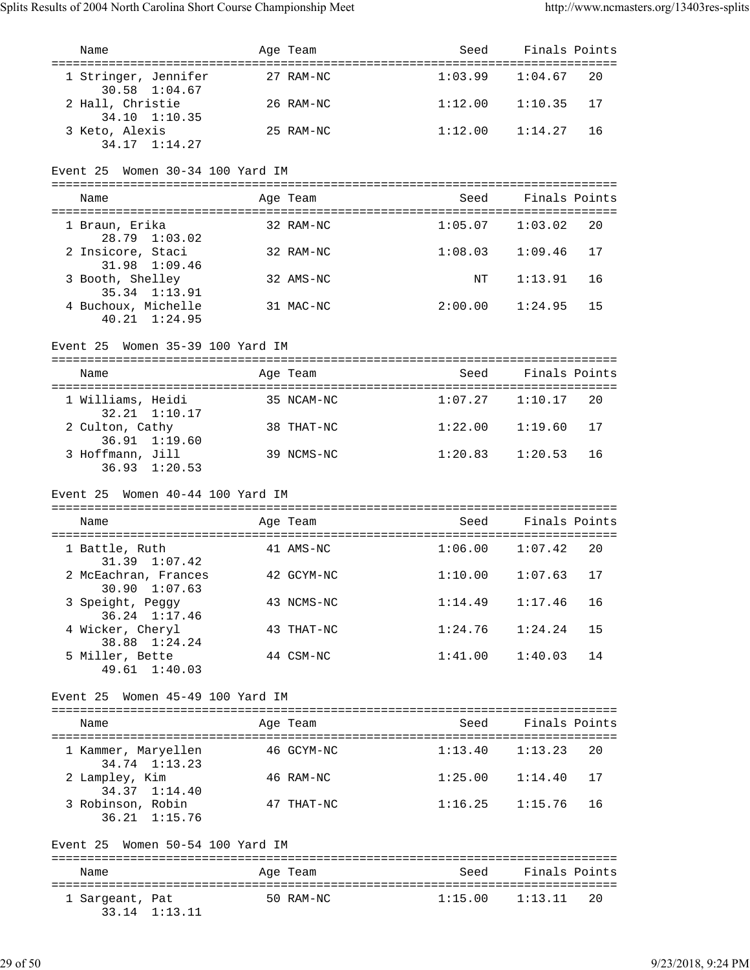| Name                                                | Age Team   | Seed                | Finals Points          |    |
|-----------------------------------------------------|------------|---------------------|------------------------|----|
| 1 Stringer, Jennifer<br>30.58 1:04.67               | 27 RAM-NC  |                     | $1:03.99$ $1:04.67$ 20 |    |
| 2 Hall, Christie<br>34.10 1:10.35                   | 26 RAM-NC  | 1:12.00             | 1:10.35                | 17 |
| 3 Keto, Alexis<br>34.17 1:14.27                     | 25 RAM-NC  | 1:12.00             | 1:14.27                | 16 |
| Event 25 Women 30-34 100 Yard IM                    |            |                     |                        |    |
| Name                                                | Age Team   | Seed                | Finals Points          |    |
| 1 Braun, Erika                                      | 32 RAM-NC  |                     | $1:05.07$ $1:03.02$    | 20 |
| 28.79 1:03.02<br>2 Insicore, Staci                  | 32 RAM-NC  | 1:08.03             | 1:09.46                | 17 |
| 31.98 1:09.46<br>3 Booth, Shelley<br>35.34 1:13.91  | 32 AMS-NC  | $\mathrm{NT}$       | 1:13.91                | 16 |
| 4 Buchoux, Michelle<br>$40.21 \quad 1:24.95$        | 31 MAC-NC  | 2:00.00             | 1:24.95                | 15 |
| Event 25 Women 35-39 100 Yard IM                    |            |                     |                        |    |
| Name                                                | Age Team   | Seed                | Finals Points          |    |
| 1 Williams, Heidi                                   | 35 NCAM-NC |                     | $1:07.27$ $1:10.17$ 20 |    |
| 32.21 1:10.17<br>2 Culton, Cathy                    | 38 THAT-NC | 1:22.00             | 1:19.60                | 17 |
| 36.91 1:19.60<br>3 Hoffmann, Jill                   | 39 NCMS-NC | 1:20.83             | 1:20.53                | 16 |
| $36.93 \quad 1:20.53$                               |            |                     |                        |    |
|                                                     |            |                     |                        |    |
| Event 25 Women 40-44 100 Yard IM                    |            |                     |                        |    |
| Name                                                | Age Team   | Seed                | Finals Points          |    |
| 1 Battle, Ruth                                      | 41 AMS-NC  |                     | $1:06.00$ $1:07.42$ 20 |    |
| 31.39 1:07.42<br>2 McEachran, Frances               | 42 GCYM-NC | $1:10.00$ $1:07.63$ |                        | 17 |
| 30.90 1:07.63<br>3 Speight, Peggy                   | 43 NCMS-NC | 1:14.49             | 1:17.46                | 16 |
| 36.24 1:17.46<br>4 Wicker, Cheryl                   | 43 THAT-NC | 1:24.76             | 1:24.24                | 15 |
| 38.88 1:24.24<br>5 Miller, Bette<br>49.61 1:40.03   | 44 CSM-NC  | 1:41.00             | 1:40.03                | 14 |
| Women 45-49 100 Yard IM<br>Event 25                 |            |                     |                        |    |
| Name                                                | Age Team   | Seed                | Finals Points          |    |
| 1 Kammer, Maryellen                                 | 46 GCYM-NC | 1:13.40             | 1:13.23                | 20 |
| 34.74 1:13.23<br>2 Lampley, Kim                     | 46 RAM-NC  | 1:25.00             | 1:14.40                | 17 |
| 34.37 1:14.40<br>3 Robinson, Robin<br>36.21 1:15.76 | 47 THAT-NC | 1:16.25             | 1:15.76                | 16 |
| Women 50-54 100 Yard IM<br>Event 25                 |            |                     |                        |    |
| Name                                                | Age Team   | Seed                | Finals Points          |    |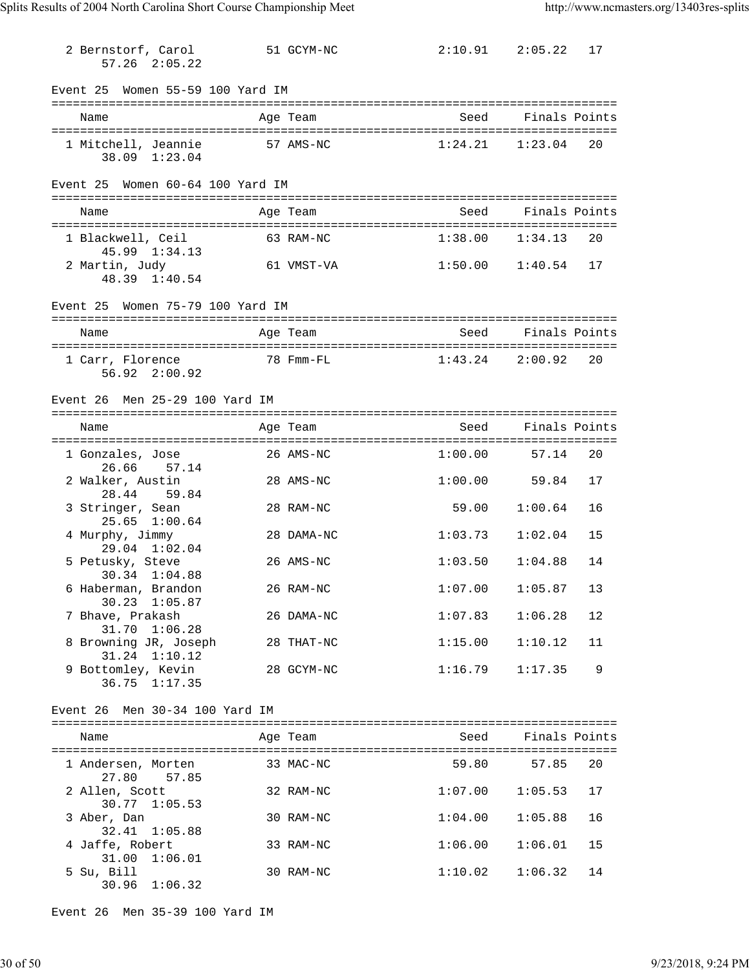| 2 Bernstorf, Carol<br>$57.26$ $2:05.22$          | 51 GCYM-NC | $2:10.91$ $2:05.22$ |               | 17 |
|--------------------------------------------------|------------|---------------------|---------------|----|
| Event 25 Women 55-59 100 Yard IM                 |            |                     |               |    |
| Name                                             | Age Team   | Seed                | Finals Points |    |
| 1 Mitchell, Jeannie<br>38.09 1:23.04             | 57 AMS-NC  | 1:24.21             | 1:23.04       | 20 |
| Event 25 Women 60-64 100 Yard IM                 |            |                     |               |    |
| Name                                             | Age Team   | Seed                | Finals Points |    |
| 1 Blackwell, Ceil<br>45.99 1:34.13               | 63 RAM-NC  | 1:38.00             | 1:34.13       | 20 |
| 2 Martin, Judy<br>48.39 1:40.54                  | 61 VMST-VA | $1:50.00$ $1:40.54$ |               | 17 |
| Event 25 Women 75-79 100 Yard IM                 |            |                     |               |    |
| Name                                             | Age Team   | Seed                | Finals Points |    |
| 1 Carr, Florence<br>56.92 2:00.92                | 78 Fmm-FL  | 1:43.24             | 2:00.92       | 20 |
| Event 26 Men 25-29 100 Yard IM                   |            |                     |               |    |
| Name                                             | Age Team   | Seed                | Finals Points |    |
| 1 Gonzales, Jose<br>26.66 57.14                  | 26 AMS-NC  | 1:00.00             | 57.14         | 20 |
| 2 Walker, Austin<br>28.44 59.84                  | 28 AMS-NC  | $1:00.00$ 59.84     |               | 17 |
| 3 Stringer, Sean<br>25.65 1:00.64                | 28 RAM-NC  | 59.00               | 1:00.64       | 16 |
| 4 Murphy, Jimmy<br>29.04 1:02.04                 | 28 DAMA-NC | 1:03.73             | 1:02.04       | 15 |
| 5 Petusky, Steve<br>30.34 1:04.88                | 26 AMS-NC  | 1:03.50             | 1:04.88       | 14 |
| 6 Haberman, Brandon<br>30.23 1:05.87             | 26 RAM-NC  | $1:07.00$ $1:05.87$ |               | 13 |
| 7 Bhave, Prakash<br>31.70 1:06.28                | 26 DAMA-NC | 1:07.83             | 1:06.28       | 12 |
| 8 Browning JR, Joseph<br>31.24 1:10.12           | 28 THAT-NC | 1:15.00             | 1:10.12       | 11 |
| 9 Bottomley, Kevin<br>36.75 1:17.35              | 28 GCYM-NC | 1:16.79             | 1:17.35       | 9  |
| Event 26 Men 30-34 100 Yard IM                   |            |                     |               |    |
| Name                                             | Age Team   | Seed                | Finals Points |    |
| l Andersen, Morten                               | 33 MAC-NC  | 59.80               | 57.85         | 20 |
| 27.80 57.85<br>2 Allen, Scott                    | 32 RAM-NC  | $1:07.00$ $1:05.53$ |               | 17 |
| $30.77$ $1:05.53$<br>3 Aber, Dan                 | 30 RAM-NC  | 1:04.00             | 1:05.88       | 16 |
| 32.41 1:05.88<br>4 Jaffe, Robert                 | 33 RAM-NC  | 1:06.00             | 1:06.01       | 15 |
| 31.00 1:06.01<br>5 Su, Bill<br>$30.96$ $1:06.32$ | 30 RAM-NC  | 1:10.02             | 1:06.32       | 14 |

Event 26 Men 35-39 100 Yard IM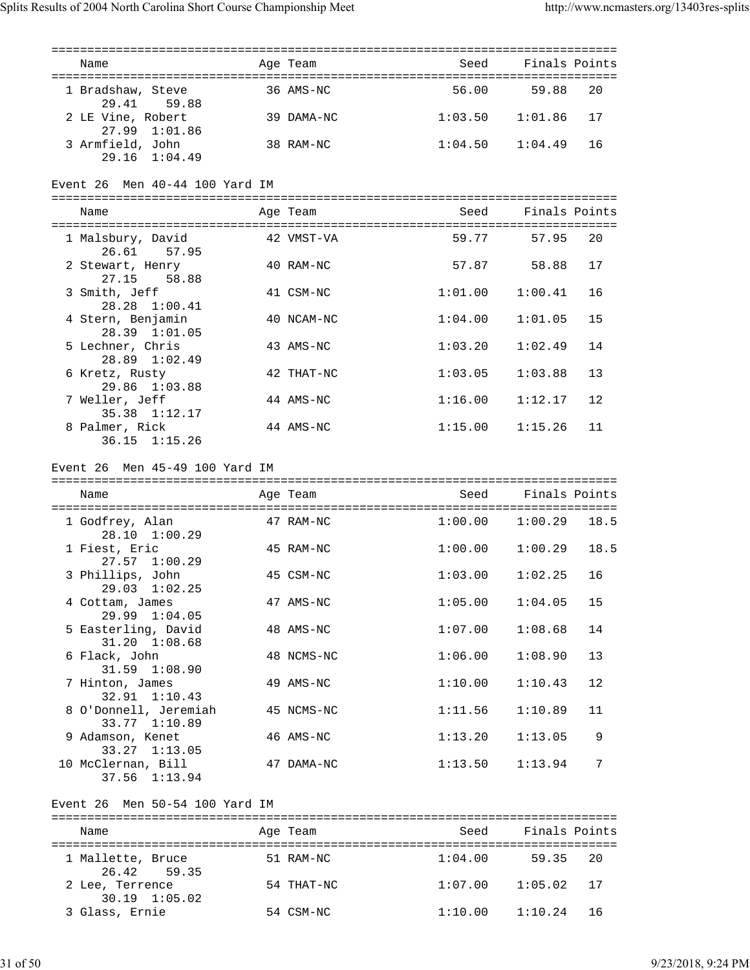| Name                                                | Age Team   | Seed                | Finals Points  |      |
|-----------------------------------------------------|------------|---------------------|----------------|------|
| 1 Bradshaw, Steve<br>29.41 59.88                    | 36 AMS-NC  | 56.00               | 59.88          | 20   |
| 2 LE Vine, Robert<br>27.99 1:01.86                  | 39 DAMA-NC | 1:03.50             | 1:01.86        | 17   |
| 3 Armfield, John<br>$29.16 \quad 1:04.49$           | 38 RAM-NC  | 1:04.50             | 1:04.49        | 16   |
| Event 26 Men 40-44 100 Yard IM                      |            |                     |                |      |
| Name                                                | Age Team   | Seed                | Finals Points  |      |
| 1 Malsbury, David<br>26.61 57.95                    | 42 VMST-VA | 59.77               | 57.95          | - 20 |
| 2 Stewart, Henry<br>27.15<br>58.88                  | 40 RAM-NC  | 57.87               | 58.88          | 17   |
| 3 Smith, Jeff<br>28.28 1:00.41                      | 41 CSM-NC  | 1:01.00             | 1:00.41        | 16   |
| 4 Stern, Benjamin<br>28.39 1:01.05                  | 40 NCAM-NC | 1:04.00             | 1:01.05        | 15   |
| 5 Lechner, Chris<br>28.89 1:02.49                   | 43 AMS-NC  | 1:03.20             | 1:02.49        | 14   |
| 6 Kretz, Rusty<br>29.86 1:03.88                     | 42 THAT-NC | 1:03.05             | 1:03.88        | 13   |
| 7 Weller, Jeff<br>35.38 1:12.17                     | 44 AMS-NC  | 1:16.00             | 1:12.17        | 12   |
| 8 Palmer, Rick<br>36.15 1:15.26                     | 44 AMS-NC  | 1:15.00             | 1:15.26        | 11   |
| Event 26 Men 45-49 100 Yard IM                      |            |                     |                |      |
|                                                     |            |                     |                |      |
|                                                     |            |                     |                |      |
| Name                                                | Age Team   | Seed                | Finals Points  |      |
| 1 Godfrey, Alan<br>28.10 1:00.29                    | 47 RAM-NC  | 1:00.00             | $1:00.29$ 18.5 |      |
| 1 Fiest, Eric                                       | 45 RAM-NC  | 1:00.00             | 1:00.29        | 18.5 |
| $27.57$ $1:00.29$<br>3 Phillips, John               | 45 CSM-NC  | 1:03.00             | 1:02.25        | 16   |
| 29.03 1:02.25<br>4 Cottam, James                    | 47 AMS-NC  | 1:05.00             | 1:04.05        | 15   |
| 29.99 1:04.05<br>5 Easterling, David                | 48 AMS-NC  | 1:07.00             | 1:08.68        | 14   |
| $31.20 \quad 1:08.68$<br>6 Flack, John              | 48 NCMS-NC | 1:06.00             | 1:08.90        | 13   |
| 31.59 1:08.90<br>7 Hinton, James                    | 49 AMS-NC  | 1:10.00             | 1:10.43        | 12   |
| 32.91 1:10.43<br>8 O'Donnell, Jeremiah              | 45 NCMS-NC | 1:11.56             | 1:10.89        | 11   |
| 33.77 1:10.89<br>9 Adamson, Kenet                   | 46 AMS-NC  | 1:13.20             | 1:13.05        | 9    |
| $33.27$ $1:13.05$<br>10 McClernan, Bill             | 47 DAMA-NC | 1:13.50             | 1:13.94        | 7    |
| 37.56 1:13.94                                       |            |                     |                |      |
| Event 26 Men 50-54 100 Yard IM                      |            |                     |                |      |
| Name                                                | Age Team   | Seed                | Finals Points  |      |
| 1 Mallette, Bruce 51 RAM-NC                         |            | $1:04.00$ 59.35     |                | -20  |
| 26.42 59.35<br>2 Lee, Terrence<br>$30.19$ $1:05.02$ | 54 THAT-NC | $1:07.00$ $1:05.02$ |                | 17   |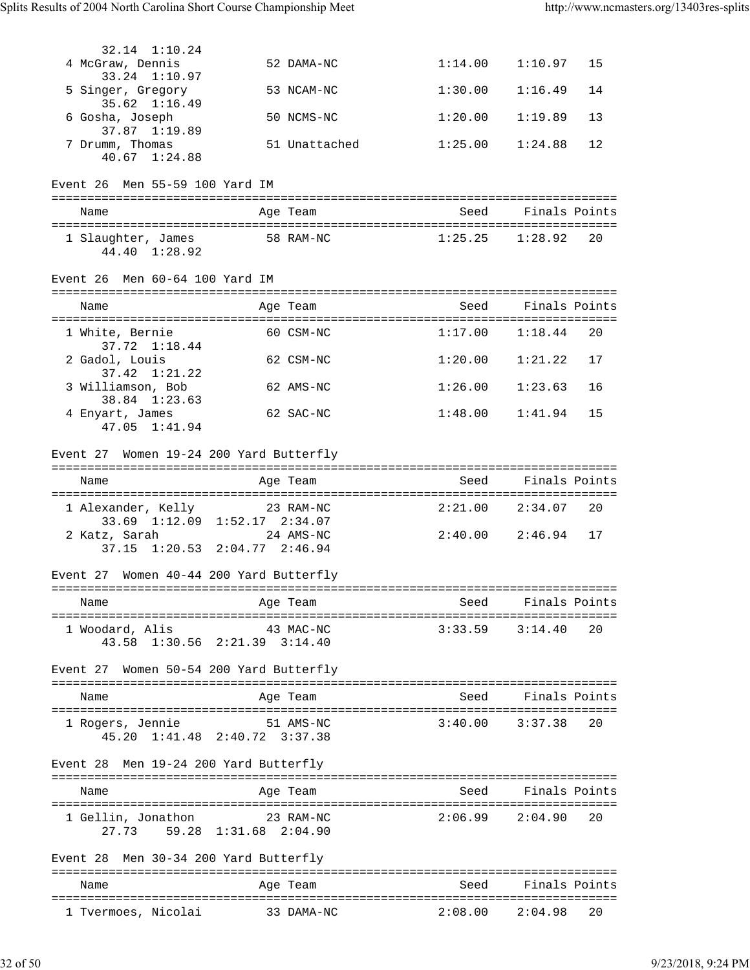| 32.14 1:10.24                                                                            |                                              |                                 |                        |      |
|------------------------------------------------------------------------------------------|----------------------------------------------|---------------------------------|------------------------|------|
| 4 McGraw, Dennis<br>33.24 1:10.97                                                        | 52 DAMA-NC                                   | 1:14.00                         | 1:10.97                | 15   |
| 5 Singer, Gregory<br>$35.62 \quad 1:16.49$                                               | 53 NCAM-NC                                   | 1:30.00                         | 1:16.49                | 14   |
| 6 Gosha, Joseph<br>37.87 1:19.89                                                         | 50 NCMS-NC                                   | 1:20.00                         | 1:19.89                | 13   |
| 7 Drumm, Thomas<br>40.67 1:24.88                                                         | 51 Unattached                                | 1:25.00                         | 1:24.88                | 12   |
| Event 26 Men 55-59 100 Yard IM                                                           |                                              |                                 |                        |      |
| Name                                                                                     | Age Team                                     |                                 | Seed Finals Points     |      |
| 44.40 1:28.92                                                                            | 1 Slaughter, James 58 RAM-NC 1:25.25 1:28.92 |                                 |                        | - 20 |
| Event 26 Men 60-64 100 Yard IM                                                           |                                              |                                 |                        |      |
| Name                                                                                     | Age Team                                     |                                 | Seed Finals Points     |      |
|                                                                                          |                                              |                                 |                        |      |
| 1 White, Bernie<br>37.72 1:18.44                                                         | 60 CSM-NC                                    |                                 | $1:17.00$ $1:18.44$    | -20  |
| 2 Gadol, Louis<br>$37.42 \quad 1:21.22$                                                  | 62 CSM-NC                                    |                                 | $1:20.00$ $1:21.22$    | 17   |
| 3 Williamson, Bob<br>38.84 1:23.63                                                       | 62 AMS-NC                                    | 1:26.00                         | 1:23.63                | 16   |
| 4 Enyart, James<br>47.05 1:41.94                                                         | 62 SAC-NC                                    | 1:48.00                         | 1:41.94                | 15   |
| Event 27 Women 19-24 200 Yard Butterfly                                                  |                                              |                                 |                        |      |
| Name                                                                                     | Age Team                                     | Seed                            | Finals Points          |      |
| 1 Alexander, Kelly 23 RAM-NC                                                             |                                              |                                 | $2:21.00$ $2:34.07$ 20 |      |
| 33.69 1:12.09 1:52.17 2:34.07<br>2 Katz, Sarah                                           | 24 AMS-NC                                    |                                 | $2:40.00$ $2:46.94$    | 17   |
| 37.15 1:20.53 2:04.77 2:46.94                                                            |                                              |                                 |                        |      |
| Event 27 Women 40-44 200 Yard Butterfly                                                  |                                              |                                 |                        |      |
| Name                                                                                     | Age Team                                     | Seed                            | Finals Points          |      |
| ====================================<br>1 Woodard, Alis<br>43.58 1:30.56 2:21.39 3:14.40 | 43 MAC-NC                                    | ;============================== | $3:33.59$ $3:14.40$    | 20   |
| Event 27 Women 50-54 200 Yard Butterfly                                                  |                                              |                                 |                        |      |
| Name                                                                                     | Age Team                                     | Seed                            | Finals Points          |      |
| 1 Rogers, Jennie<br>45.20 1:41.48 2:40.72 3:37.38                                        | 51 AMS-NC                                    |                                 | $3:40.00$ $3:37.38$    | 20   |
| Men 19-24 200 Yard Butterfly<br>Event 28                                                 |                                              |                                 |                        |      |
| Name                                                                                     | Age Team                                     |                                 | Seed Finals Points     |      |
| 1 Gellin, Jonathon<br>27.73 59.28 1:31.68 2:04.90                                        | 23 RAM-NC                                    |                                 | $2:06.99$ $2:04.90$    | 20   |
| Event 28 Men 30-34 200 Yard Butterfly                                                    |                                              |                                 |                        |      |
| Name                                                                                     | Age Team                                     | Seed                            | Finals Points          |      |
| 1 Tvermoes, Nicolai                                                                      | 33 DAMA-NC                                   | $2:08.00$ $2:04.98$             |                        | 20   |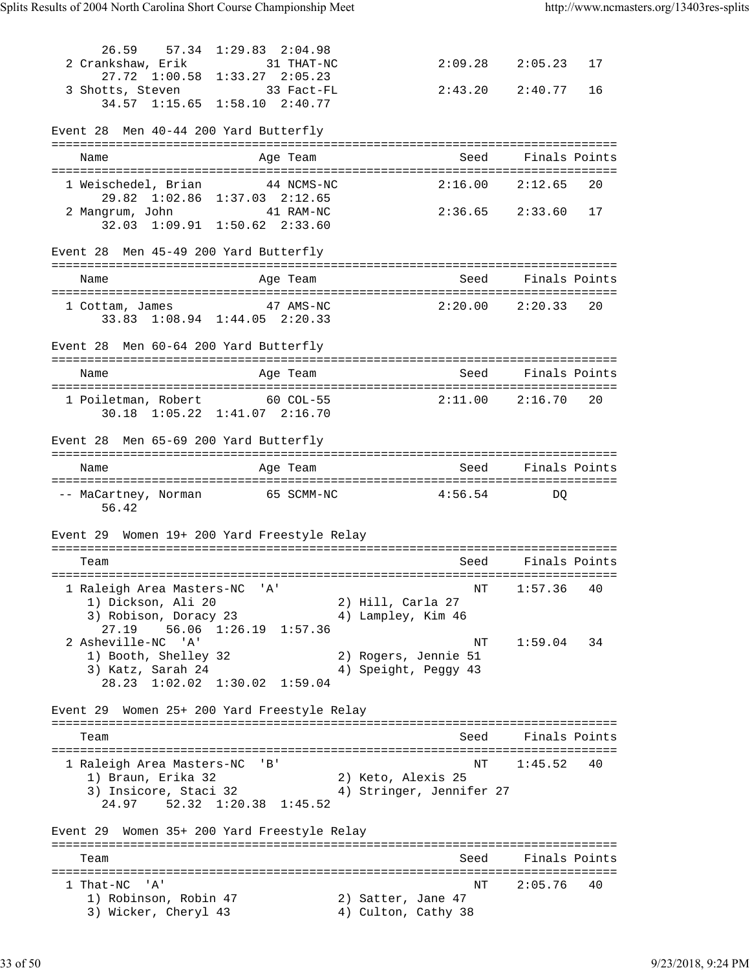26.59 57.34 1:29.83 2:04.98<br>2 Crankshaw, Erik 31 THAT-NC  $2:09.28$   $2:05.23$  17 27.72 1:00.58 1:33.27 2:05.23 3 Shotts, Steven 33 Fact-FL 2:43.20 2:40.77 16 34.57 1:15.65 1:58.10 2:40.77 Event 28 Men 40-44 200 Yard Butterfly =============================================================================== Name and Age Team and Seed Finals Points =============================================================================== 1 Weischedel, Brian 44 NCMS-NC 2:16.00 2:12.65 20 29.82 1:02.86 1:37.03 2:12.65 2 Mangrum, John 41 RAM-NC 2:36.65 2:33.60 17 32.03 1:09.91 1:50.62 2:33.60 Event 28 Men 45-49 200 Yard Butterfly =============================================================================== Name Age Team Seed Finals Points =============================================================================== 1 Cottam, James 47 AMS-NC 2:20.00 2:20.33 20 33.83 1:08.94 1:44.05 2:20.33 Event 28 Men 60-64 200 Yard Butterfly =============================================================================== Name and Age Team Seed Finals Points =============================================================================== 1 Poiletman, Robert 60 COL-55 2:11.00 2:16.70 20 30.18 1:05.22 1:41.07 2:16.70 Event 28 Men 65-69 200 Yard Butterfly =============================================================================== Name and Age Team Seed Finals Points =============================================================================== -- MaCartney, Norman 65 SCMM-NC 4:56.54 DQ 56.42 Event 29 Women 19+ 200 Yard Freestyle Relay =============================================================================== Seed Finals Points =============================================================================== 1 Raleigh Area Masters-NC 'A' National Communication of the Mass of the Mass of the Mass of the Mass of the Ma 1) Dickson, Ali 20 2) Hill, Carla 27 3) Robison, Doracy 23 (4) Lampley, Kim 46 27.19 56.06 1:26.19 1:57.36 2 Asheville-NC 'A' NT 1:59.04 34 1) Booth, Shelley 32 2) Rogers, Jennie 51 3) Katz, Sarah 24  $\hskip1cm$  4) Speight, Peggy 43 28.23 1:02.02 1:30.02 1:59.04 Event 29 Women 25+ 200 Yard Freestyle Relay =============================================================================== Team Seed Finals Points =============================================================================== 1 Raleigh Area Masters-NC 'B' National Research Communication of the NT 1:45.52 40 1) Braun, Erika 32 2) Keto, Alexis 25 3) Insicore, Staci 32 4) Stringer, Jennifer 27 24.97 52.32 1:20.38 1:45.52 Event 29 Women 35+ 200 Yard Freestyle Relay =============================================================================== Team Seed Finals Points =============================================================================== 1 That-NC 'A' NT 2:05.76 40 1) Robinson, Robin 47 (2) Satter, Jane 47 3) Wicker, Cheryl 43 4) Culton, Cathy 38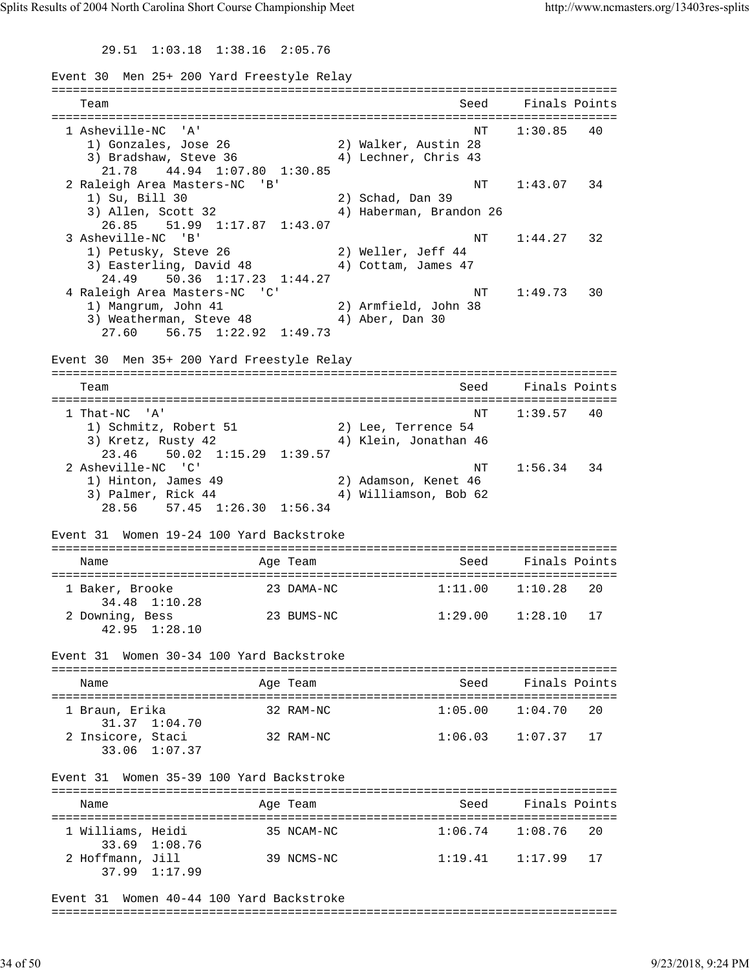29.51 1:03.18 1:38.16 2:05.76

Event 30 Men 25+ 200 Yard Freestyle Relay =============================================================================== Team Seed Finals Points =============================================================================== 1 Asheville-NC 'A' NT 1:30.85 40 1) Gonzales, Jose 26 2) Walker, Austin 28 3) Bradshaw, Steve 36 4) Lechner, Chris 43 21.78 44.94 1:07.80 1:30.85 2 Raleigh Area Masters-NC 'B' NT 1:43.07 34 1) Su, Bill 30 2) Schad, Dan 39 3) Allen, Scott 32 4) Haberman, Brandon 26 26.85 51.99 1:17.87 1:43.07 3 Asheville-NC 'B' NT 1:44.27 32 1) Petusky, Steve 26 2) Weller, Jeff 44 3) Easterling, David 48 4) Cottam, James 47 24.49 50.36 1:17.23 1:44.27 4 Raleigh Area Masters-NC 'C' NT 1:49.73 30 1) Mangrum, John 41 2) Armfield, John 38 3) Weatherman, Steve 48 4) Aber, Dan 30 27.60 56.75 1:22.92 1:49.73 Event 30 Men 35+ 200 Yard Freestyle Relay =============================================================================== Team Seed Finals Points =============================================================================== 1 That-NC 'A' NT 1:39.57 40 1) Schmitz, Robert 51 2) Lee, Terrence 54 3) Kretz, Rusty 42 4) Klein, Jonathan 46 23.46 50.02 1:15.29 1:39.57 2 Asheville-NC 'C' NT 1:56.34 34 1) Hinton, James 49 2) Adamson, Kenet 46 3) Palmer, Rick 44 4) Williamson, Bob 62 28.56 57.45 1:26.30 1:56.34 Event 31 Women 19-24 100 Yard Backstroke =============================================================================== Name The Age Team Seed Finals Points =============================================================================== 1 Baker, Brooke 23 DAMA-NC 1:11.00 1:10.28 20 34.48 1:10.28 2 Downing, Bess 23 BUMS-NC 1:29.00 1:28.10 17 42.95 1:28.10 Event 31 Women 30-34 100 Yard Backstroke =============================================================================== Name and Age Team Seed Finals Points =============================================================================== 1 Braun, Erika 32 RAM-NC<br>31.37 1:04.70<br>2 Insicore, Staci 32 RAM-NC 31.37 1:04.70<br>2 Insicore, Staci  $1:06.03$   $1:07.37$  17 33.06 1:07.37 Event 31 Women 35-39 100 Yard Backstroke =============================================================================== Name Age Team Seed Finals Points Age Team Seed Finals Points =============================================================================== 1 Williams, Heidi 35 NCAM-NC 1:06.74 1:08.76 20 33.69 1:08.76 2 Hoffmann, Jill 39 NCMS-NC 1:19.41 1:17.99 17 37.99 1:17.99

Event 31 Women 40-44 100 Yard Backstroke

===============================================================================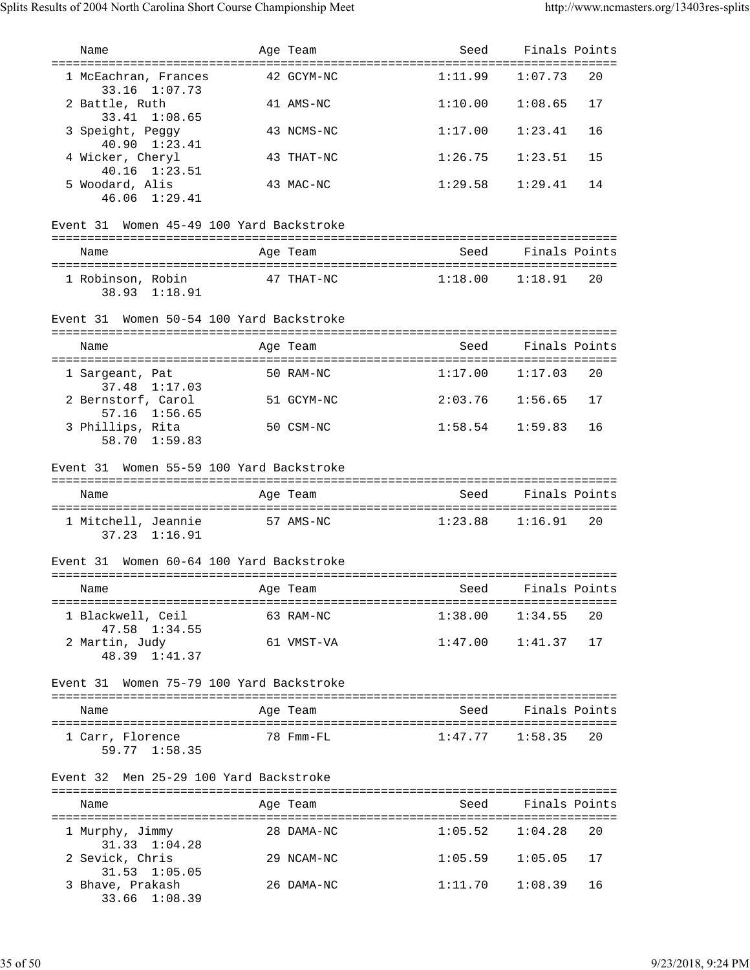| Name                                         |                           | Age Team   | Seed                           | Finals Points          |    |
|----------------------------------------------|---------------------------|------------|--------------------------------|------------------------|----|
| ======================================       |                           |            |                                |                        |    |
| 1 McEachran, Frances<br>33.16 1:07.73        |                           | 42 GCYM-NC | 1:11.99                        | 1:07.73                | 20 |
| 2 Battle, Ruth<br>33.41 1:08.65              |                           | 41 AMS-NC  | 1:10.00                        | 1:08.65                | 17 |
| 3 Speight, Peggy<br>40.90 1:23.41            |                           | 43 NCMS-NC | 1:17.00                        | 1:23.41                | 16 |
| 4 Wicker, Cheryl<br>40.16 1:23.51            |                           | 43 THAT-NC | 1:26.75                        | 1:23.51                | 15 |
| 5 Woodard, Alis<br>46.06 1:29.41             |                           | 43 MAC-NC  | 1:29.58                        | 1:29.41                | 14 |
| Event 31 Women 45-49 100 Yard Backstroke     |                           |            |                                |                        |    |
| Name                                         |                           | Age Team   | Seed                           | Finals Points          |    |
| 1 Robinson, Robin<br>38.93 1:18.91           |                           | 47 THAT-NC | $1:18.00$ $1:18.91$            |                        | 20 |
| Event 31 Women 50-54 100 Yard Backstroke     |                           |            |                                |                        |    |
| Name                                         |                           | Age Team   | Seed                           | Finals Points          |    |
| 1 Sargeant, Pat<br>37.48 1:17.03             |                           | 50 RAM-NC  |                                | $1:17.00$ $1:17.03$    | 20 |
| 2 Bernstorf, Carol<br>57.16 1:56.65          |                           | 51 GCYM-NC | 2:03.76                        | 1:56.65                | 17 |
| 3 Phillips, Rita<br>58.70 1:59.83            |                           | 50 CSM-NC  | 1:58.54                        | 1:59.83                | 16 |
|                                              |                           |            |                                |                        |    |
| Event 31 Women 55-59 100 Yard Backstroke     |                           |            |                                |                        |    |
|                                              |                           |            |                                |                        |    |
| Name                                         |                           | Age Team   | Seed                           | Finals Points          |    |
| 1 Mitchell, Jeannie<br>$37.23$ $1:16.91$     |                           | 57 AMS-NC  |                                | $1:23.88$ $1:16.91$    | 20 |
| Women 60-64 100 Yard Backstroke<br>Event 31  |                           |            |                                |                        |    |
|                                              |                           |            |                                |                        |    |
| Name                                         | and the Team and Aqe Team |            | in the state of the Seed Seed. | Finals Points          |    |
| 1 Blackwell, Ceil 63 RAM-NC<br>47.58 1:34.55 |                           |            |                                | $1:38.00$ $1:34.55$ 20 |    |
| 2 Martin, Judy<br>48.39 1:41.37              |                           | 61 VMST-VA |                                | $1:47.00$ $1:41.37$ 17 |    |
| Event 31 Women 75-79 100 Yard Backstroke     |                           |            |                                |                        |    |
| Name                                         |                           | Age Team   |                                | Seed Finals Points     |    |
| 1 Carr, Florence<br>59.77 1:58.35            | 78 Fmm-FL                 |            |                                | $1:47.77$ $1:58.35$ 20 |    |
| Event 32 Men 25-29 100 Yard Backstroke       |                           |            |                                |                        |    |
|                                              |                           |            |                                |                        |    |
| Name                                         |                           | Age Team   |                                | Seed Finals Points     |    |
| 1 Murphy, Jimmy<br>31.33 1:04.28             |                           | 28 DAMA-NC | $1:05.52$ $1:04.28$            |                        | 20 |
| 2 Sevick, Chris<br>31.53 1:05.05             |                           | 29 NCAM-NC |                                | $1:05.59$ $1:05.05$    | 17 |

33.66 1:08.39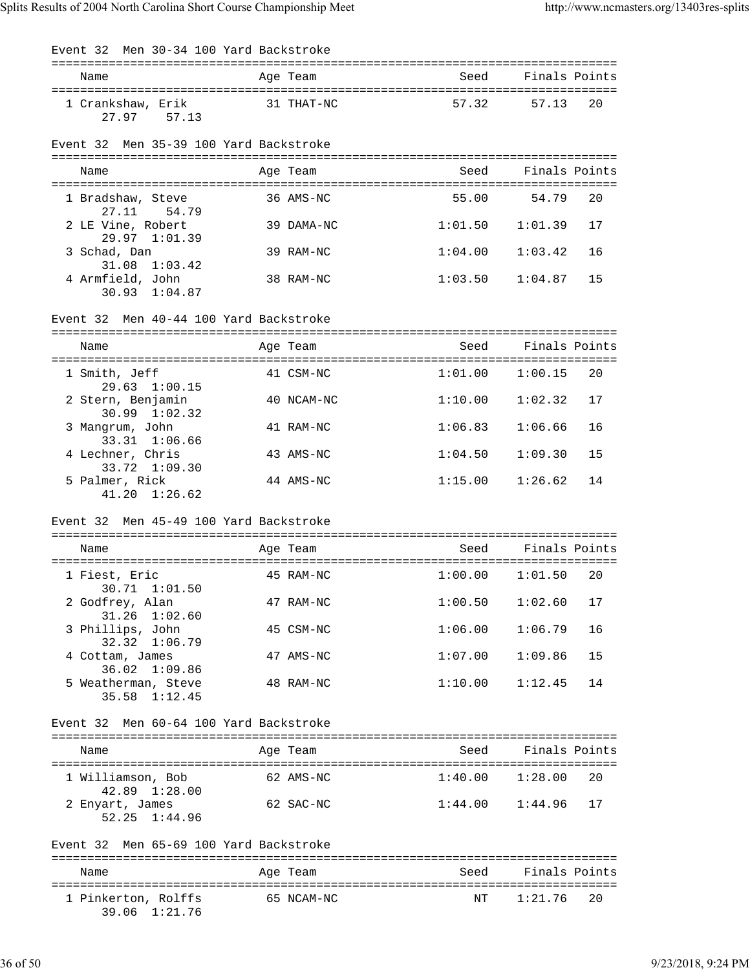| Men 30-34 100 Yard Backstroke<br>Event 32                       |            |                     |                   |
|-----------------------------------------------------------------|------------|---------------------|-------------------|
| Name                                                            | Age Team   | Seed                | Finals Points     |
| 1 Crankshaw, Erik<br>27.97 57.13                                | 31 THAT-NC |                     | 57.32 57.13<br>20 |
| Men 35-39 100 Yard Backstroke<br>Event 32                       |            |                     |                   |
| Name                                                            | Age Team   | Seed                | Finals Points     |
| 1 Bradshaw, Steve                                               | 36 AMS-NC  | 55.00               | 54.79<br>20       |
| 27.11 54.79<br>2 LE Vine, Robert                                | 39 DAMA-NC | $1:01.50$ $1:01.39$ | 17                |
| 29.97 1:01.39<br>3 Schad, Dan                                   | 39 RAM-NC  | 1:04.00             | 1:03.42<br>16     |
| $31.08$ $1:03.42$<br>4 Armfield, John<br>30.93 1:04.87          | 38 RAM-NC  | 1:03.50             | 15<br>1:04.87     |
| Event 32 Men 40-44 100 Yard Backstroke                          |            |                     |                   |
| Name                                                            | Age Team   | Seed                | Finals Points     |
| 1 Smith, Jeff                                                   | 41 CSM-NC  | 1:01.00             | 1:00.15<br>20     |
| $29.63 \quad 1:00.15$<br>2 Stern, Benjamin<br>$30.99$ $1:02.32$ | 40 NCAM-NC | 1:10.00             | 17<br>1:02.32     |
| 3 Mangrum, John<br>33.31 1:06.66                                | 41 RAM-NC  | 1:06.83             | 1:06.66<br>16     |
| 4 Lechner, Chris<br>33.72 1:09.30                               | 43 AMS-NC  | 1:04.50             | 15<br>1:09.30     |
| 5 Palmer, Rick<br>$41.20 \quad 1:26.62$                         | 44 AMS-NC  | 1:15.00             | 1:26.62<br>14     |
| Event 32 Men 45-49 100 Yard Backstroke                          |            |                     |                   |
| Name                                                            | Age Team   | Seed                | Finals Points     |
| 1 Fiest, Eric                                                   | 45 RAM-NC  | $1:00.00$ $1:01.50$ | 20                |
| 30.71 1:01.50<br>2 Godfrey, Alan<br>$31.26$ $1:02.60$           | 47 RAM-NC  | 1:00.50             | 1:02.60<br>17     |
| 3 Phillips, John<br>32.32 1:06.79                               | 45 CSM-NC  | 1:06.00             | 1:06.79<br>16     |
| 4 Cottam, James<br>36.02 1:09.86                                | 47 AMS-NC  | 1:07.00             | 15<br>1:09.86     |
| 5 Weatherman, Steve<br>35.58 1:12.45                            | 48 RAM-NC  | 1:10.00             | 14<br>1:12.45     |
| Event 32 Men 60-64 100 Yard Backstroke                          |            |                     |                   |
| Name                                                            | Age Team   | Seed                | Finals Points     |
| 1 Williamson, Bob<br>42.89 1:28.00                              | 62 AMS-NC  | 1:40.00             | 20<br>1:28.00     |
| 2 Enyart, James<br>52.25 1:44.96                                | 62 SAC-NC  | 1:44.00             | 1:44.96<br>17     |
| Event 32 Men 65-69 100 Yard Backstroke                          |            |                     |                   |
| Name                                                            | Age Team   | Seed                | Finals Points     |
| 1 Pinkerton, Rolffs<br>39.06 1:21.76                            | 65 NCAM-NC | ΝT                  | 1:21.76<br>20     |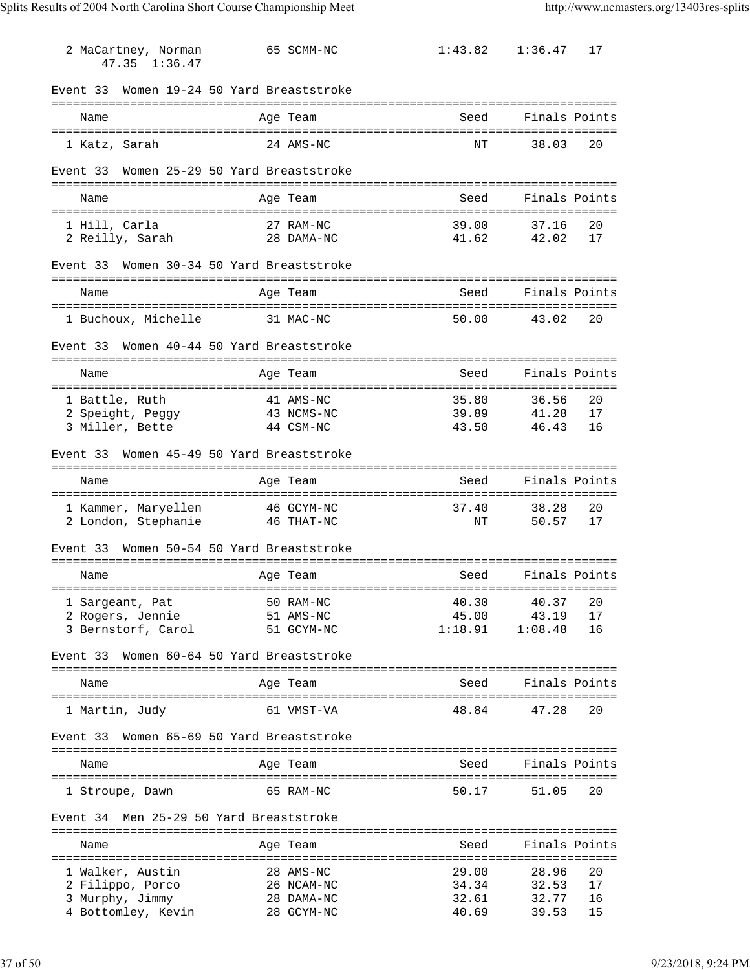| 2 MaCartney, Norman<br>47.35 1:36.47                                                            | 65 SCMM-NC                                          | 1:43.82                                                              | 1:36.47                          | 17                   |
|-------------------------------------------------------------------------------------------------|-----------------------------------------------------|----------------------------------------------------------------------|----------------------------------|----------------------|
| Women 19-24 50 Yard Breaststroke<br>Event 33                                                    |                                                     |                                                                      |                                  |                      |
| Name                                                                                            | Age Team                                            | Seed                                                                 | Finals Points                    |                      |
| 1 Katz, Sarah                                                                                   | 24 AMS-NC                                           | NΤ                                                                   | 38.03                            | 20                   |
| Women 25-29 50 Yard Breaststroke<br>Event 33                                                    |                                                     |                                                                      |                                  |                      |
| Name                                                                                            | Age Team                                            | Seed                                                                 | Finals Points                    |                      |
| 1 Hill, Carla<br>2 Reilly, Sarah                                                                | 27 RAM-NC<br>28 DAMA-NC                             | 39.00<br>41.62                                                       | 37.16<br>42.02                   | 20<br>17             |
| Women 30-34 50 Yard Breaststroke<br>Event 33                                                    |                                                     |                                                                      |                                  |                      |
| Name                                                                                            | Age Team                                            | Seed                                                                 | Finals Points                    |                      |
| 1 Buchoux, Michelle                                                                             | 31 MAC-NC                                           | 50.00                                                                | 43.02                            | 20                   |
| Women 40-44 50 Yard Breaststroke<br>Event 33                                                    |                                                     |                                                                      |                                  |                      |
| Name                                                                                            | Age Team                                            | Seed                                                                 | Finals Points                    |                      |
| 1 Battle, Ruth<br>2 Speight, Peggy<br>3 Miller, Bette                                           | 41 AMS-NC<br>43 NCMS-NC<br>44 CSM-NC                | 35.80<br>39.89<br>43.50                                              | 36.56<br>41.28<br>46.43          | 20<br>17<br>16       |
| Women 45-49 50 Yard Breaststroke<br>Event 33                                                    |                                                     |                                                                      |                                  |                      |
| Name                                                                                            | Age Team                                            | Seed                                                                 | Finals Points                    |                      |
| 1 Kammer, Maryellen 46 GCYM-NC<br>2 London, Stephanie                                           | 46 THAT-NC                                          | 37.40<br>NΤ                                                          | 38.28<br>50.57                   | 20<br>17             |
| Women 50-54 50 Yard Breaststroke<br>Event 33                                                    |                                                     |                                                                      |                                  |                      |
| Name                                                                                            | Age Team                                            | Seed                                                                 | Finals Points                    |                      |
| ----------------------------------<br>1 Sargeant, Pat<br>2 Rogers, Jennie<br>3 Bernstorf, Carol | 50 RAM-NC<br>51 AMS-NC<br>51 GCYM-NC                | __________________________________<br>40.30<br>45.00<br>1:18.91      | 40.37<br>43.19<br>1:08.48        | 20<br>17<br>16       |
| Women 60-64 50 Yard Breaststroke<br>Event 33                                                    |                                                     |                                                                      | ------------------               |                      |
| Name                                                                                            | Age Team                                            | Seed                                                                 | Finals Points                    |                      |
| 1 Martin, Judy                                                                                  | 61 VMST-VA                                          | 48.84                                                                | 47.28                            | 20                   |
| Women 65-69 50 Yard Breaststroke<br>Event 33                                                    |                                                     |                                                                      |                                  |                      |
| Name                                                                                            | Age Team                                            | Seed                                                                 | Finals Points                    |                      |
| 1 Stroupe, Dawn                                                                                 | 65 RAM-NC                                           | 50.17                                                                | 51.05                            | 20                   |
| Event 34 Men 25-29 50 Yard Breaststroke                                                         |                                                     |                                                                      |                                  |                      |
| Name                                                                                            | Age Team                                            | Seed                                                                 | Finals Points                    |                      |
| 1 Walker, Austin<br>2 Filippo, Porco<br>3 Murphy, Jimmy<br>4 Bottomley, Kevin                   | 28 AMS-NC<br>26 NCAM-NC<br>28 DAMA-NC<br>28 GCYM-NC | ================================<br>29.00<br>34.34<br>32.61<br>40.69 | 28.96<br>32.53<br>32.77<br>39.53 | 20<br>17<br>16<br>15 |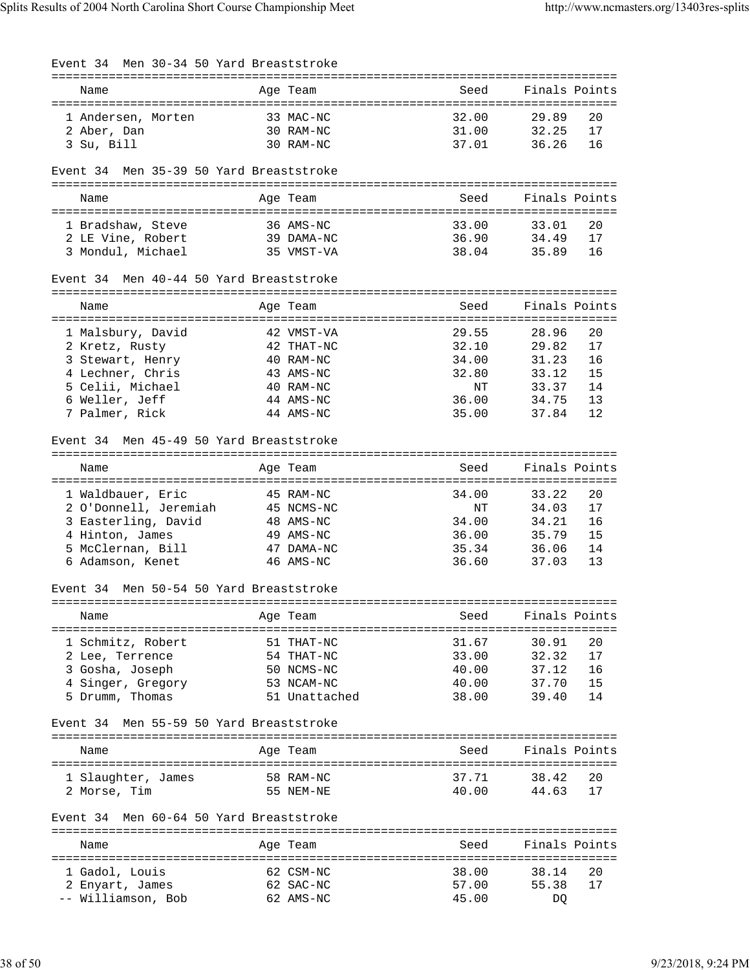| Men 30-34 50 Yard Breaststroke<br>Event 34 |                         |                |                               |
|--------------------------------------------|-------------------------|----------------|-------------------------------|
| Name                                       | Age Team                | Seed           | Finals Points                 |
| 1 Andersen, Morten                         | 33 MAC-NC               | 32.00          | 20<br>29.89                   |
| 2 Aber, Dan                                | 30 RAM-NC               | 31.00          | 32.25<br>17                   |
| 3 Su, Bill                                 | 30 RAM-NC               | 37.01          | 36.26<br>16                   |
| Men 35-39 50 Yard Breaststroke<br>Event 34 |                         |                |                               |
| Name                                       | Age Team                | Seed           | Finals Points                 |
| 1 Bradshaw, Steve                          | 36 AMS-NC               | 33.00          | 33.01<br>20                   |
| 2 LE Vine, Robert                          | 39 DAMA-NC              | 36.90          | 34.49<br>17                   |
| 3 Mondul, Michael                          | 35 VMST-VA              | 38.04          | 16<br>35.89                   |
| Event 34 Men 40-44 50 Yard Breaststroke    |                         |                |                               |
| Name                                       | Age Team                | Seed           | Finals Points                 |
|                                            |                         |                |                               |
| 1 Malsbury, David                          | 42 VMST-VA              | 29.55          | 20<br>28.96                   |
| 2 Kretz, Rusty<br>3 Stewart, Henry         | 42 THAT-NC<br>40 RAM-NC | 32.10<br>34.00 | 29.82<br>17<br>31.23<br>16    |
| 4 Lechner, Chris                           | 43 AMS-NC               | 32.80          | 15<br>33.12                   |
| 5 Celii, Michael                           | 40 RAM-NC               | NΤ             | 14<br>33.37                   |
| 6 Weller, Jeff                             | 44 AMS-NC               | 36.00          | 13<br>34.75                   |
| 7 Palmer, Rick                             | 44 AMS-NC               | 35.00          | 12<br>37.84                   |
| Event 34 Men 45-49 50 Yard Breaststroke    |                         |                |                               |
| Name                                       | Age Team                | Seed           | Finals Points                 |
|                                            |                         |                |                               |
| 1 Waldbauer, Eric                          | 45 RAM-NC               | 34.00          | 20<br>33.22                   |
| 2 O'Donnell, Jeremiah                      | 45 NCMS-NC              | NΤ             | 17<br>34.03                   |
| 3 Easterling, David                        | 48 AMS-NC               | 34.00          | 16<br>34.21                   |
| 4 Hinton, James<br>5 McClernan, Bill       | 49 AMS-NC<br>47 DAMA-NC | 36.00<br>35.34 | 15<br>35.79<br>14<br>36.06    |
| 6 Adamson, Kenet                           | 46 AMS-NC               | 36.60          | 37.03<br>13                   |
|                                            |                         |                |                               |
| Event 34 Men 50-54 50 Yard Breaststroke    |                         |                |                               |
| Name                                       | Age Team                | Seed           | Finals Points<br>============ |
| 1 Schmitz, Robert                          | 51 THAT-NC              | 31.67          | 30.91<br>20                   |
| 2 Lee, Terrence                            | 54 THAT-NC              | 33.00          | 32.32<br>17                   |
| 3 Gosha, Joseph                            | 50 NCMS-NC              | 40.00          | 37.12<br>16                   |
| 4 Singer, Gregory                          | 53 NCAM-NC              | 40.00          | 15<br>37.70                   |
| 5 Drumm, Thomas                            | 51 Unattached           | 38.00          | 14<br>39.40                   |
| Men 55-59 50 Yard Breaststroke<br>Event 34 |                         |                |                               |
| Name                                       | Age Team                | Seed           | Finals Points                 |
| 1 Slaughter, James                         | 58 RAM-NC               | 37.71          | 38.42<br>20                   |
| 2 Morse, Tim                               | 55 NEM-NE               | 40.00          | 17<br>44.63                   |
| Men 60-64 50 Yard Breaststroke<br>Event 34 |                         |                |                               |
| Name                                       | Age Team                | Seed           | Finals Points                 |
| ==================================         |                         |                |                               |
| 1 Gadol, Louis                             | 62 CSM-NC               | 38.00          | 20<br>38.14                   |
| 2 Enyart, James                            | 62 SAC-NC               | 57.00          | 55.38<br>17                   |
| -- Williamson, Bob                         | 62 AMS-NC               | 45.00          | DQ                            |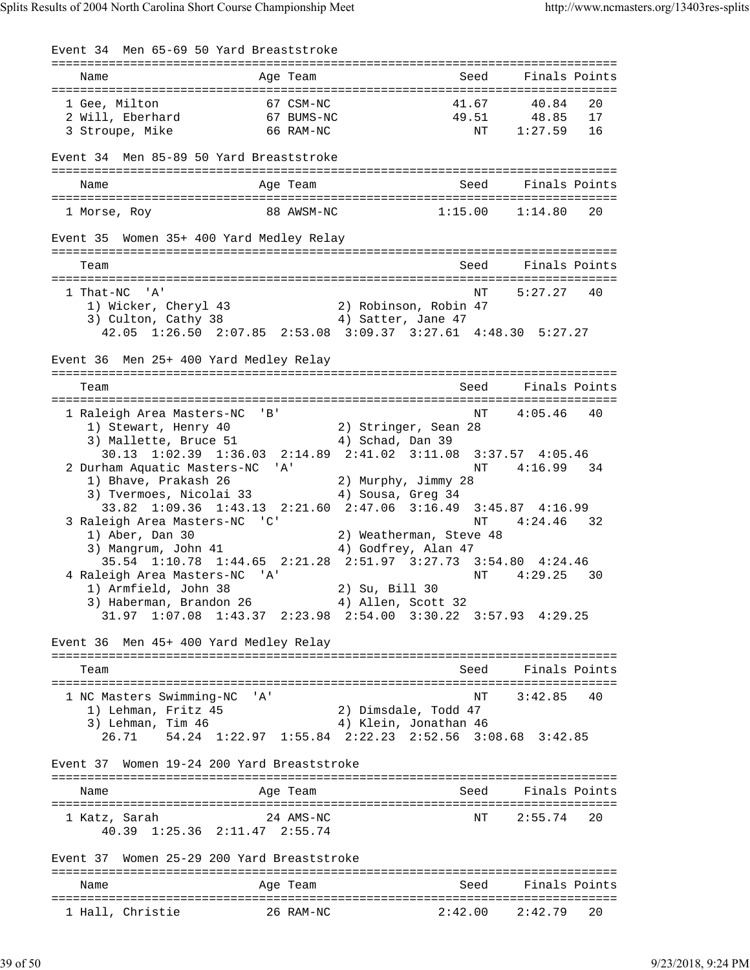Event 34 Men 65-69 50 Yard Breaststroke =============================================================================== Name and Age Team and Seed Finals Points =============================================================================== 1 Gee, Milton 67 CSM-NC 41.67 40.84 20 2 Will, Eberhard 67 BUMS-NC 49.51 48.85 17 3 Stroupe, Mike 66 RAM-NC NT 1:27.59 16 Event 34 Men 85-89 50 Yard Breaststroke =============================================================================== Name **Age Team** Age Team Seed Finals Points =============================================================================== 1 Morse, Roy 88 AWSM-NC 1:15.00 1:14.80 20 Event 35 Women 35+ 400 Yard Medley Relay =============================================================================== Team Seed Finals Points =============================================================================== NT 5:27.27 40 1) Wicker, Cheryl 43 2) Robinson, Robin 47 3) Culton, Cathy 38 4) Satter, Jane 47 42.05 1:26.50 2:07.85 2:53.08 3:09.37 3:27.61 4:48.30 5:27.27 Event 36 Men 25+ 400 Yard Medley Relay =============================================================================== Team Seed Finals Points =============================================================================== 1 Raleigh Area Masters-NC 'B' National Raleigh Area Masters-NC 'B' 1) Stewart, Henry 40 2) Stringer, Sean 28 3) Mallette, Bruce 51 (4) Schad, Dan 39 30.13 1:02.39 1:36.03 2:14.89 2:41.02 3:11.08 3:37.57 4:05.46 2 Durham Aquatic Masters-NC 'A' 1) Bhave, Prakash 26 2) Murphy, Jimmy 28 3) Tvermoes, Nicolai 33 4) Sousa, Greg 34 33.82 1:09.36 1:43.13 2:21.60 2:47.06 3:16.49 3:45.87 4:16.99 3 Raleigh Area Masters-NC 'C' 1) Aber, Dan 30 19 Nu atherman, Steve 48 1) Aber, Dan 30 2) Weatherman, Steve 48 3) Mangrum, John 41 4) Godfrey, Alan 47 Mangrum, John 41 (1993)<br>35.54 1:10.78 1:44.65 2:21.28 2:51.97 3:27.73 3:54.80 4:24.46 4 Raleigh Area Masters-NC 'A' National Action of the Masses of Article 2014 and Masses and Masses of Article 2014 1) Armfield, John 38 2) Su, Bill 30 3) Haberman, Brandon 26 (4) Allen, Scott 32 31.97 1:07.08 1:43.37 2:23.98 2:54.00 3:30.22 3:57.93 4:29.25 Event 36 Men 45+ 400 Yard Medley Relay =============================================================================== Team Seed Finals Points =============================================================================== 1 NC Masters Swimming-NC 'A' NT 3:42.85 40 1) Lehman, Fritz 45 2) Dimsdale, Todd 47 3) Lehman, Tim 46 4) Klein, Jonathan 46 26.71 54.24 1:22.97 1:55.84 2:22.23 2:52.56 3:08.68 3:42.85 Event 37 Women 19-24 200 Yard Breaststroke =============================================================================== Name Age Team Seed Finals Points =============================================================================== 1 Katz, Sarah 24 AMS-NC NT 2:55.74 20 40.39 1:25.36 2:11.47 2:55.74 Event 37 Women 25-29 200 Yard Breaststroke =============================================================================== Name **Age Team** Age Team Seed Finals Points =============================================================================== 1 Hall, Christie 26 RAM-NC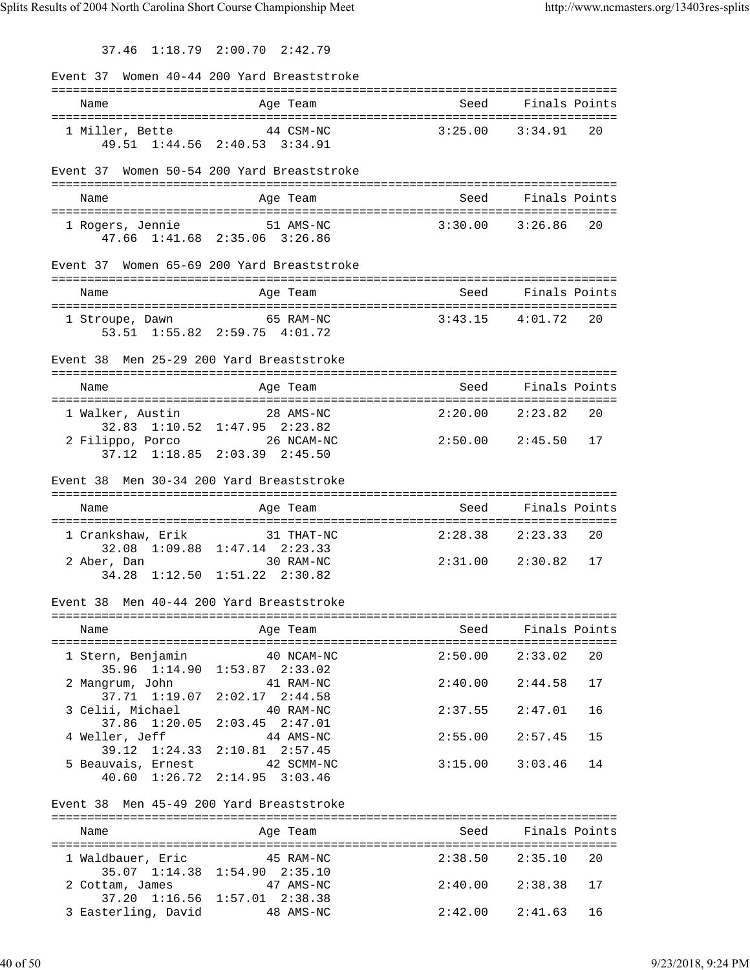37.46 1:18.79 2:00.70 2:42.79

|                                          | Event 37 Women 40-44 200 Yard Breaststroke  |                        |                     |    |
|------------------------------------------|---------------------------------------------|------------------------|---------------------|----|
| Name                                     | Age Team                                    |                        | Seed Finals Points  |    |
|                                          |                                             |                        |                     |    |
| 1 Miller, Bette 44 CSM-NC                |                                             | 3:25.00                | 3:34.91             | 20 |
|                                          | 49.51 1:44.56 2:40.53 3:34.91               |                        |                     |    |
|                                          | Event 37 Women 50-54 200 Yard Breaststroke  |                        |                     |    |
|                                          |                                             |                        |                     |    |
| Name                                     | Age Team                                    | Seed                   | Finals Points       |    |
| 1 Rogers, Jennie 51 AMS-NC               | 47.66 1:41.68 2:35.06 3:26.86               |                        | $3:30.00$ $3:26.86$ | 20 |
|                                          | Event 37 Women 65-69 200 Yard Breaststroke  |                        |                     |    |
| Name                                     | Age Team                                    | Seed                   | Finals Points       |    |
|                                          |                                             |                        |                     |    |
| 1 Stroupe, Dawn 65 RAM-NC                | 53.51 1:55.82 2:59.75 4:01.72               | $3:43.15$ $4:01.72$    |                     | 20 |
|                                          |                                             |                        |                     |    |
| Event 38                                 | Men 25-29 200 Yard Breaststroke             |                        |                     |    |
| Name                                     | Age Team                                    |                        | Seed Finals Points  |    |
|                                          |                                             |                        |                     |    |
| 1 Walker, Austin                         | 28 AMS-NC                                   | 2:20.00 2:23.82        |                     | 20 |
| 2 Filippo, Porco 26 NCAM-NC              | 32.83 1:10.52 1:47.95 2:23.82               |                        |                     |    |
|                                          | 37.12 1:18.85 2:03.39 2:45.50               | 2:50.00 2:45.50 17     |                     |    |
|                                          |                                             |                        |                     |    |
| Event 38 Men 30-34 200 Yard Breaststroke |                                             |                        |                     |    |
|                                          |                                             |                        |                     |    |
| Name                                     | Age Team                                    | Seed                   | Finals Points       |    |
|                                          |                                             |                        |                     |    |
| 1 Crankshaw, Erik                        | 31 THAT-NC<br>32.08 1:09.88 1:47.14 2:23.33 | 2:28.38                | 2:23.33             | 20 |
| 2 Aber, Dan                              | 30 RAM-NC                                   | $2:31.00$ $2:30.82$ 17 |                     |    |
|                                          | 34.28 1:12.50 1:51.22 2:30.82               |                        |                     |    |
| Event 38 Men 40-44 200 Yard Breaststroke |                                             |                        |                     |    |
|                                          |                                             |                        |                     |    |
| Name                                     | Age Team                                    | Seed                   | Finals Points       |    |
| 1 Stern, Benjamin 40 NCAM-NC             |                                             | $2:50.00$ $2:33.02$    |                     | 20 |
|                                          | 35.96 1:14.90 1:53.87 2:33.02               |                        |                     |    |
| 2 Mangrum, John                          | 41 RAM-NC                                   | 2:40.00                | 2:44.58             | 17 |
| 3 Celii, Michael                         | 37.71 1:19.07 2:02.17 2:44.58<br>40 RAM-NC  | 2:37.55                | 2:47.01             | 16 |
| 37.86 1:20.05                            | $2:03.45$ $2:47.01$                         |                        |                     |    |
| 4 Weller, Jeff                           | 44 AMS-NC                                   | 2:55.00                | 2:57.45             | 15 |
|                                          | 39.12 1:24.33 2:10.81 2:57.45               | 3:15.00                | 3:03.46             | 14 |
| 5 Beauvais, Ernest 42 SCMM-NC            | 40.60 1:26.72 2:14.95 3:03.46               |                        |                     |    |
|                                          |                                             |                        |                     |    |
| Event 38 Men 45-49 200 Yard Breaststroke |                                             |                        |                     |    |
| Name                                     | Age Team                                    |                        | Seed Finals Points  |    |
|                                          |                                             |                        |                     |    |
| 1 Waldbauer, Eric 45 RAM-NC              |                                             | 2:38.50                | 2:35.10             | 20 |
| 2 Cottam, James                          | 35.07 1:14.38 1:54.90 2:35.10<br>47 AMS-NC  | 2:40.00                | 2:38.38             | 17 |
| 3 Easterling, David                      | 37.20 1:16.56 1:57.01 2:38.38<br>48 AMS-NC  | 2:42.00                | 2:41.63             | 16 |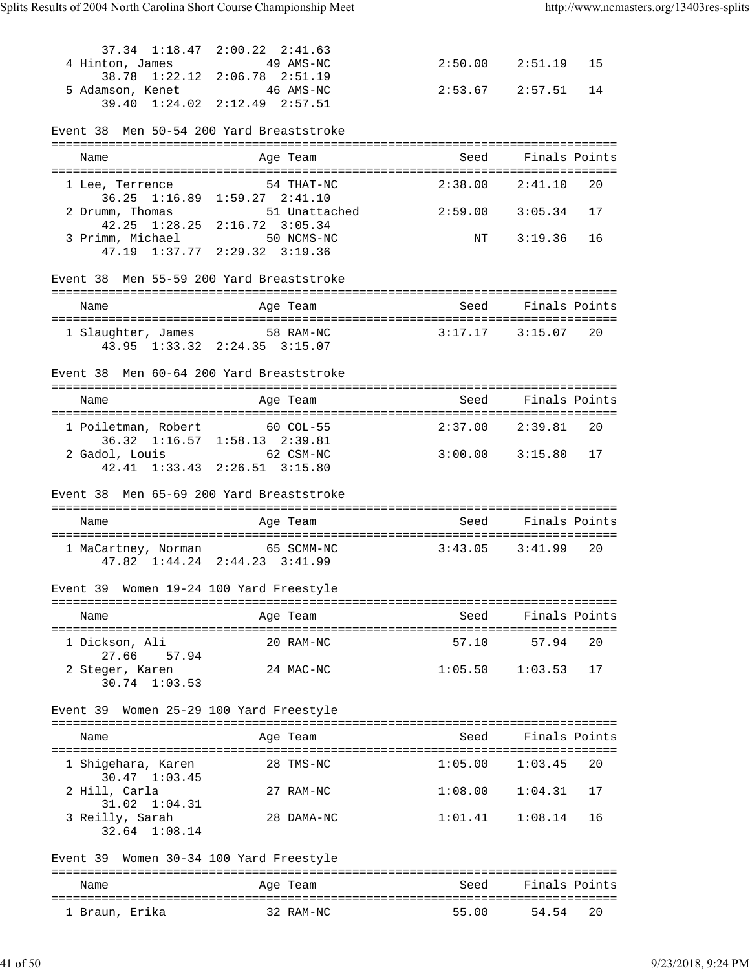|                                          | 37.34 1:18.47 2:00.22 2:41.63                                   |                        |                     |    |
|------------------------------------------|-----------------------------------------------------------------|------------------------|---------------------|----|
| 4 Hinton, James                          | 49 AMS-NC                                                       |                        | $2:50.00$ $2:51.19$ | 15 |
| 5 Adamson, Kenet 46 AMS-NC               | 38.78 1:22.12 2:06.78 2:51.19                                   | $2:53.67$ $2:57.51$    |                     | 14 |
|                                          | 39.40 1:24.02 2:12.49 2:57.51                                   |                        |                     |    |
| Event 38 Men 50-54 200 Yard Breaststroke |                                                                 |                        |                     |    |
|                                          |                                                                 |                        |                     |    |
| Name                                     | Age Team                                                        |                        | Seed Finals Points  |    |
| 1 Lee, Terrence                          | 54 THAT-NC                                                      | $2:38.00$ $2:41.10$ 20 |                     |    |
|                                          | 36.25 1:16.89 1:59.27 2:41.10                                   |                        |                     |    |
| 2 Drumm, Thomas                          | 51 Unattached 2:59.00 3:05.34<br>42.25 1:28.25 2:16.72 3:05.34  |                        |                     | 17 |
| 3 Primm, Michael 50 NCMS-NC              |                                                                 |                        | NT 3:19.36          | 16 |
|                                          | 47.19 1:37.77 2:29.32 3:19.36                                   |                        |                     |    |
| Event 38 Men 55-59 200 Yard Breaststroke |                                                                 |                        |                     |    |
| Name                                     | Age Team                                                        | Seed                   | Finals Points       |    |
|                                          |                                                                 |                        |                     |    |
|                                          | 1 Slaughter, James 58 RAM-NC                                    | $3:17.17$ $3:15.07$ 20 |                     |    |
|                                          | 43.95 1:33.32 2:24.35 3:15.07                                   |                        |                     |    |
| Event 38 Men 60-64 200 Yard Breaststroke |                                                                 |                        |                     |    |
| Name                                     | Age Team                                                        |                        | Seed Finals Points  |    |
|                                          |                                                                 |                        |                     |    |
| 1 Poiletman, Robert 60 COL-55            | 36.32 1:16.57 1:58.13 2:39.81                                   | 2:37.00 2:39.81 20     |                     |    |
| 2 Gadol, Louis 62 CSM-NC                 |                                                                 | $3:00.00$ $3:15.80$ 17 |                     |    |
|                                          | 42.41 1:33.43 2:26.51 3:15.80                                   |                        |                     |    |
|                                          |                                                                 |                        |                     |    |
| Event 38 Men 65-69 200 Yard Breaststroke |                                                                 |                        |                     |    |
| Name                                     | Age Team                                                        | Seed                   | Finals Points       |    |
|                                          |                                                                 |                        |                     |    |
|                                          | 1 MaCartney, Norman 65 SCMM-NC<br>47.82 1:44.24 2:44.23 3:41.99 | $3:43.05$ $3:41.99$ 20 |                     |    |
| Event 39 Women 19-24 100 Yard Freestyle  |                                                                 |                        |                     |    |
| Name                                     |                                                                 | Seed                   | Finals Points       |    |
|                                          | Age Team                                                        |                        |                     |    |
| 1 Dickson, Ali<br>27.66<br>57.94         | 20 RAM-NC                                                       | 57.10                  | 57.94               | 20 |
| 2 Steger, Karen                          | 24 MAC-NC                                                       | $1:05.50$ $1:03.53$    |                     | 17 |
| $30.74$ 1:03.53                          |                                                                 |                        |                     |    |
| Event 39 Women 25-29 100 Yard Freestyle  |                                                                 |                        |                     |    |
| Name                                     | Age Team                                                        | Seed                   | Finals Points       |    |
| 1 Shiqehara, Karen                       | 28 TMS-NC                                                       | 1:05.00                | 1:03.45             | 20 |
| $30.47 \quad 1:03.45$                    |                                                                 |                        |                     |    |
| 2 Hill, Carla                            | 27 RAM-NC                                                       | 1:08.00                | 1:04.31             | 17 |
| 31.02 1:04.31                            | 28 DAMA-NC                                                      | 1:01.41                | 1:08.14             | 16 |
| 3 Reilly, Sarah<br>32.64 1:08.14         |                                                                 |                        |                     |    |
|                                          |                                                                 |                        |                     |    |
| Event 39 Women 30-34 100 Yard Freestyle  |                                                                 |                        |                     |    |
| Name                                     | Age Team                                                        | Seed                   | Finals Points       |    |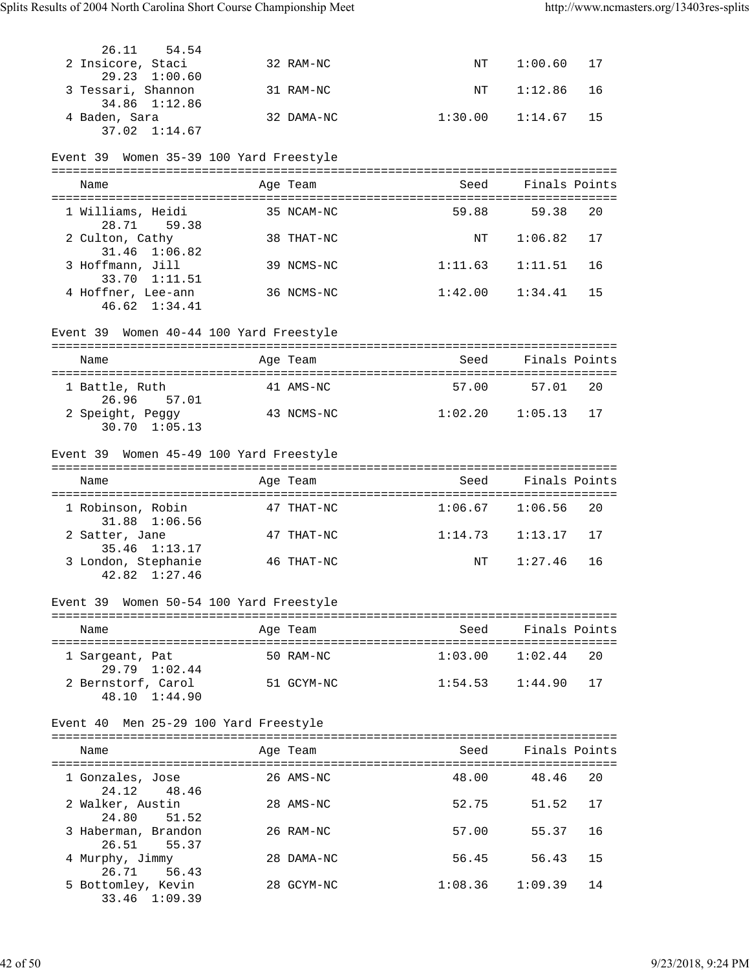| 29.23 1:00.60<br>3 Tessari, Shannon<br>16<br>31 RAM-NC<br>ΝT<br>1:12.86<br>34.86 1:12.86<br>4 Baden, Sara<br>32 DAMA-NC<br>1:30.00<br>15<br>1:14.67<br>37.02 1:14.67<br>Event 39 Women 35-39 100 Yard Freestyle<br>Finals Points<br>Seed<br>Name<br>Age Team<br>59.88<br>20<br>1 Williams, Heidi<br>59.38<br>35 NCAM-NC<br>28.71 59.38<br>2 Culton, Cathy<br>1:06.82<br>17<br>38 THAT-NC<br>NΤ<br>31.46 1:06.82<br>3 Hoffmann, Jill<br>39 NCMS-NC<br>1:11.63<br>1:11.51<br>16<br>33.70 1:11.51<br>4 Hoffner, Lee-ann<br>1:42.00<br>15<br>36 NCMS-NC<br>1:34.41<br>46.62 1:34.41<br>Event 39 Women 40-44 100 Yard Freestyle<br>Finals Points<br>Age Team<br>Seed<br>Name<br>1 Battle, Ruth<br>41 AMS-NC<br>57.00<br>57.01<br>20<br>26.96 57.01<br>2 Speight, Peggy<br>$1:02.20$ $1:05.13$<br>17<br>43 NCMS-NC<br>$30.70$ $1:05.13$<br>Event 39 Women 45-49 100 Yard Freestyle<br>Seed Finals Points<br>Age Team<br>Name<br>1 Robinson, Robin<br>$1:06.67$ $1:06.56$<br>20<br>47 THAT-NC<br>31.88 1:06.56<br>17<br>2 Satter, Jane<br>47 THAT-NC<br>$1:14.73$ $1:13.17$<br>35.46 1:13.17<br>3 London, Stephanie<br>1:27.46<br>16<br>ΝT<br>46 THAT-NC<br>$42.82 \quad 1:27.46$<br>Event 39 Women 50-54 100 Yard Freestyle<br>Seed Finals Points<br>Name<br>Age Team<br>20<br>50 RAM-NC<br>$1:03.00$ $1:02.44$<br>1 Sargeant, Pat<br>29.79 1:02.44<br>17<br>2 Bernstorf, Carol 51 GCYM-NC<br>1:54.53<br>1:44.90<br>48.10 1:44.90<br>Event 40 Men 25-29 100 Yard Freestyle<br>Seed<br>Finals Points<br>Age Team<br>Name<br>48.00<br>26 AMS-NC<br>48.46<br>20<br>1 Gonzales, Jose<br>24.12<br>48.46<br>2 Walker, Austin<br>52.75<br>51.52<br>17<br>28 AMS-NC<br>24.80<br>51.52<br>3 Haberman, Brandon<br>26 RAM-NC<br>57.00<br>55.37<br>16<br>26.51<br>55.37<br>56.45 56.43<br>15<br>4 Murphy, Jimmy<br>28 DAMA-NC<br>26.71 56.43<br>5 Bottomley, Kevin<br>1:08.36<br>1:09.39<br>14<br>28 GCYM-NC<br>33.46 1:09.39 | 26.11<br>54.54<br>2 Insicore, Staci | 32 RAM-NC | NT | 1:00.60 | 17 |
|-------------------------------------------------------------------------------------------------------------------------------------------------------------------------------------------------------------------------------------------------------------------------------------------------------------------------------------------------------------------------------------------------------------------------------------------------------------------------------------------------------------------------------------------------------------------------------------------------------------------------------------------------------------------------------------------------------------------------------------------------------------------------------------------------------------------------------------------------------------------------------------------------------------------------------------------------------------------------------------------------------------------------------------------------------------------------------------------------------------------------------------------------------------------------------------------------------------------------------------------------------------------------------------------------------------------------------------------------------------------------------------------------------------------------------------------------------------------------------------------------------------------------------------------------------------------------------------------------------------------------------------------------------------------------------------------------------------------------------------------------------------------------------------------------------------------------------------------------------------------------------------------------------------|-------------------------------------|-----------|----|---------|----|
|                                                                                                                                                                                                                                                                                                                                                                                                                                                                                                                                                                                                                                                                                                                                                                                                                                                                                                                                                                                                                                                                                                                                                                                                                                                                                                                                                                                                                                                                                                                                                                                                                                                                                                                                                                                                                                                                                                             |                                     |           |    |         |    |
|                                                                                                                                                                                                                                                                                                                                                                                                                                                                                                                                                                                                                                                                                                                                                                                                                                                                                                                                                                                                                                                                                                                                                                                                                                                                                                                                                                                                                                                                                                                                                                                                                                                                                                                                                                                                                                                                                                             |                                     |           |    |         |    |
|                                                                                                                                                                                                                                                                                                                                                                                                                                                                                                                                                                                                                                                                                                                                                                                                                                                                                                                                                                                                                                                                                                                                                                                                                                                                                                                                                                                                                                                                                                                                                                                                                                                                                                                                                                                                                                                                                                             |                                     |           |    |         |    |
|                                                                                                                                                                                                                                                                                                                                                                                                                                                                                                                                                                                                                                                                                                                                                                                                                                                                                                                                                                                                                                                                                                                                                                                                                                                                                                                                                                                                                                                                                                                                                                                                                                                                                                                                                                                                                                                                                                             |                                     |           |    |         |    |
|                                                                                                                                                                                                                                                                                                                                                                                                                                                                                                                                                                                                                                                                                                                                                                                                                                                                                                                                                                                                                                                                                                                                                                                                                                                                                                                                                                                                                                                                                                                                                                                                                                                                                                                                                                                                                                                                                                             |                                     |           |    |         |    |
|                                                                                                                                                                                                                                                                                                                                                                                                                                                                                                                                                                                                                                                                                                                                                                                                                                                                                                                                                                                                                                                                                                                                                                                                                                                                                                                                                                                                                                                                                                                                                                                                                                                                                                                                                                                                                                                                                                             |                                     |           |    |         |    |
|                                                                                                                                                                                                                                                                                                                                                                                                                                                                                                                                                                                                                                                                                                                                                                                                                                                                                                                                                                                                                                                                                                                                                                                                                                                                                                                                                                                                                                                                                                                                                                                                                                                                                                                                                                                                                                                                                                             |                                     |           |    |         |    |
|                                                                                                                                                                                                                                                                                                                                                                                                                                                                                                                                                                                                                                                                                                                                                                                                                                                                                                                                                                                                                                                                                                                                                                                                                                                                                                                                                                                                                                                                                                                                                                                                                                                                                                                                                                                                                                                                                                             |                                     |           |    |         |    |
|                                                                                                                                                                                                                                                                                                                                                                                                                                                                                                                                                                                                                                                                                                                                                                                                                                                                                                                                                                                                                                                                                                                                                                                                                                                                                                                                                                                                                                                                                                                                                                                                                                                                                                                                                                                                                                                                                                             |                                     |           |    |         |    |
|                                                                                                                                                                                                                                                                                                                                                                                                                                                                                                                                                                                                                                                                                                                                                                                                                                                                                                                                                                                                                                                                                                                                                                                                                                                                                                                                                                                                                                                                                                                                                                                                                                                                                                                                                                                                                                                                                                             |                                     |           |    |         |    |
|                                                                                                                                                                                                                                                                                                                                                                                                                                                                                                                                                                                                                                                                                                                                                                                                                                                                                                                                                                                                                                                                                                                                                                                                                                                                                                                                                                                                                                                                                                                                                                                                                                                                                                                                                                                                                                                                                                             |                                     |           |    |         |    |
|                                                                                                                                                                                                                                                                                                                                                                                                                                                                                                                                                                                                                                                                                                                                                                                                                                                                                                                                                                                                                                                                                                                                                                                                                                                                                                                                                                                                                                                                                                                                                                                                                                                                                                                                                                                                                                                                                                             |                                     |           |    |         |    |
|                                                                                                                                                                                                                                                                                                                                                                                                                                                                                                                                                                                                                                                                                                                                                                                                                                                                                                                                                                                                                                                                                                                                                                                                                                                                                                                                                                                                                                                                                                                                                                                                                                                                                                                                                                                                                                                                                                             |                                     |           |    |         |    |
|                                                                                                                                                                                                                                                                                                                                                                                                                                                                                                                                                                                                                                                                                                                                                                                                                                                                                                                                                                                                                                                                                                                                                                                                                                                                                                                                                                                                                                                                                                                                                                                                                                                                                                                                                                                                                                                                                                             |                                     |           |    |         |    |
|                                                                                                                                                                                                                                                                                                                                                                                                                                                                                                                                                                                                                                                                                                                                                                                                                                                                                                                                                                                                                                                                                                                                                                                                                                                                                                                                                                                                                                                                                                                                                                                                                                                                                                                                                                                                                                                                                                             |                                     |           |    |         |    |
|                                                                                                                                                                                                                                                                                                                                                                                                                                                                                                                                                                                                                                                                                                                                                                                                                                                                                                                                                                                                                                                                                                                                                                                                                                                                                                                                                                                                                                                                                                                                                                                                                                                                                                                                                                                                                                                                                                             |                                     |           |    |         |    |
|                                                                                                                                                                                                                                                                                                                                                                                                                                                                                                                                                                                                                                                                                                                                                                                                                                                                                                                                                                                                                                                                                                                                                                                                                                                                                                                                                                                                                                                                                                                                                                                                                                                                                                                                                                                                                                                                                                             |                                     |           |    |         |    |
|                                                                                                                                                                                                                                                                                                                                                                                                                                                                                                                                                                                                                                                                                                                                                                                                                                                                                                                                                                                                                                                                                                                                                                                                                                                                                                                                                                                                                                                                                                                                                                                                                                                                                                                                                                                                                                                                                                             |                                     |           |    |         |    |
|                                                                                                                                                                                                                                                                                                                                                                                                                                                                                                                                                                                                                                                                                                                                                                                                                                                                                                                                                                                                                                                                                                                                                                                                                                                                                                                                                                                                                                                                                                                                                                                                                                                                                                                                                                                                                                                                                                             |                                     |           |    |         |    |
|                                                                                                                                                                                                                                                                                                                                                                                                                                                                                                                                                                                                                                                                                                                                                                                                                                                                                                                                                                                                                                                                                                                                                                                                                                                                                                                                                                                                                                                                                                                                                                                                                                                                                                                                                                                                                                                                                                             |                                     |           |    |         |    |
|                                                                                                                                                                                                                                                                                                                                                                                                                                                                                                                                                                                                                                                                                                                                                                                                                                                                                                                                                                                                                                                                                                                                                                                                                                                                                                                                                                                                                                                                                                                                                                                                                                                                                                                                                                                                                                                                                                             |                                     |           |    |         |    |
|                                                                                                                                                                                                                                                                                                                                                                                                                                                                                                                                                                                                                                                                                                                                                                                                                                                                                                                                                                                                                                                                                                                                                                                                                                                                                                                                                                                                                                                                                                                                                                                                                                                                                                                                                                                                                                                                                                             |                                     |           |    |         |    |
|                                                                                                                                                                                                                                                                                                                                                                                                                                                                                                                                                                                                                                                                                                                                                                                                                                                                                                                                                                                                                                                                                                                                                                                                                                                                                                                                                                                                                                                                                                                                                                                                                                                                                                                                                                                                                                                                                                             |                                     |           |    |         |    |
|                                                                                                                                                                                                                                                                                                                                                                                                                                                                                                                                                                                                                                                                                                                                                                                                                                                                                                                                                                                                                                                                                                                                                                                                                                                                                                                                                                                                                                                                                                                                                                                                                                                                                                                                                                                                                                                                                                             |                                     |           |    |         |    |
|                                                                                                                                                                                                                                                                                                                                                                                                                                                                                                                                                                                                                                                                                                                                                                                                                                                                                                                                                                                                                                                                                                                                                                                                                                                                                                                                                                                                                                                                                                                                                                                                                                                                                                                                                                                                                                                                                                             |                                     |           |    |         |    |
|                                                                                                                                                                                                                                                                                                                                                                                                                                                                                                                                                                                                                                                                                                                                                                                                                                                                                                                                                                                                                                                                                                                                                                                                                                                                                                                                                                                                                                                                                                                                                                                                                                                                                                                                                                                                                                                                                                             |                                     |           |    |         |    |
|                                                                                                                                                                                                                                                                                                                                                                                                                                                                                                                                                                                                                                                                                                                                                                                                                                                                                                                                                                                                                                                                                                                                                                                                                                                                                                                                                                                                                                                                                                                                                                                                                                                                                                                                                                                                                                                                                                             |                                     |           |    |         |    |
|                                                                                                                                                                                                                                                                                                                                                                                                                                                                                                                                                                                                                                                                                                                                                                                                                                                                                                                                                                                                                                                                                                                                                                                                                                                                                                                                                                                                                                                                                                                                                                                                                                                                                                                                                                                                                                                                                                             |                                     |           |    |         |    |
|                                                                                                                                                                                                                                                                                                                                                                                                                                                                                                                                                                                                                                                                                                                                                                                                                                                                                                                                                                                                                                                                                                                                                                                                                                                                                                                                                                                                                                                                                                                                                                                                                                                                                                                                                                                                                                                                                                             |                                     |           |    |         |    |
|                                                                                                                                                                                                                                                                                                                                                                                                                                                                                                                                                                                                                                                                                                                                                                                                                                                                                                                                                                                                                                                                                                                                                                                                                                                                                                                                                                                                                                                                                                                                                                                                                                                                                                                                                                                                                                                                                                             |                                     |           |    |         |    |
|                                                                                                                                                                                                                                                                                                                                                                                                                                                                                                                                                                                                                                                                                                                                                                                                                                                                                                                                                                                                                                                                                                                                                                                                                                                                                                                                                                                                                                                                                                                                                                                                                                                                                                                                                                                                                                                                                                             |                                     |           |    |         |    |
|                                                                                                                                                                                                                                                                                                                                                                                                                                                                                                                                                                                                                                                                                                                                                                                                                                                                                                                                                                                                                                                                                                                                                                                                                                                                                                                                                                                                                                                                                                                                                                                                                                                                                                                                                                                                                                                                                                             |                                     |           |    |         |    |
|                                                                                                                                                                                                                                                                                                                                                                                                                                                                                                                                                                                                                                                                                                                                                                                                                                                                                                                                                                                                                                                                                                                                                                                                                                                                                                                                                                                                                                                                                                                                                                                                                                                                                                                                                                                                                                                                                                             |                                     |           |    |         |    |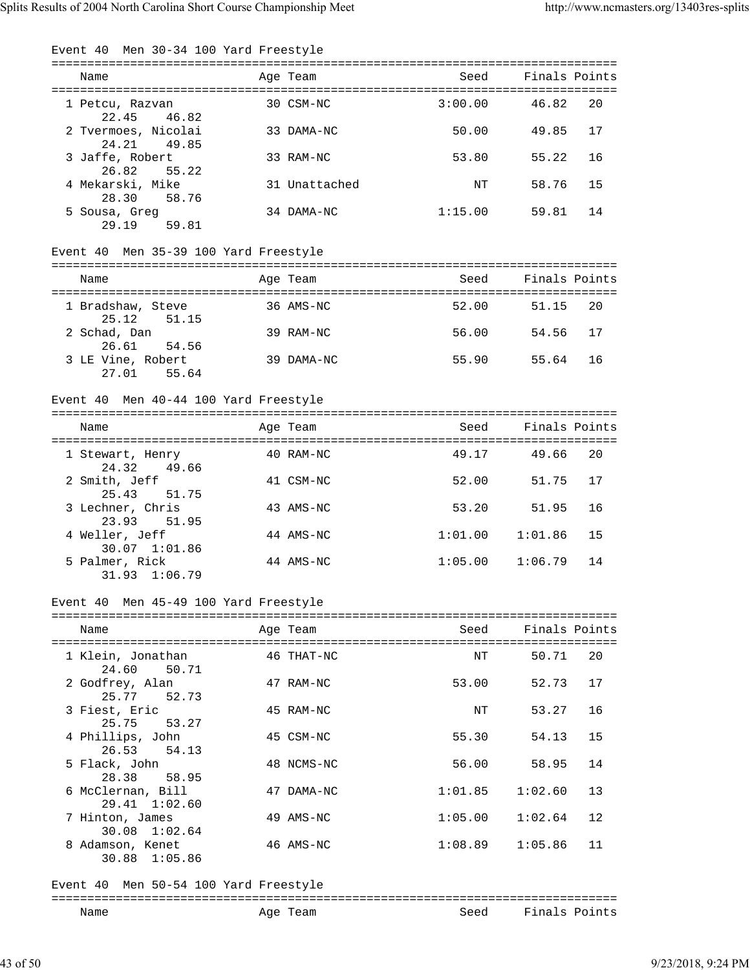| Event 40 Men 30-34 100 Yard Freestyle    |               |         |                                |
|------------------------------------------|---------------|---------|--------------------------------|
| Name                                     | Age Team      | Seed    | =============<br>Finals Points |
| 1 Petcu, Razvan<br>22.45 46.82           | 30 CSM-NC     | 3:00.00 | 20<br>46.82                    |
| 2 Tvermoes, Nicolai<br>24.21<br>49.85    | 33 DAMA-NC    | 50.00   | 49.85<br>17                    |
| 3 Jaffe, Robert<br>26.82<br>55.22        | 33 RAM-NC     | 53.80   | 55.22<br>16                    |
| 4 Mekarski, Mike<br>28.30<br>58.76       | 31 Unattached | NΤ      | 58.76<br>15                    |
| 5 Sousa, Greg<br>29.19<br>59.81          | 34 DAMA-NC    | 1:15.00 | 59.81<br>14                    |
| Event 40 Men 35-39 100 Yard Freestyle    |               |         |                                |
| Name                                     | Age Team      | Seed    | Finals Points                  |
|                                          |               |         |                                |
| 1 Bradshaw, Steve<br>25.12<br>51.15      | 36 AMS-NC     | 52.00   | 20<br>51.15                    |
| 2 Schad, Dan<br>26.61<br>54.56           | 39 RAM-NC     | 56.00   | 54.56<br>17                    |
| 3 LE Vine, Robert<br>27.01<br>55.64      | 39 DAMA-NC    | 55.90   | 16<br>55.64                    |
| Event 40 Men 40-44 100 Yard Freestyle    |               |         |                                |
| Name                                     | Age Team      | Seed    | Finals Points                  |
|                                          |               |         |                                |
| 1 Stewart, Henry<br>24.32<br>49.66       | 40 RAM-NC     | 49.17   | 20<br>49.66                    |
| 2 Smith, Jeff<br>25.43<br>51.75          | 41 CSM-NC     | 52.00   | 51.75<br>17                    |
| 3 Lechner, Chris<br>23.93 51.95          | 43 AMS-NC     | 53.20   | 51.95<br>16                    |
| 4 Weller, Jeff<br>30.07 1:01.86          | 44 AMS-NC     | 1:01.00 | 1:01.86<br>15                  |
| 5 Palmer, Rick<br>31.93 1:06.79          | 44 AMS-NC     | 1:05.00 | 1:06.79<br>14                  |
| Event 40 Men 45-49 100 Yard Freestyle    |               |         |                                |
| Name                                     | Age Team      | Seed    | Finals Points                  |
|                                          |               |         |                                |
| 1 Klein, Jonathan<br>24.60<br>50.71      | 46 THAT-NC    | NΤ      | 50.71<br>20                    |
| 2 Godfrey, Alan<br>25.77<br>52.73        | 47 RAM-NC     | 53.00   | 52.73<br>17                    |
| 3 Fiest, Eric<br>25.75<br>53.27          | 45 RAM-NC     | NΤ      | 53.27<br>16                    |
| 4 Phillips, John<br>26.53<br>54.13       | 45 CSM-NC     | 55.30   | 54.13<br>15                    |
| 5 Flack, John<br>28.38<br>58.95          | 48 NCMS-NC    | 56.00   | 58.95<br>14                    |
| 6 McClernan, Bill<br>1:02.60<br>29.41    | 47 DAMA-NC    | 1:01.85 | 1:02.60<br>13                  |
| 7 Hinton, James<br>30.08 1:02.64         | 49 AMS-NC     | 1:05.00 | 1:02.64<br>12                  |
| 8 Adamson, Kenet<br>30.88 1:05.86        | 46 AMS-NC     | 1:08.89 | 1:05.86<br>11                  |
| Men 50-54 100 Yard Freestyle<br>Event 40 |               |         |                                |
| Name                                     | Age Team      | Seed    | Finals Points                  |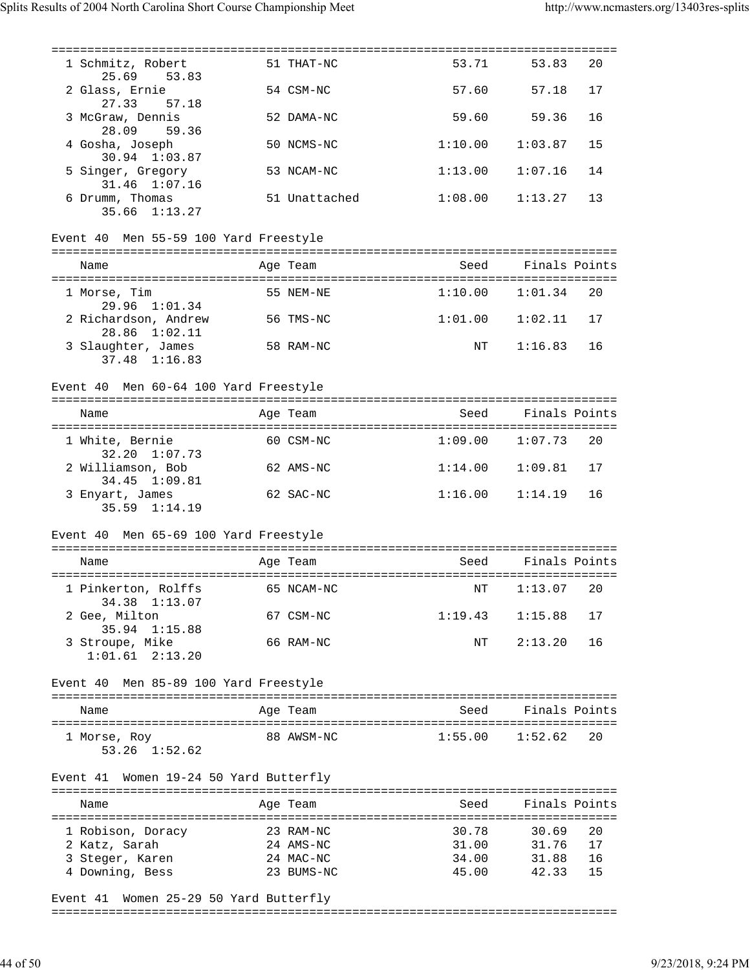| 1 Schmitz, Robert<br>25.69<br>53.83                           | 51 THAT-NC    | 53.71               | 53.83              | 20 |
|---------------------------------------------------------------|---------------|---------------------|--------------------|----|
| 2 Glass, Ernie<br>27.33<br>57.18                              | 54 CSM-NC     | 57.60               | 57.18              | 17 |
| 3 McGraw, Dennis                                              | 52 DAMA-NC    | 59.60               | 59.36              | 16 |
| 28.09<br>59.36<br>4 Gosha, Joseph                             | 50 NCMS-NC    | 1:10.00             | 1:03.87            | 15 |
| 30.94 1:03.87<br>5 Singer, Gregory                            | 53 NCAM-NC    | 1:13.00             | 1:07.16            | 14 |
| $31.46$ $1:07.16$<br>6 Drumm, Thomas                          | 51 Unattached | 1:08.00             | 1:13.27            | 13 |
| 35.66 1:13.27                                                 |               |                     |                    |    |
| Event 40 Men 55-59 100 Yard Freestyle                         |               |                     |                    |    |
| Name                                                          | Age Team      | Seed                | Finals Points      |    |
| 1 Morse, Tim<br>29.96 1:01.34                                 | 55 NEM-NE     | 1:10.00             | 1:01.34            | 20 |
| 2 Richardson, Andrew<br>28.86 1:02.11                         | 56 TMS-NC     | 1:01.00             | 1:02.11            | 17 |
| 3 Slaughter, James<br>37.48 1:16.83                           | 58 RAM-NC     | NT                  | 1:16.83            | 16 |
| Event 40 Men 60-64 100 Yard Freestyle                         |               |                     |                    |    |
|                                                               |               |                     |                    |    |
| Name                                                          | Age Team      | Seed                | Finals Points      |    |
| 1 White, Bernie<br>32.20 1:07.73                              | 60 CSM-NC     | 1:09.00             | 1:07.73            | 20 |
| 2 Williamson, Bob<br>34.45 1:09.81                            | 62 AMS-NC     | 1:14.00             | 1:09.81            | 17 |
| 3 Enyart, James<br>$35.59$ $1:14.19$                          | 62 SAC-NC     | 1:16.00             | 1:14.19            | 16 |
| Event 40 Men 65-69 100 Yard Freestyle                         |               |                     |                    |    |
|                                                               |               |                     |                    |    |
| Name                                                          | Age Team      |                     | Seed Finals Points |    |
| 1 Pinkerton, Rolffs 65 NCAM-NC NT 1:13.07 20<br>34.38 1:13.07 |               |                     |                    |    |
| 2 Gee, Milton<br>35.94 1:15.88                                | 67 CSM-NC     | $1:19.43$ $1:15.88$ |                    | 17 |
| 3 Stroupe, Mike<br>$1:01.61$ $2:13.20$                        | 66 RAM-NC     | NT                  | 2:13.20            | 16 |
| Event 40 Men 85-89 100 Yard Freestyle                         |               |                     |                    |    |
|                                                               |               |                     |                    |    |
| Name                                                          | Age Team      | Seed                | Finals Points      |    |
| 1 Morse, Roy<br>$53.26$ $1:52.62$                             | 88 AWSM-NC    | $1:55.00$ $1:52.62$ |                    | 20 |
| Event 41 Women 19-24 50 Yard Butterfly                        |               |                     |                    |    |
| Name                                                          | Age Team      | Seed                | Finals Points      |    |
| 1 Robison, Doracy                                             | 23 RAM-NC     | 30.78               | 30.69              | 20 |
| 2 Katz, Sarah                                                 | 24 AMS-NC     |                     | 31.00 31.76        | 17 |
| 3 Steger, Karen                                               | 24 MAC-NC     |                     | 34.00 31.88        | 16 |
| 4 Downing, Bess                                               | 23 BUMS-NC    |                     | 45.00 42.33        | 15 |
|                                                               |               |                     |                    |    |

Event 41 Women 25-29 50 Yard Butterfly

===============================================================================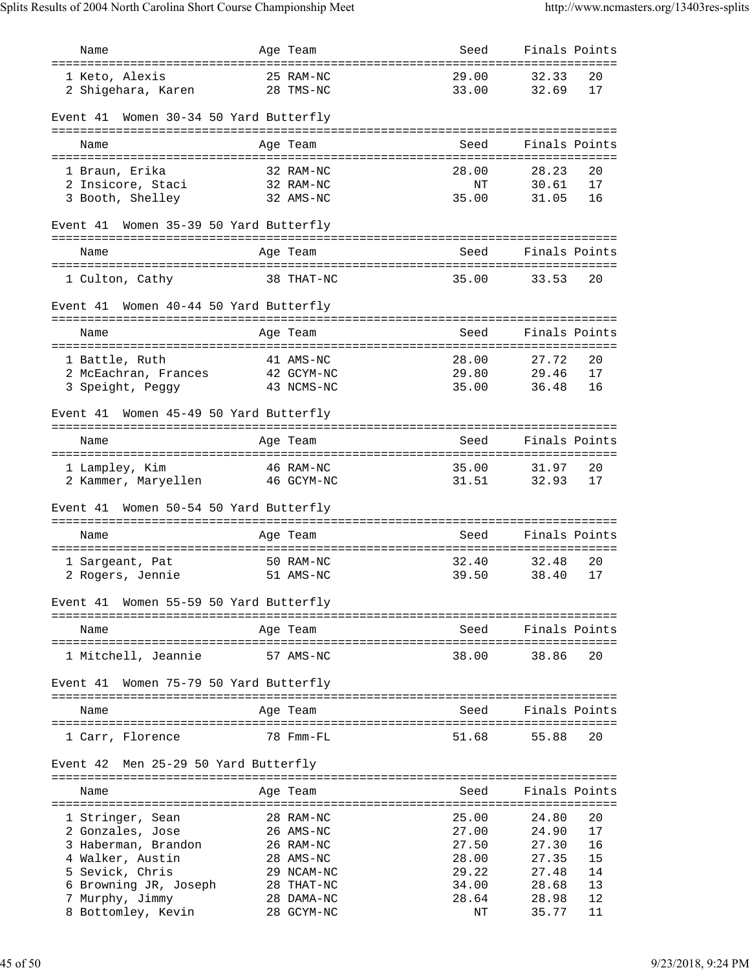| Name                                                                     |              | Age Team                 | Seed                        | Finals Points              |
|--------------------------------------------------------------------------|--------------|--------------------------|-----------------------------|----------------------------|
| ==================================<br>1 Keto, Alexis                     |              | 25 RAM-NC                | 29.00                       | 32.33<br>20                |
| 2 Shigehara, Karen                                                       |              | 28 TMS-NC                | 33.00                       | 32.69<br>17                |
|                                                                          |              |                          |                             |                            |
| Women 30-34 50 Yard Butterfly<br>Event 41                                |              |                          |                             |                            |
|                                                                          |              |                          |                             |                            |
| Name                                                                     |              | Age Team                 | Seed                        | Finals Points              |
| 1 Braun, Erika                                                           |              | 32 RAM-NC                | 28.00                       | 20<br>28.23                |
| 2 Insicore, Staci                                                        |              | 32 RAM-NC                | ΝT                          | 17<br>30.61                |
| 3 Booth, Shelley                                                         |              | 32 AMS-NC                | 35.00                       | 16<br>31.05                |
| Women 35-39 50 Yard Butterfly<br>Event 41                                |              |                          |                             |                            |
| Name                                                                     |              | Age Team                 | Seed                        | Finals Points              |
| ======================================                                   |              |                          | =========================== |                            |
| 1 Culton, Cathy                                                          |              | 38 THAT-NC               | 35.00                       | 33.53<br>20                |
| Women 40-44 50 Yard Butterfly<br>Event 41                                |              |                          |                             |                            |
| Name                                                                     |              | Age Team                 | Seed                        | Finals Points              |
|                                                                          |              |                          |                             |                            |
| 1 Battle, Ruth                                                           |              | 41 AMS-NC                | 28.00                       | 27.72<br>20                |
| 2 McEachran, Frances                                                     |              | 42 GCYM-NC               | 29.80                       | 29.46<br>17                |
| 3 Speight, Peggy                                                         |              | 43 NCMS-NC               | 35.00                       | 16<br>36.48                |
| Women 45-49 50 Yard Butterfly<br>Event 41<br>=========================== | ============ | =====================    |                             |                            |
| Name                                                                     |              | Age Team                 | Seed                        | Finals Points              |
|                                                                          |              |                          | ==========================  |                            |
| 1 Lampley, Kim<br>2 Kammer, Maryellen                                    |              | 46 RAM-NC<br>46 GCYM-NC  | 35.00<br>31.51              | 31.97<br>20<br>17<br>32.93 |
|                                                                          |              |                          |                             |                            |
| Women 50-54 50 Yard Butterfly<br>Event 41                                |              |                          |                             |                            |
| Name                                                                     |              |                          | Seed                        | Finals Points              |
|                                                                          |              | Age Team                 |                             |                            |
| 1 Sargeant, Pat                                                          |              | 50 RAM-NC                | 32.40                       | 32.48<br>20                |
| 2 Rogers, Jennie                                                         |              | 51 AMS-NC                | 39.50                       | 38.40<br>17                |
| Women 55-59 50 Yard Butterfly<br>Event 41                                |              |                          |                             |                            |
| Name                                                                     |              | Age Team                 | Seed                        | Finals Points              |
|                                                                          |              |                          |                             |                            |
| 1 Mitchell, Jeannie                                                      |              | 57 AMS-NC                | 38.00                       | 38.86<br>20                |
| Women 75-79 50 Yard Butterfly<br>Event 41                                |              |                          |                             |                            |
| Name                                                                     |              | Age Team                 | Seed                        | Finals Points              |
| 1 Carr, Florence                                                         |              | 78 Fmm-FL                | 51.68                       | 55.88<br>20                |
| Men 25-29 50 Yard Butterfly<br>Event 42                                  |              |                          |                             |                            |
|                                                                          |              |                          |                             |                            |
| Name                                                                     |              | Age Team                 | Seed                        | Finals Points              |
| 1 Stringer, Sean                                                         |              | 28 RAM-NC                | 25.00                       | 24.80<br>20                |
| 2 Gonzales, Jose                                                         |              | 26 AMS-NC                | 27.00                       | 17<br>24.90                |
| 3 Haberman, Brandon                                                      |              | 26 RAM-NC                | 27.50                       | 27.30<br>16                |
| 4 Walker, Austin                                                         |              | 28 AMS-NC                | 28.00                       | 15<br>27.35                |
| 5 Sevick, Chris                                                          |              | 29 NCAM-NC               | 29.22                       | 14<br>27.48                |
| 6 Browning JR, Joseph<br>7 Murphy, Jimmy                                 |              | 28 THAT-NC<br>28 DAMA-NC | 34.00<br>28.64              | 13<br>28.68<br>12<br>28.98 |
| 8 Bottomley, Kevin                                                       |              | 28 GCYM-NC               | ΝT                          | 35.77<br>11                |
|                                                                          |              |                          |                             |                            |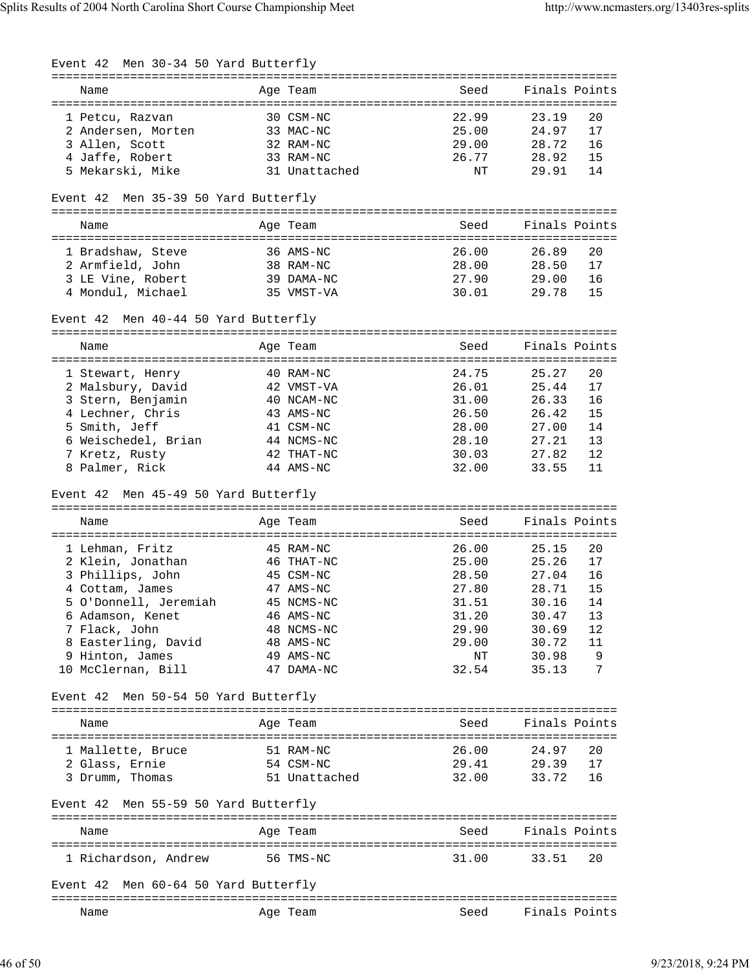| Event 42 Men 30-34 50 Yard Butterfly             |               |                |                         |
|--------------------------------------------------|---------------|----------------|-------------------------|
| Name                                             | Age Team      | Seed           | Finals Points           |
|                                                  |               |                |                         |
| 1 Petcu, Razvan                                  | 30 CSM-NC     | 22.99          | 20<br>23.19             |
| 2 Andersen, Morten 33 MAC-NC                     |               | 25.00          | 24.97<br>17             |
| 3 Allen, Scott                                   | 32 RAM-NC     | 29.00          | 28.72<br>16             |
| 4 Jaffe, Robert                                  | 33 RAM-NC     | 26.77 28.92    | 15                      |
| 5 Mekarski, Mike                                 | 31 Unattached | ΝT             | 14<br>29.91             |
| Event 42 Men 35-39 50 Yard Butterfly             |               |                |                         |
| Name                                             | Age Team      | Seed           | Finals Points           |
| 1 Bradshaw, Steve                                | 36 AMS-NC     | 26.00          | 26.89<br>20             |
| 2 Armfield, John                                 | 38 RAM-NC     | 28.00          | 17<br>28.50             |
| 3 LE Vine, Robert                                | 39 DAMA-NC    | 27.90          | 29.00<br>16             |
| 4 Mondul, Michael                                | 35 VMST-VA    | 30.01          | 29.78<br>15             |
| Event 42 Men 40-44 50 Yard Butterfly             |               |                |                         |
| Name                                             | Age Team      | Seed           | Finals Points           |
|                                                  |               |                |                         |
| 1 Stewart, Henry<br>2 Malsbury, David 42 VMST-VA | 40 RAM-NC     | 24.75<br>26.01 | 25.27<br>20<br>25.44    |
| 3 Stern, Benjamin                                | 40 NCAM-NC    | 31.00          | 17<br>26.33<br>16       |
| 4 Lechner, Chris                                 | 43 AMS-NC     | 26.50          | 15<br>26.42             |
| 5 Smith, Jeff                                    | 41 CSM-NC     | 28.00          | 27.00<br>14             |
| 6 Weischedel, Brian                              | 44 NCMS-NC    | 28.10          | 27.21<br>13             |
| 7 Kretz, Rusty                                   | 42 THAT-NC    | 30.03          | 12<br>27.82             |
| 8 Palmer, Rick                                   | 44 AMS-NC     | 32.00          | 33.55<br>11             |
| Event 42 Men 45-49 50 Yard Butterfly             |               |                |                         |
| Name                                             | Age Team      | Seed           | Finals Points           |
| 1 Lehman, Fritz                                  | 45 RAM-NC     | 26.00          | 25.15<br>20             |
| 2 Klein, Jonathan 46 THAT-NC                     |               | 25.00          | 25.26<br>17             |
| 3 Phillips, John                                 | 45 CSM-NC     | 28.50          | 16<br>27.04             |
| 4 Cottam, James                                  | 47 AMS-NC     | 27.80          | 28.71<br>15             |
| 5 O'Donnell, Jeremiah 45 NCMS-NC                 |               | 31.51          | 30.16 14                |
| 6 Adamson, Kenet                                 | 46 AMS-NC     | 31.20          | 30.47<br>13             |
| 7 Flack, John                                    | 48 NCMS-NC    | 29.90 30.69    | 12                      |
| 8 Easterling, David                              | 48 AMS-NC     | 29.00 30.72    | 11                      |
| 9 Hinton, James                                  | 49 AMS-NC     | ΝT             | $\overline{9}$<br>30.98 |
| 10 McClernan, Bill                               | 47 DAMA-NC    | 32.54          | 35.13<br>7              |
| Event 42 Men 50-54 50 Yard Butterfly             |               |                |                         |
| Name                                             | Age Team      | Seed           | Finals Points           |
|                                                  |               |                |                         |
| 1 Mallette, Bruce                                | 51 RAM-NC     | 26.00          | 24.97<br>20             |
| 2 Glass, Ernie                                   | 54 CSM-NC     | 29.41          | 29.39<br>17             |
| 3 Drumm, Thomas                                  | 51 Unattached | 32.00          | 33.72<br>16             |
| Event 42 Men 55-59 50 Yard Butterfly             |               |                |                         |
| Name                                             | Age Team      |                | Seed Finals Points      |
| 1 Richardson, Andrew                             | 56 TMS-NC     | 31.00          | 33.51<br>20             |
|                                                  |               |                |                         |
| Event 42 Men 60-64 50 Yard Butterfly             |               |                |                         |
| Name                                             | Age Team      | Seed           | Finals Points           |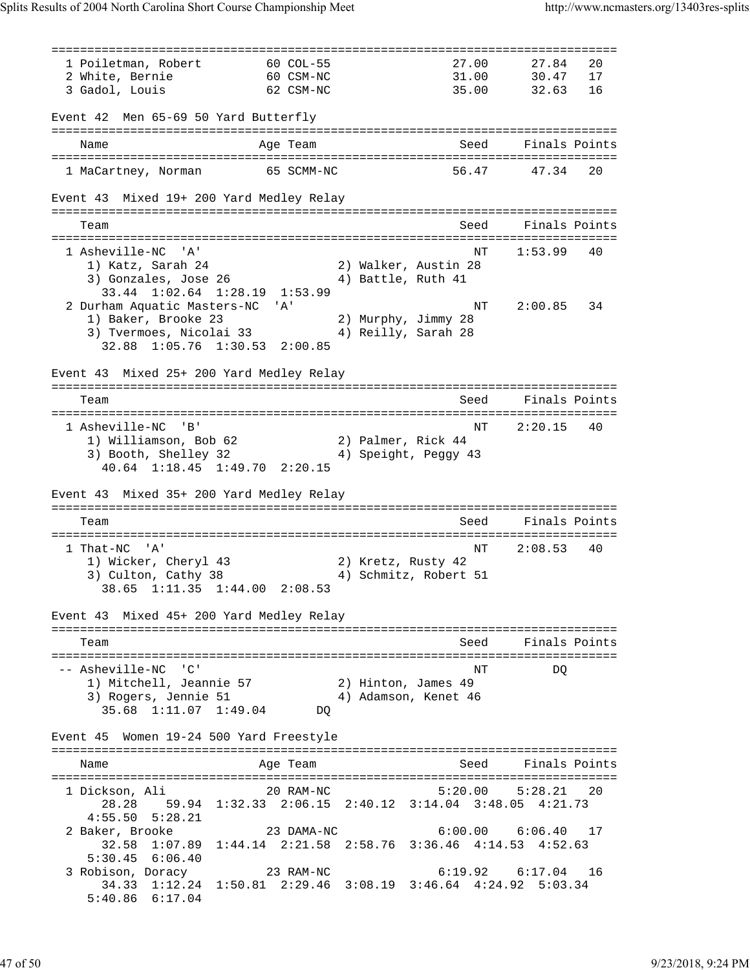=============================================================================== 1 Poiletman, Robert 60 COL-55 27.00 27.84 20 2 White, Bernie 60 CSM-NC 31.00 30.47 17 3 Gadol, Louis 62 CSM-NC 35.00 32.63 16 Event 42 Men 65-69 50 Yard Butterfly =============================================================================== Name and Age Team Seed Finals Points =============================================================================== 1 MaCartney, Norman 65 SCMM-NC 56.47 47.34 20 Event 43 Mixed 19+ 200 Yard Medley Relay =============================================================================== Team Seed Finals Points =============================================================================== 1 Asheville-NC 'A' 1:53.99 40<br>1 1 Katz, Sarah 24 2) Walker, Austin 28 1) Katz, Sarah 24 2) Walker, Austin 28 3) Gonzales, Jose 26 4) Battle, Ruth 41 33.44 1:02.64 1:28.19 1:53.99 2 Durham Aquatic Masters-NC 'A' NT 2:00.85 34 1) Baker, Brooke 23 2) Murphy, Jimmy 28 3) Tvermoes, Nicolai 33 4) Reilly, Sarah 28 32.88 1:05.76 1:30.53 2:00.85 Event 43 Mixed 25+ 200 Yard Medley Relay =============================================================================== Team Seed Finals Points =============================================================================== 1 Asheville-NC 'B' NT 2:20.15 40 1) Williamson, Bob 62 2) Palmer, Rick 44 3) Booth, Shelley 32 4) Speight, Peggy 43 40.64 1:18.45 1:49.70 2:20.15 Event 43 Mixed 35+ 200 Yard Medley Relay =============================================================================== Team Seed Finals Points =============================================================================== NT 2:08.53 40 1) Wicker, Cheryl 43 2) Kretz, Rusty 42 3) Culton, Cathy 38 4) Schmitz, Robert 51 38.65 1:11.35 1:44.00 2:08.53 Event 43 Mixed 45+ 200 Yard Medley Relay =============================================================================== Team Seed Finals Points =============================================================================== -- Asheville-NC 'C' NT DQ 1) Mitchell, Jeannie 57 2) Hinton, James 49 3) Rogers, Jennie 51 (a. 4) Adamson, Kenet 46 35.68 1:11.07 1:49.04 DQ Event 45 Women 19-24 500 Yard Freestyle =============================================================================== Name Age Team Seed Finals Points =============================================================================== 1 Dickson, Ali 20 RAM-NC 5:20.00 5:28.21 20 28.28 59.94 1:32.33 2:06.15 2:40.12 3:14.04 3:48.05 4:21.73 4:55.50 5:28.21 2 Baker, Brooke 23 DAMA-NC 6:00.00 6:06.40 17 32.58 1:07.89 1:44.14 2:21.58 2:58.76 3:36.46 4:14.53 4:52.63 5:30.45 6:06.40<br>3 Robison, Doracy 23 RAM-NC 3 Robison, Doracy 23 RAM-NC 6:19.92 6:17.04 16 34.33 1:12.24 1:50.81 2:29.46 3:08.19 3:46.64 4:24.92 5:03.34 5:40.86 6:17.04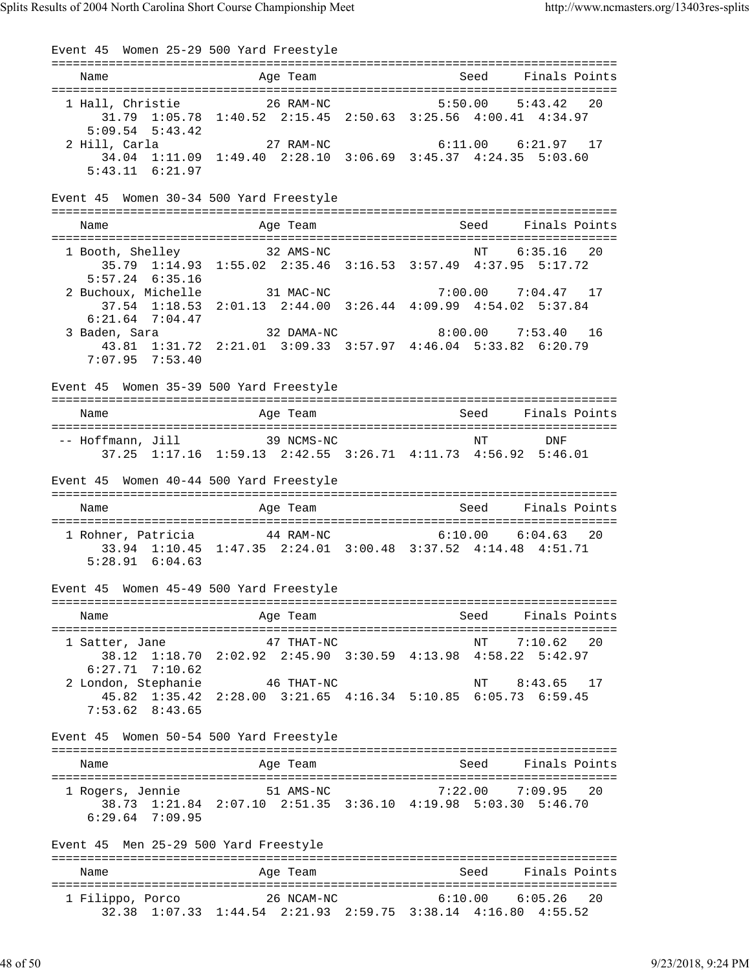Event 45 Women 25-29 500 Yard Freestyle =============================================================================== Name Age Team Seed Finals Points =============================================================================== 1 Hall, Christie 26 RAM-NC 5:50.00 5:43.42 20 31.79 1:05.78 1:40.52 2:15.45 2:50.63 3:25.56 4:00.41 4:34.97 5:09.54 5:43.42 2 Hill, Carla 27 RAM-NC 6:11.00 6:21.97 17 34.04 1:11.09 1:49.40 2:28.10 3:06.69 3:45.37 4:24.35 5:03.60 5:43.11 6:21.97 Event 45 Women 30-34 500 Yard Freestyle =============================================================================== Name **Age Team** Age Team Seed Finals Points =============================================================================== 1 Booth, Shelley 32 AMS-NC NT 6:35.16 20 35.79 1:14.93 1:55.02 2:35.46 3:16.53 3:57.49 4:37.95 5:17.72 5:57.24 6:35.16 2 Buchoux, Michelle 31 MAC-NC 7:00.00 7:04.47 17 37.54 1:18.53 2:01.13 2:44.00 3:26.44 4:09.99 4:54.02 5:37.84 6:21.64 7:04.47 3 Baden, Sara 32 DAMA-NC 8:00.00 7:53.40 16 43.81 1:31.72 2:21.01 3:09.33 3:57.97 4:46.04 5:33.82 6:20.79 7:07.95 7:53.40 Event 45 Women 35-39 500 Yard Freestyle =============================================================================== Name Age Team Seed Finals Points Age Team Seed Finals Points =============================================================================== -- Hoffmann, Jill 39 NCMS-NC NT NT DNF 37.25 1:17.16 1:59.13 2:42.55 3:26.71 4:11.73 4:56.92 5:46.01 Event 45 Women 40-44 500 Yard Freestyle =============================================================================== Name and Age Team Seed Finals Points =============================================================================== 1 Rohner, Patricia 44 RAM-NC 6:10.00 6:04.63 20 33.94 1:10.45 1:47.35 2:24.01 3:00.48 3:37.52 4:14.48 4:51.71 5:28.91 6:04.63 Event 45 Women 45-49 500 Yard Freestyle =============================================================================== Name Age Team Seed Finals Points =============================================================================== 1 Satter, Jane 47 THAT-NC NT 7:10.62 20 38.12 1:18.70 2:02.92 2:45.90 3:30.59 4:13.98 4:58.22 5:42.97 6:27.71 7:10.62 2 London, Stephanie 46 THAT-NC NT 8:43.65 17 45.82 1:35.42 2:28.00 3:21.65 4:16.34 5:10.85 6:05.73 6:59.45 7:53.62 8:43.65 Event 45 Women 50-54 500 Yard Freestyle =============================================================================== Name Age Team Seed Finals Points =============================================================================== 1 Rogers, Jennie 51 AMS-NC 7:22.00 7:09.95 20 38.73 1:21.84 2:07.10 2:51.35 3:36.10 4:19.98 5:03.30 5:46.70 6:29.64 7:09.95 Event 45 Men 25-29 500 Yard Freestyle =============================================================================== Name and Age Team Seed Finals Points =============================================================================== 1 Filippo, Porco 26 NCAM-NC 6:10.00 6:05.26 20 32.38 1:07.33 1:44.54 2:21.93 2:59.75 3:38.14 4:16.80 4:55.52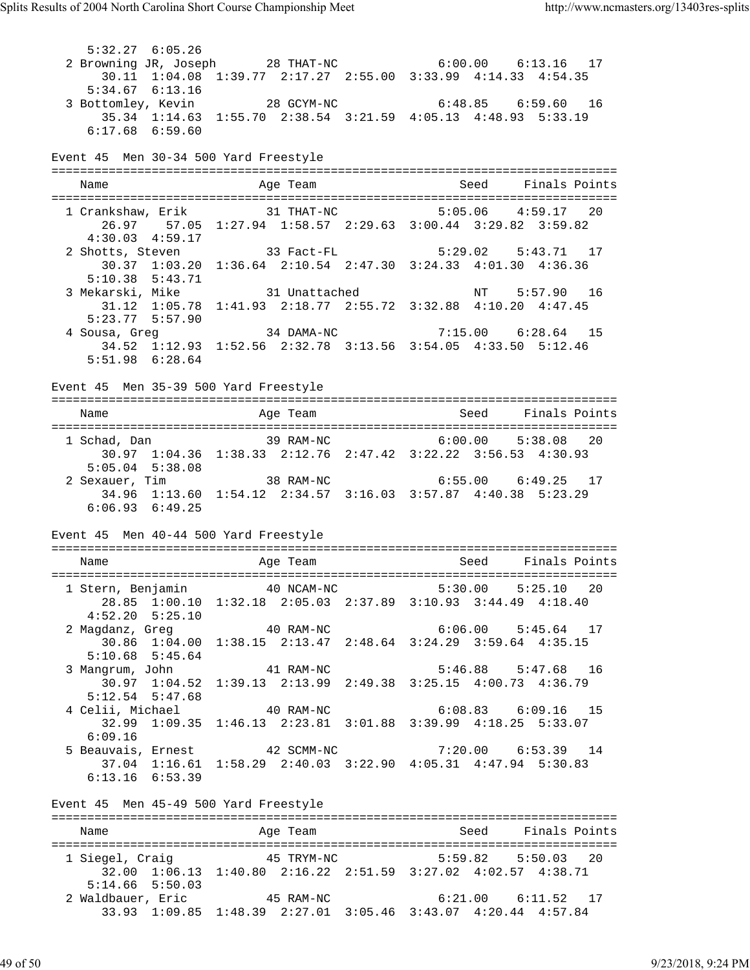5:32.27 6:05.26 2 Browning JR, Joseph 28 THAT-NC 6:00.00 6:13.16 17 30.11 1:04.08 1:39.77 2:17.27 2:55.00 3:33.99 4:14.33 4:54.35 5:34.67 6:13.16 3 Bottomley, Kevin 28 GCYM-NC 6:48.85 6:59.60 16 35.34 1:14.63 1:55.70 2:38.54 3:21.59 4:05.13 4:48.93 5:33.19 6:17.68 6:59.60 Event 45 Men 30-34 500 Yard Freestyle =============================================================================== Name and Age Team Seed Finals Points =============================================================================== 1 Crankshaw, Erik 31 THAT-NC 5:05.06 4:59.17 20 26.97 57.05 1:27.94 1:58.57 2:29.63 3:00.44 3:29.82 3:59.82 4:30.03 4:59.17 2 Shotts, Steven 33 Fact-FL 5:29.02 5:43.71 17 30.37 1:03.20 1:36.64 2:10.54 2:47.30 3:24.33 4:01.30 4:36.36 5:10.38 5:43.71 3 Mekarski, Mike 31 Unattached NT 5:57.90 16 31.12 1:05.78 1:41.93 2:18.77 2:55.72 3:32.88 4:10.20 4:47.45  $5:23.77$   $5:57.90$  4 Sousa, Greg 34 DAMA-NC 7:15.00 6:28.64 15 34.52 1:12.93 1:52.56 2:32.78 3:13.56 3:54.05 4:33.50 5:12.46 5:51.98 6:28.64 Event 45 Men 35-39 500 Yard Freestyle =============================================================================== Name Age Team Seed Finals Points =============================================================================== 1 Schad, Dan 39 RAM-NC 6:00.00 5:38.08 20 30.97 1:04.36 1:38.33 2:12.76 2:47.42 3:22.22 3:56.53 4:30.93 5:05.04 5:38.08 2 Sexauer, Tim 38 RAM-NC 6:55.00 6:49.25 17 34.96 1:13.60 1:54.12 2:34.57 3:16.03 3:57.87 4:40.38 5:23.29 6:06.93 6:49.25 Event 45 Men 40-44 500 Yard Freestyle =============================================================================== Name and Age Team Seed Finals Points =============================================================================== 1 Stern, Benjamin 40 NCAM-NC 5:30.00 5:25.10 20 28.85 1:00.10 1:32.18 2:05.03 2:37.89 3:10.93 3:44.49 4:18.40 4:52.20 5:25.10 2 Magdanz, Greg 40 RAM-NC 6:06.00 5:45.64 17 30.86 1:04.00 1:38.15 2:13.47 2:48.64 3:24.29 3:59.64 4:35.15 5:10.68 5:45.64 3 Mangrum, John 41 RAM-NC 5:46.88 5:47.68 16 30.97 1:04.52 1:39.13 2:13.99 2:49.38 3:25.15 4:00.73 4:36.79 5:12.54 5:47.68 4 Celii, Michael 40 RAM-NC 6:08.83 6:09.16 15 32.99 1:09.35 1:46.13 2:23.81 3:01.88 3:39.99 4:18.25 5:33.07 6:09.16<br>5 Beauvais, Ernest 5 Beauvais, Ernest 42 SCMM-NC 7:20.00 6:53.39 14 37.04 1:16.61 1:58.29 2:40.03 3:22.90 4:05.31 4:47.94 5:30.83 6:13.16 6:53.39 Event 45 Men 45-49 500 Yard Freestyle =============================================================================== Name **Age Team** Age Team Seed Finals Points =============================================================================== 1 Siegel, Craig 45 TRYM-NC 5:59.82 5:50.03 20  $32.00$   $1:06.13$   $1:40.80$   $2:16.22$   $2:51.59$   $3:27.02$   $4:02.57$   $4:38.71$ <br>5:14.66 5:50.03 5:14.66 5:50.03 2 Waldbauer, Eric 45 RAM-NC 6:21.00 6:11.52 17 33.93 1:09.85 1:48.39 2:27.01 3:05.46 3:43.07 4:20.44 4:57.84